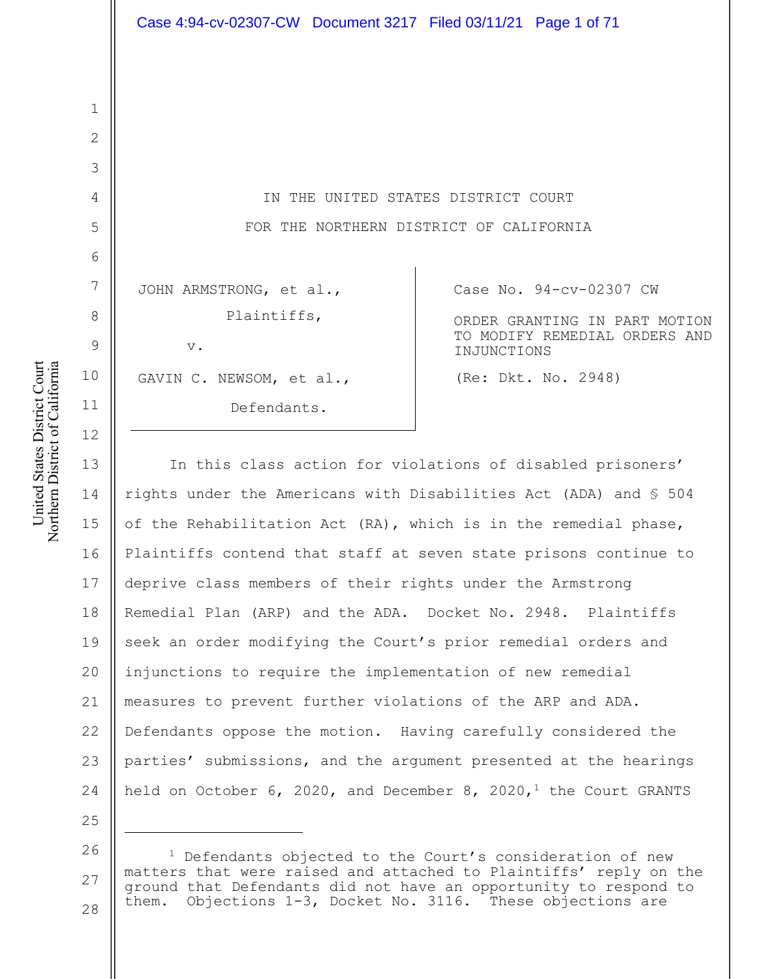IN THE UNITED STATES DISTRICT COURT FOR THE NORTHERN DISTRICT OF CALIFORNIA

JOHN ARMSTRONG, et al., Plaintiffs,

v.

GAVIN C. NEWSOM, et al.,

Defendants.

Case No. 94-cv-02307 CW

ORDER GRANTING IN PART MOTION TO MODIFY REMEDIAL ORDERS AND INJUNCTIONS

(Re: Dkt. No. 2948)

13 14 15 16 17 18 19 20 21 22 23 24 In this class action for violations of disabled prisoners' rights under the Americans with Disabilities Act (ADA) and § 504 of the Rehabilitation Act (RA), which is in the remedial phase, Plaintiffs contend that staff at seven state prisons continue to deprive class members of their rights under the Armstrong Remedial Plan (ARP) and the ADA. Docket No. 2948. Plaintiffs seek an order modifying the Court's prior remedial orders and injunctions to require the implementation of new remedial measures to prevent further violations of the ARP and ADA. Defendants oppose the motion. Having carefully considered the parties' submissions, and the argument presented at the hearings held on October 6, 2020, and December 8, 2020,<sup>1</sup> the Court GRANTS

United States District Court United States District Court Northern District of California Northern District of California

1

2

3

4

5

6

7

8

9

10

11

12

<sup>26</sup> 27 28  $1$  Defendants objected to the Court's consideration of new matters that were raised and attached to Plaintiffs' reply on the ground that Defendants did not have an opportunity to respond to them. Objections 1-3, Docket No. 3116. These objections are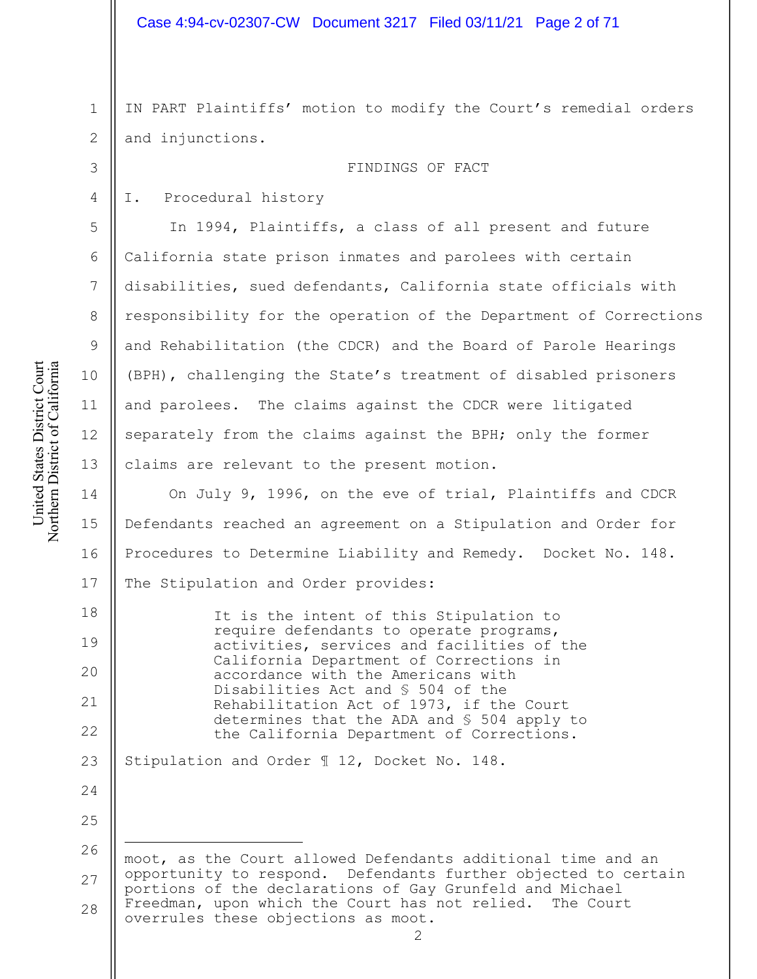1 2 IN PART Plaintiffs' motion to modify the Court's remedial orders and injunctions.

FINDINGS OF FACT

# I. Procedural history

In 1994, Plaintiffs, a class of all present and future California state prison inmates and parolees with certain disabilities, sued defendants, California state officials with responsibility for the operation of the Department of Corrections and Rehabilitation (the CDCR) and the Board of Parole Hearings (BPH), challenging the State's treatment of disabled prisoners and parolees. The claims against the CDCR were litigated separately from the claims against the BPH; only the former claims are relevant to the present motion.

14 15 16 17 On July 9, 1996, on the eve of trial, Plaintiffs and CDCR Defendants reached an agreement on a Stipulation and Order for Procedures to Determine Liability and Remedy. Docket No. 148. The Stipulation and Order provides:

18 19 20 21 22 It is the intent of this Stipulation to require defendants to operate programs, activities, services and facilities of the California Department of Corrections in accordance with the Americans with Disabilities Act and § 504 of the Rehabilitation Act of 1973, if the Court determines that the ADA and § 504 apply to the California Department of Corrections.

23 Stipulation and Order ¶ 12, Docket No. 148.

26 27 28 moot, as the Court allowed Defendants additional time and an opportunity to respond. Defendants further objected to certain portions of the declarations of Gay Grunfeld and Michael Freedman, upon which the Court has not relied. The Court overrules these objections as moot.

3

4

5

6

7

8

9

10

11

12

13

24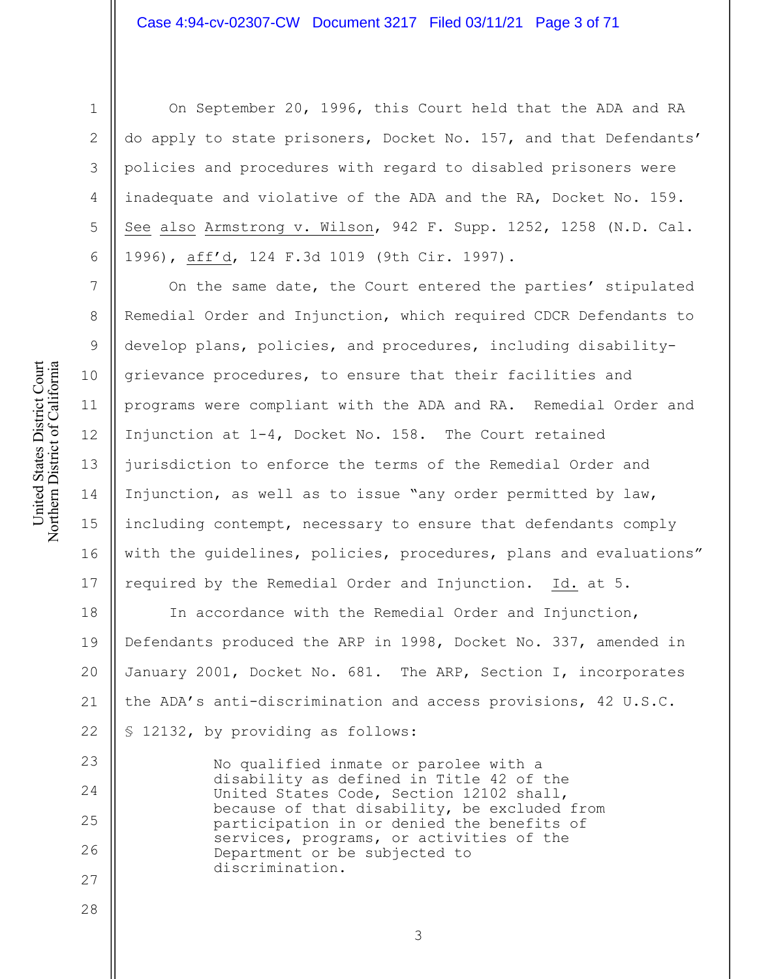# Case 4:94-cv-02307-CW Document 3217 Filed 03/11/21 Page 3 of 71

United States District Court Northern District of California United States District Court Northern District of California

1

2

3

4

5

6

7

8

9

10

11

12

13

14

15

16

17

23

24

25

26

27

28

On September 20, 1996, this Court held that the ADA and RA do apply to state prisoners, Docket No. 157, and that Defendants' policies and procedures with regard to disabled prisoners were inadequate and violative of the ADA and the RA, Docket No. 159. See also Armstrong v. Wilson, 942 F. Supp. 1252, 1258 (N.D. Cal. 1996), aff'd, 124 F.3d 1019 (9th Cir. 1997).

On the same date, the Court entered the parties' stipulated Remedial Order and Injunction, which required CDCR Defendants to develop plans, policies, and procedures, including disabilitygrievance procedures, to ensure that their facilities and programs were compliant with the ADA and RA. Remedial Order and Injunction at 1-4, Docket No. 158. The Court retained jurisdiction to enforce the terms of the Remedial Order and Injunction, as well as to issue "any order permitted by law, including contempt, necessary to ensure that defendants comply with the guidelines, policies, procedures, plans and evaluations" required by the Remedial Order and Injunction. Id. at 5.

18 19 20 21 22 In accordance with the Remedial Order and Injunction, Defendants produced the ARP in 1998, Docket No. 337, amended in January 2001, Docket No. 681. The ARP, Section I, incorporates the ADA's anti-discrimination and access provisions, 42 U.S.C. § 12132, by providing as follows:

No qualified inmate or parolee with a disability as defined in Title 42 of the United States Code, Section 12102 shall, because of that disability, be excluded from participation in or denied the benefits of services, programs, or activities of the Department or be subjected to discrimination.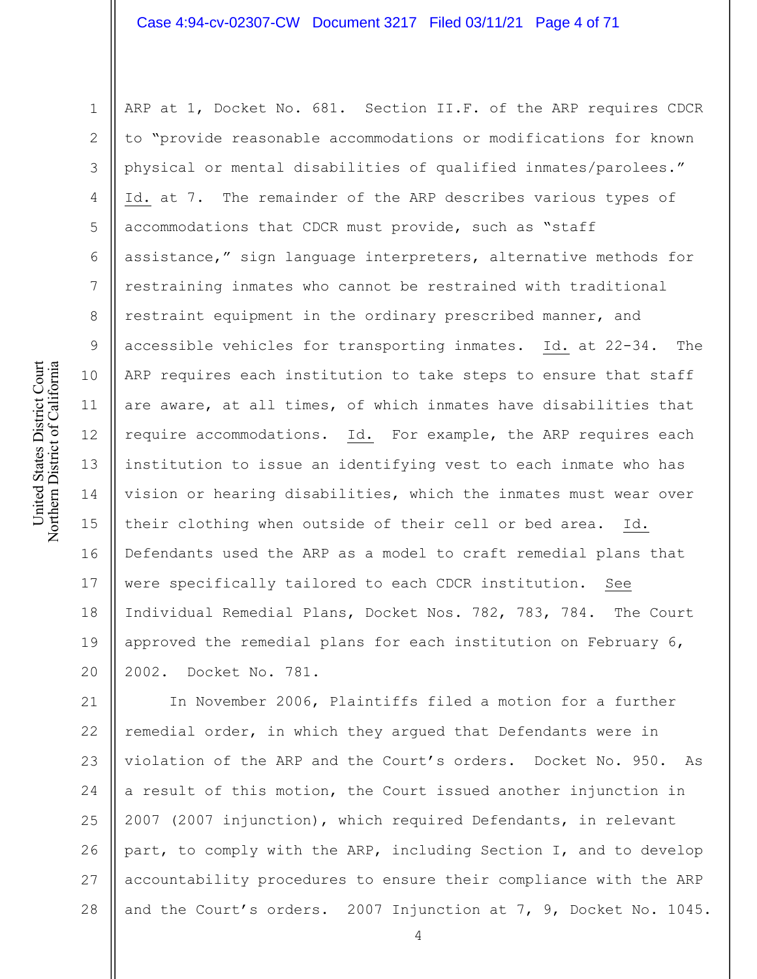# Case 4:94-cv-02307-CW Document 3217 Filed 03/11/21 Page 4 of 71

1 2 3 4 5 6 7 8 9 10 11 12 13 14 15 16 17 18 19 20 ARP at 1, Docket No. 681. Section II.F. of the ARP requires CDCR to "provide reasonable accommodations or modifications for known physical or mental disabilities of qualified inmates/parolees." Id. at 7. The remainder of the ARP describes various types of accommodations that CDCR must provide, such as "staff assistance," sign language interpreters, alternative methods for restraining inmates who cannot be restrained with traditional restraint equipment in the ordinary prescribed manner, and accessible vehicles for transporting inmates. Id. at 22-34. The ARP requires each institution to take steps to ensure that staff are aware, at all times, of which inmates have disabilities that require accommodations. Id. For example, the ARP requires each institution to issue an identifying vest to each inmate who has vision or hearing disabilities, which the inmates must wear over their clothing when outside of their cell or bed area. Id. Defendants used the ARP as a model to craft remedial plans that were specifically tailored to each CDCR institution. See Individual Remedial Plans, Docket Nos. 782, 783, 784. The Court approved the remedial plans for each institution on February 6, 2002. Docket No. 781.

21 22 23 24 25 26 27 28 In November 2006, Plaintiffs filed a motion for a further remedial order, in which they argued that Defendants were in violation of the ARP and the Court's orders. Docket No. 950. As a result of this motion, the Court issued another injunction in 2007 (2007 injunction), which required Defendants, in relevant part, to comply with the ARP, including Section I, and to develop accountability procedures to ensure their compliance with the ARP and the Court's orders. 2007 Injunction at 7, 9, Docket No. 1045.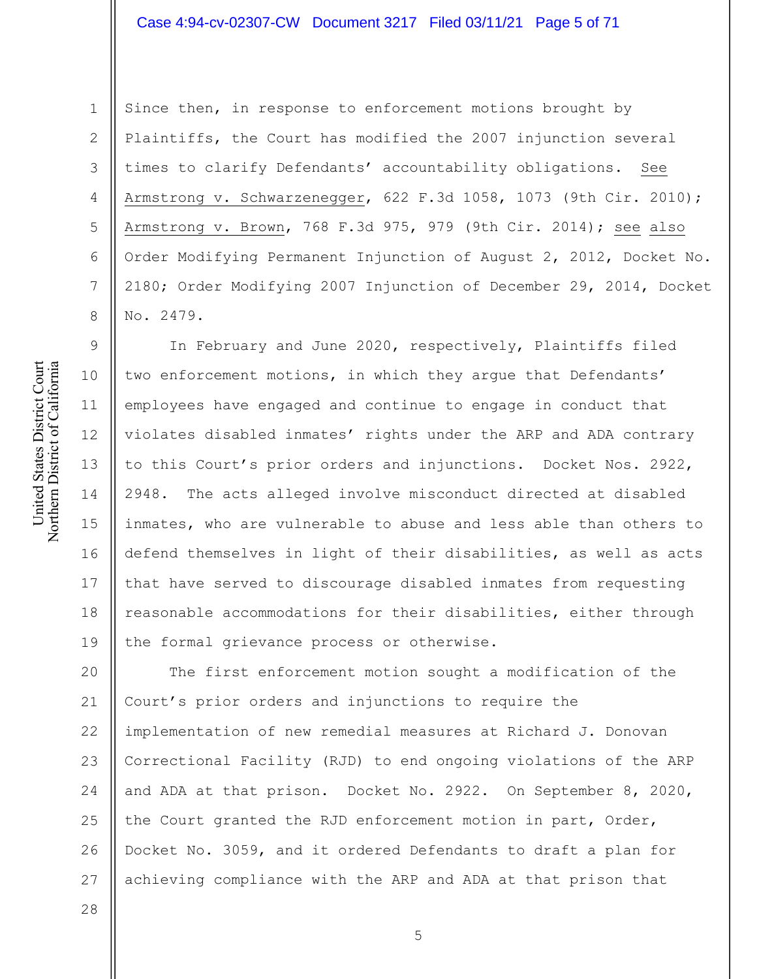# Case 4:94-cv-02307-CW Document 3217 Filed 03/11/21 Page 5 of 71

Since then, in response to enforcement motions brought by Plaintiffs, the Court has modified the 2007 injunction several times to clarify Defendants' accountability obligations. See Armstrong v. Schwarzenegger, 622 F.3d 1058, 1073 (9th Cir. 2010); Armstrong v. Brown, 768 F.3d 975, 979 (9th Cir. 2014); see also Order Modifying Permanent Injunction of August 2, 2012, Docket No. 2180; Order Modifying 2007 Injunction of December 29, 2014, Docket No. 2479.

In February and June 2020, respectively, Plaintiffs filed two enforcement motions, in which they argue that Defendants' employees have engaged and continue to engage in conduct that violates disabled inmates' rights under the ARP and ADA contrary to this Court's prior orders and injunctions. Docket Nos. 2922, 2948. The acts alleged involve misconduct directed at disabled inmates, who are vulnerable to abuse and less able than others to defend themselves in light of their disabilities, as well as acts that have served to discourage disabled inmates from requesting reasonable accommodations for their disabilities, either through the formal grievance process or otherwise.

20 21 22 23 24 25 26 27 The first enforcement motion sought a modification of the Court's prior orders and injunctions to require the implementation of new remedial measures at Richard J. Donovan Correctional Facility (RJD) to end ongoing violations of the ARP and ADA at that prison. Docket No. 2922. On September 8, 2020, the Court granted the RJD enforcement motion in part, Order, Docket No. 3059, and it ordered Defendants to draft a plan for achieving compliance with the ARP and ADA at that prison that

1

2

3

4

5

6

7

8

9

10

11

12

13

14

15

16

17

18

19

28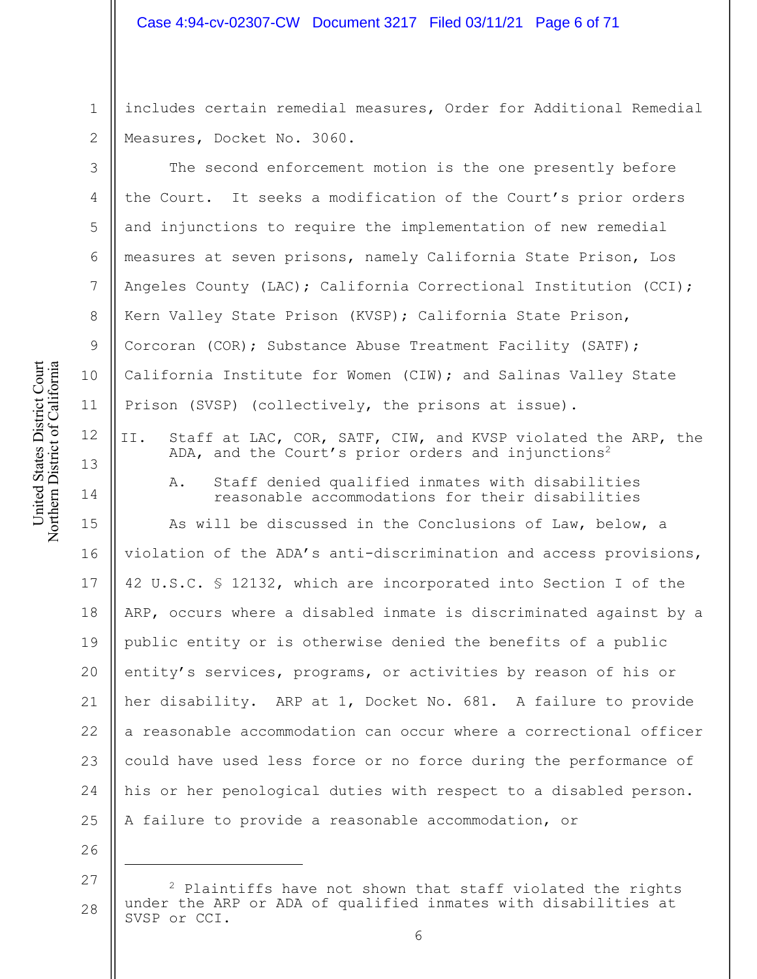# Case 4:94-cv-02307-CW Document 3217 Filed 03/11/21 Page 6 of 71

2 includes certain remedial measures, Order for Additional Remedial Measures, Docket No. 3060.

The second enforcement motion is the one presently before the Court. It seeks a modification of the Court's prior orders and injunctions to require the implementation of new remedial measures at seven prisons, namely California State Prison, Los Angeles County (LAC); California Correctional Institution (CCI); Kern Valley State Prison (KVSP); California State Prison, Corcoran (COR); Substance Abuse Treatment Facility (SATF); California Institute for Women (CIW); and Salinas Valley State Prison (SVSP) (collectively, the prisons at issue).

II. Staff at LAC, COR, SATF, CIW, and KVSP violated the ARP, the ADA, and the Court's prior orders and injunctions<sup>2</sup>

A. Staff denied qualified inmates with disabilities reasonable accommodations for their disabilities

15 16 17 18 19 20 21 22 23 24 25 As will be discussed in the Conclusions of Law, below, a violation of the ADA's anti-discrimination and access provisions, 42 U.S.C. § 12132, which are incorporated into Section I of the ARP, occurs where a disabled inmate is discriminated against by a public entity or is otherwise denied the benefits of a public entity's services, programs, or activities by reason of his or her disability. ARP at 1, Docket No. 681. A failure to provide a reasonable accommodation can occur where a correctional officer could have used less force or no force during the performance of his or her penological duties with respect to a disabled person. A failure to provide a reasonable accommodation, or

27 28  $2$  Plaintiffs have not shown that staff violated the rights under the ARP or ADA of qualified inmates with disabilities at SVSP or CCI.

1

3

4

5

6

7

8

9

10

11

12

13

14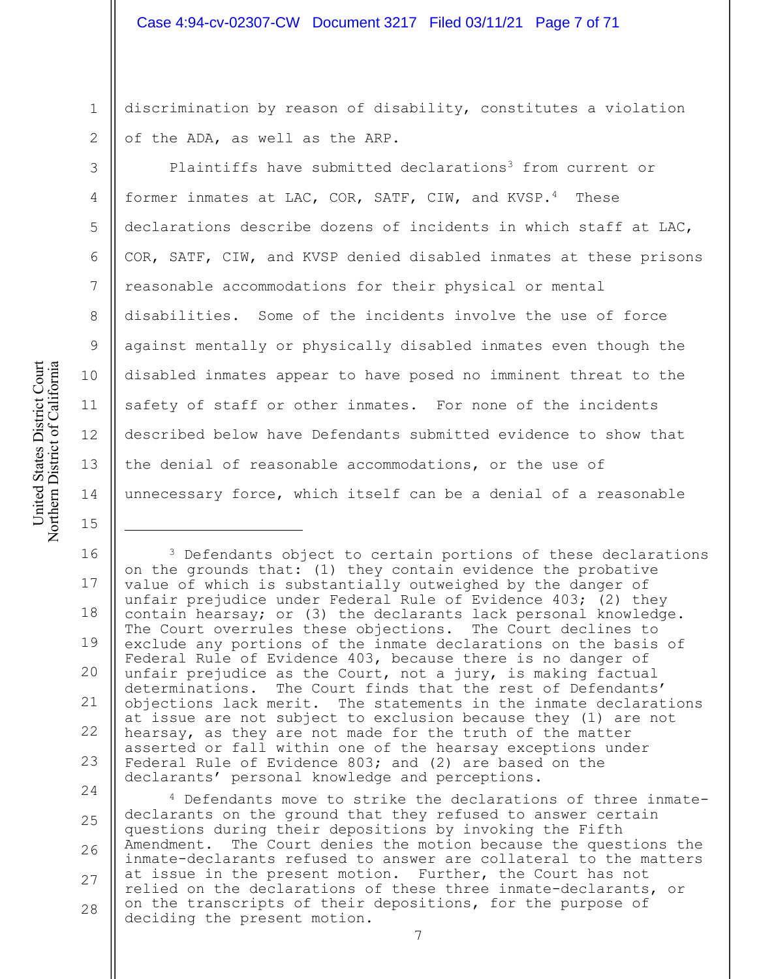discrimination by reason of disability, constitutes a violation of the ADA, as well as the ARP.

Plaintiffs have submitted declarations<sup>3</sup> from current or former inmates at LAC, COR, SATF, CIW, and KVSP.4 These declarations describe dozens of incidents in which staff at LAC, COR, SATF, CIW, and KVSP denied disabled inmates at these prisons reasonable accommodations for their physical or mental disabilities. Some of the incidents involve the use of force against mentally or physically disabled inmates even though the disabled inmates appear to have posed no imminent threat to the safety of staff or other inmates. For none of the incidents described below have Defendants submitted evidence to show that the denial of reasonable accommodations, or the use of unnecessary force, which itself can be a denial of a reasonable

16 17 18 19 20 21 22 23 <sup>3</sup> Defendants object to certain portions of these declarations on the grounds that: (1) they contain evidence the probative value of which is substantially outweighed by the danger of unfair prejudice under Federal Rule of Evidence 403; (2) they contain hearsay; or (3) the declarants lack personal knowledge. The Court overrules these objections. The Court declines to exclude any portions of the inmate declarations on the basis of Federal Rule of Evidence 403, because there is no danger of unfair prejudice as the Court, not a jury, is making factual determinations. The Court finds that the rest of Defendants' objections lack merit. The statements in the inmate declarations at issue are not subject to exclusion because they (1) are not hearsay, as they are not made for the truth of the matter asserted or fall within one of the hearsay exceptions under Federal Rule of Evidence 803; and (2) are based on the declarants' personal knowledge and perceptions.

24 25 26 27 28 <sup>4</sup> Defendants move to strike the declarations of three inmatedeclarants on the ground that they refused to answer certain questions during their depositions by invoking the Fifth Amendment. The Court denies the motion because the questions the inmate-declarants refused to answer are collateral to the matters at issue in the present motion. Further, the Court has not relied on the declarations of these three inmate-declarants, or on the transcripts of their depositions, for the purpose of deciding the present motion.

1

2

3

4

5

6

7

8

9

10

11

12

13

14

15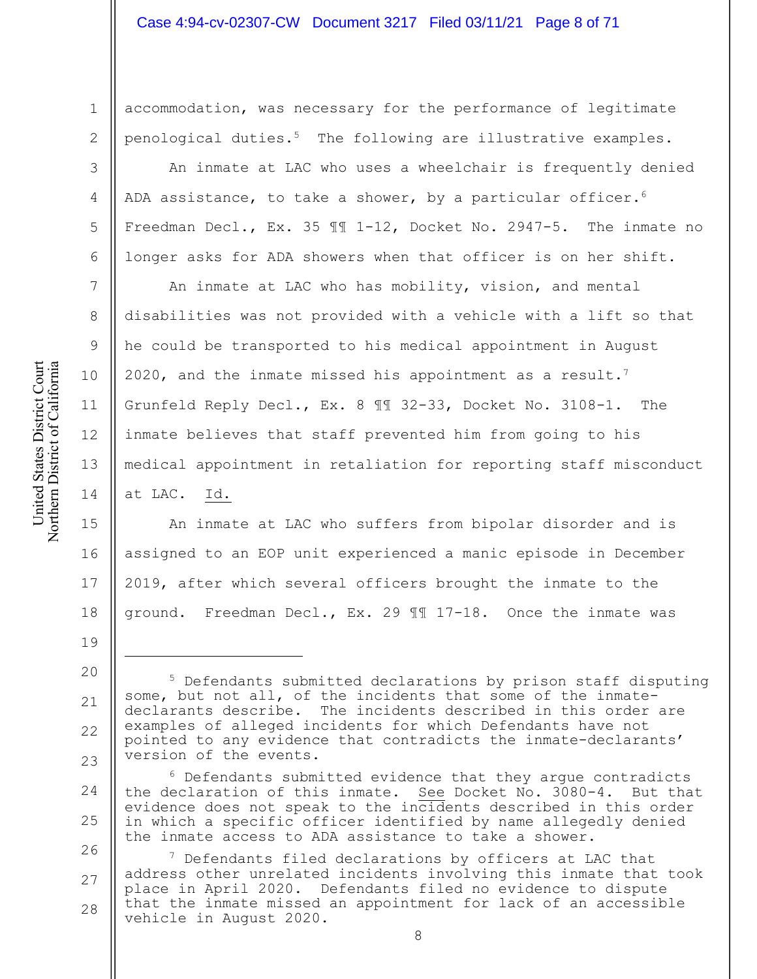accommodation, was necessary for the performance of legitimate penological duties.5 The following are illustrative examples.

An inmate at LAC who uses a wheelchair is frequently denied ADA assistance, to take a shower, by a particular officer.<sup>6</sup> Freedman Decl., Ex. 35 ¶¶ 1-12, Docket No. 2947-5. The inmate no longer asks for ADA showers when that officer is on her shift.

An inmate at LAC who has mobility, vision, and mental disabilities was not provided with a vehicle with a lift so that he could be transported to his medical appointment in August 2020, and the inmate missed his appointment as a result.<sup>7</sup> Grunfeld Reply Decl., Ex. 8 ¶¶ 32-33, Docket No. 3108-1. The inmate believes that staff prevented him from going to his medical appointment in retaliation for reporting staff misconduct at LAC. Id.

15 16 17 18 An inmate at LAC who suffers from bipolar disorder and is assigned to an EOP unit experienced a manic episode in December 2019, after which several officers brought the inmate to the ground. Freedman Decl., Ex. 29 ¶¶ 17-18. Once the inmate was

1

2

3

4

5

6

7

8

9

10

11

12

13

14

<sup>20</sup> 21 22 23 <sup>5</sup> Defendants submitted declarations by prison staff disputing some, but not all, of the incidents that some of the inmatedeclarants describe. The incidents described in this order are examples of alleged incidents for which Defendants have not pointed to any evidence that contradicts the inmate-declarants' version of the events.

<sup>24</sup> 25  $6$  Defendants submitted evidence that they argue contradicts the declaration of this inmate. See Docket No. 3080-4. But that evidence does not speak to the incidents described in this order in which a specific officer identified by name allegedly denied the inmate access to ADA assistance to take a shower.

<sup>26</sup> 27 28  $7$  Defendants filed declarations by officers at LAC that address other unrelated incidents involving this inmate that took place in April 2020. Defendants filed no evidence to dispute that the inmate missed an appointment for lack of an accessible vehicle in August 2020.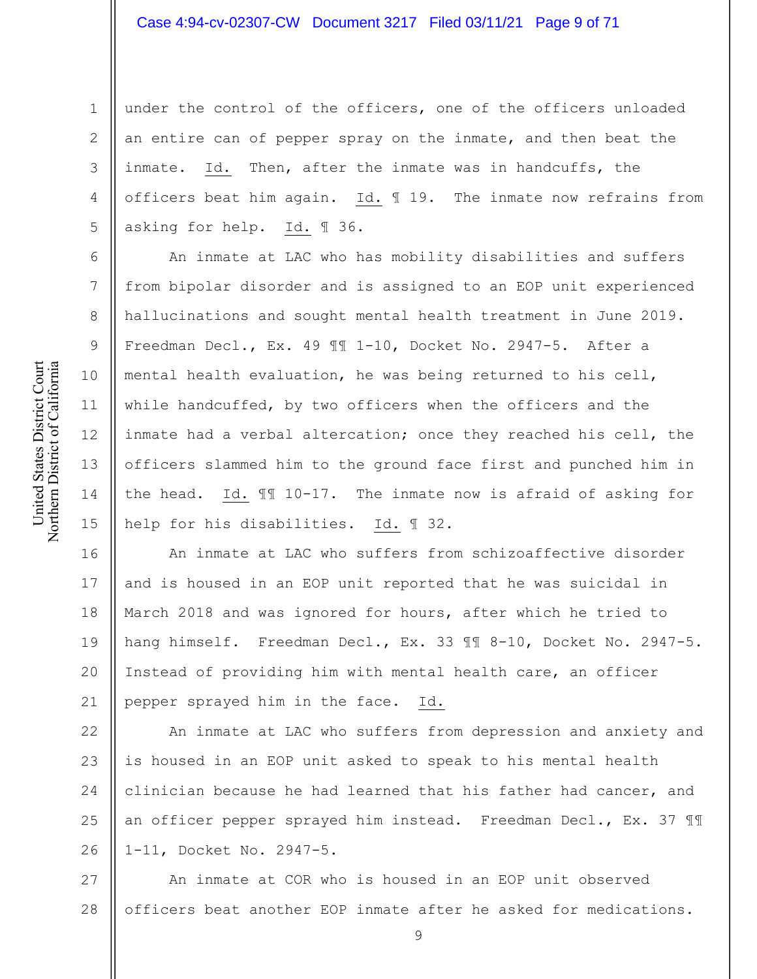1 2 3 4 5 under the control of the officers, one of the officers unloaded an entire can of pepper spray on the inmate, and then beat the inmate. Id. Then, after the inmate was in handcuffs, the officers beat him again. Id. ¶ 19. The inmate now refrains from asking for help. Id. ¶ 36.

An inmate at LAC who has mobility disabilities and suffers from bipolar disorder and is assigned to an EOP unit experienced hallucinations and sought mental health treatment in June 2019. Freedman Decl., Ex. 49 ¶¶ 1-10, Docket No. 2947-5. After a mental health evaluation, he was being returned to his cell, while handcuffed, by two officers when the officers and the inmate had a verbal altercation; once they reached his cell, the officers slammed him to the ground face first and punched him in the head. Id. ¶¶ 10-17. The inmate now is afraid of asking for help for his disabilities. Id. ¶ 32.

16 17 18 19 20 21 An inmate at LAC who suffers from schizoaffective disorder and is housed in an EOP unit reported that he was suicidal in March 2018 and was ignored for hours, after which he tried to hang himself. Freedman Decl., Ex. 33 ¶¶ 8-10, Docket No. 2947-5. Instead of providing him with mental health care, an officer pepper sprayed him in the face. Id.

22 23 24 25 26 An inmate at LAC who suffers from depression and anxiety and is housed in an EOP unit asked to speak to his mental health clinician because he had learned that his father had cancer, and an officer pepper sprayed him instead. Freedman Decl., Ex. 37 ¶¶ 1-11, Docket No. 2947-5.

27 28 An inmate at COR who is housed in an EOP unit observed officers beat another EOP inmate after he asked for medications.

6

7

8

9

10

11

12

13

14

15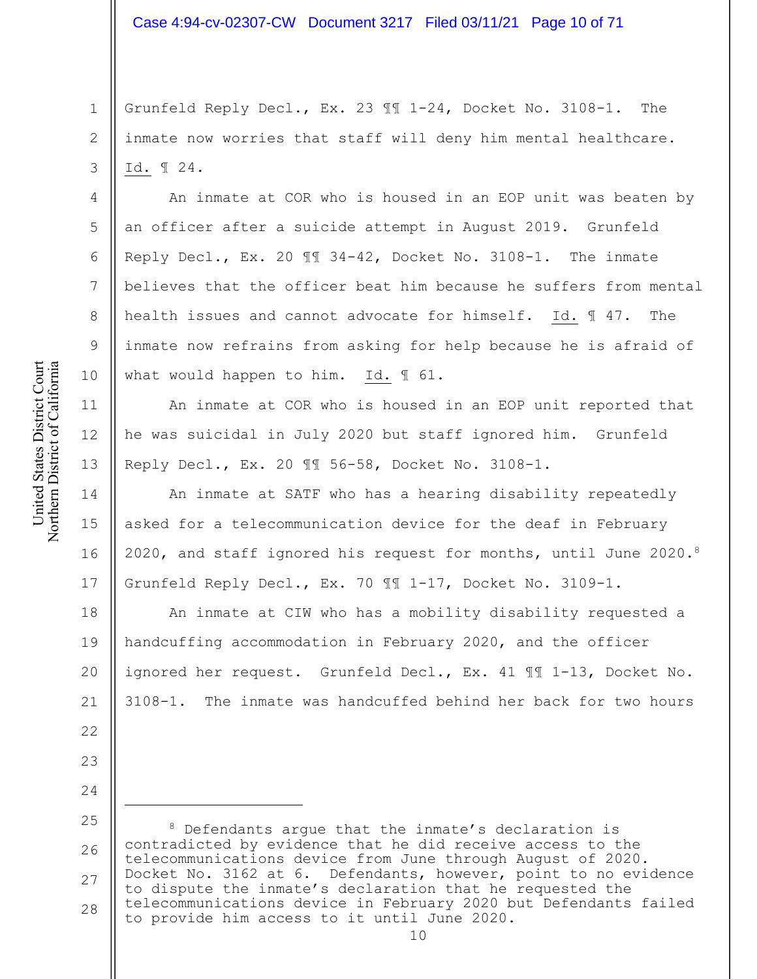1 2 3 Grunfeld Reply Decl., Ex. 23 ¶¶ 1-24, Docket No. 3108-1. The inmate now worries that staff will deny him mental healthcare. Id. ¶ 24.

An inmate at COR who is housed in an EOP unit was beaten by an officer after a suicide attempt in August 2019. Grunfeld Reply Decl., Ex. 20 ¶¶ 34-42, Docket No. 3108-1. The inmate believes that the officer beat him because he suffers from mental health issues and cannot advocate for himself. Id. ¶ 47. The inmate now refrains from asking for help because he is afraid of what would happen to him. Id. ¶ 61.

An inmate at COR who is housed in an EOP unit reported that he was suicidal in July 2020 but staff ignored him. Grunfeld Reply Decl., Ex. 20 ¶¶ 56-58, Docket No. 3108-1.

14 15 16 17 An inmate at SATF who has a hearing disability repeatedly asked for a telecommunication device for the deaf in February 2020, and staff ignored his request for months, until June 2020.8 Grunfeld Reply Decl., Ex. 70 ¶¶ 1-17, Docket No. 3109-1.

18 19 20 21 An inmate at CIW who has a mobility disability requested a handcuffing accommodation in February 2020, and the officer ignored her request. Grunfeld Decl., Ex. 41 ¶¶ 1-13, Docket No. 3108-1. The inmate was handcuffed behind her back for two hours

25 26 27 28 <sup>8</sup> Defendants argue that the inmate's declaration is contradicted by evidence that he did receive access to the telecommunications device from June through August of 2020. Docket No. 3162 at 6. Defendants, however, point to no evidence to dispute the inmate's declaration that he requested the telecommunications device in February 2020 but Defendants failed to provide him access to it until June 2020.

4

5

6

7

8

9

10

11

12

13

22

23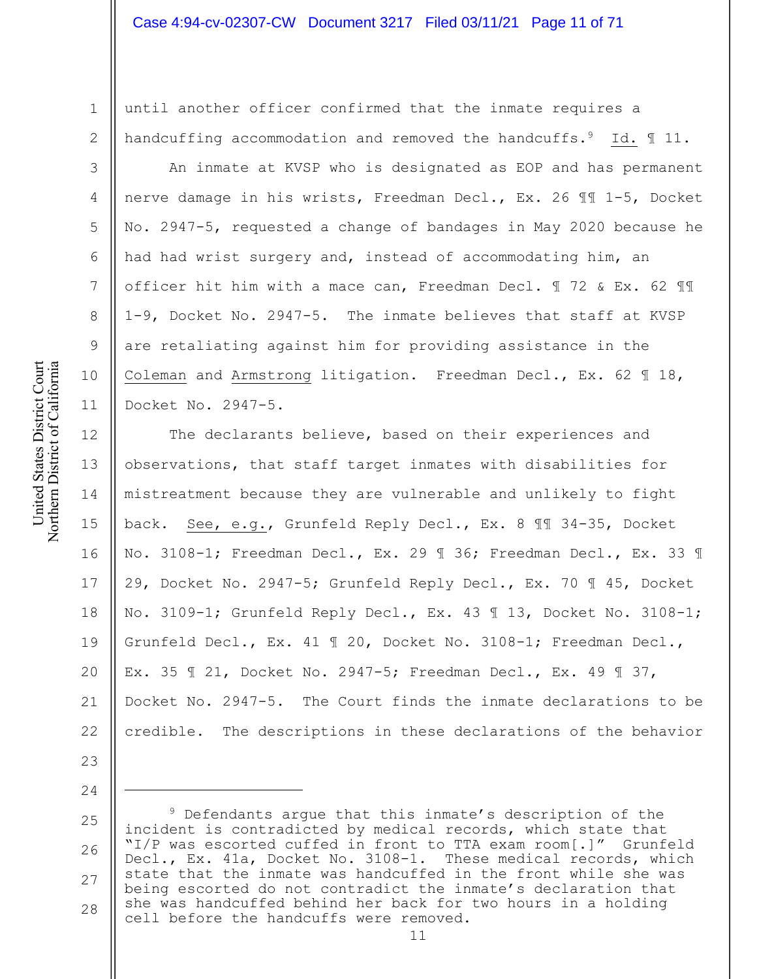until another officer confirmed that the inmate requires a handcuffing accommodation and removed the handcuffs.<sup>9</sup> Id.  $\text{\texttt{N}}$  11.

An inmate at KVSP who is designated as EOP and has permanent nerve damage in his wrists, Freedman Decl., Ex. 26 ¶¶ 1-5, Docket No. 2947-5, requested a change of bandages in May 2020 because he had had wrist surgery and, instead of accommodating him, an officer hit him with a mace can, Freedman Decl. ¶ 72 & Ex. 62 ¶¶ 1-9, Docket No. 2947-5. The inmate believes that staff at KVSP are retaliating against him for providing assistance in the Coleman and Armstrong litigation. Freedman Decl., Ex. 62 ¶ 18, Docket No. 2947-5.

12 13 14 15 16 17 18 19 20 21 22 The declarants believe, based on their experiences and observations, that staff target inmates with disabilities for mistreatment because they are vulnerable and unlikely to fight back. See, e.g., Grunfeld Reply Decl., Ex. 8 ¶¶ 34-35, Docket No. 3108-1; Freedman Decl., Ex. 29 ¶ 36; Freedman Decl., Ex. 33 ¶ 29, Docket No. 2947-5; Grunfeld Reply Decl., Ex. 70 ¶ 45, Docket No. 3109-1; Grunfeld Reply Decl., Ex. 43 ¶ 13, Docket No. 3108-1; Grunfeld Decl., Ex. 41 ¶ 20, Docket No. 3108-1; Freedman Decl., Ex. 35 ¶ 21, Docket No. 2947-5; Freedman Decl., Ex. 49 ¶ 37, Docket No. 2947-5. The Court finds the inmate declarations to be credible. The descriptions in these declarations of the behavior

25 26 27 28 <sup>9</sup> Defendants argue that this inmate's description of the incident is contradicted by medical records, which state that "I/P was escorted cuffed in front to TTA exam room[.]" Grunfeld Decl., Ex. 41a, Docket No. 3108-1. These medical records, which state that the inmate was handcuffed in the front while she was being escorted do not contradict the inmate's declaration that she was handcuffed behind her back for two hours in a holding cell before the handcuffs were removed.

1

2

3

4

5

6

7

8

9

10

11

23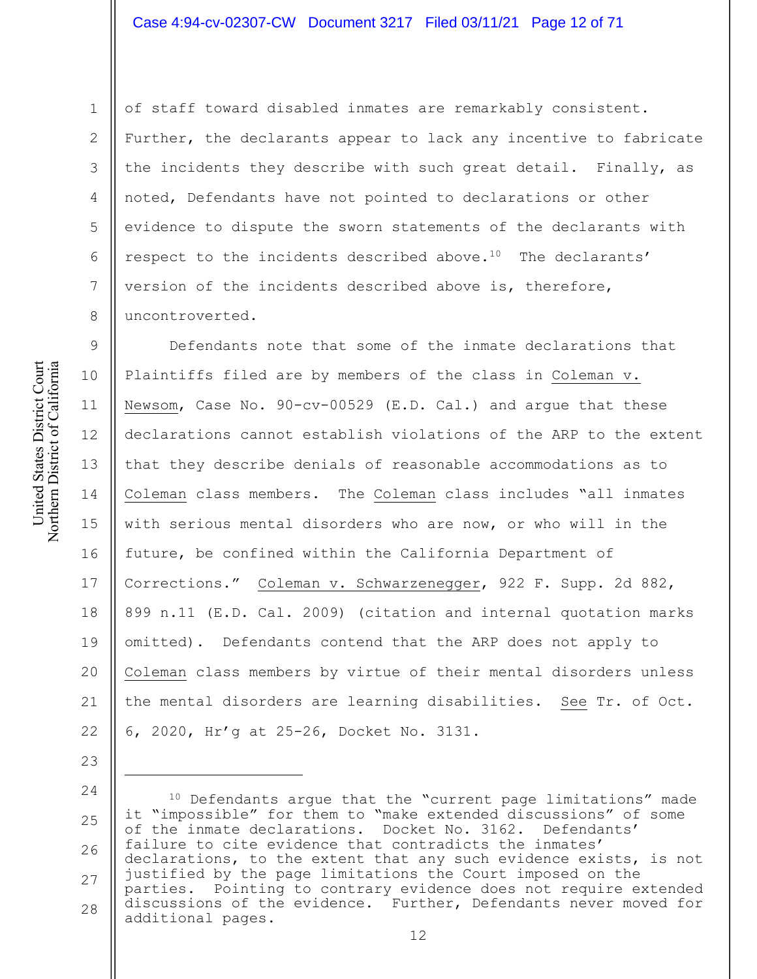#### Case 4:94-cv-02307-CW Document 3217 Filed 03/11/21 Page 12 of 71

2

3

4

5

6

7

8

23

1

of staff toward disabled inmates are remarkably consistent. Further, the declarants appear to lack any incentive to fabricate the incidents they describe with such great detail. Finally, as noted, Defendants have not pointed to declarations or other evidence to dispute the sworn statements of the declarants with respect to the incidents described above.10 The declarants' version of the incidents described above is, therefore, uncontroverted.

9 10 11 12 13 14 15 16 17 18 19 20 21 22 Defendants note that some of the inmate declarations that Plaintiffs filed are by members of the class in Coleman v. Newsom, Case No. 90-cv-00529 (E.D. Cal.) and argue that these declarations cannot establish violations of the ARP to the extent that they describe denials of reasonable accommodations as to Coleman class members. The Coleman class includes "all inmates with serious mental disorders who are now, or who will in the future, be confined within the California Department of Corrections." Coleman v. Schwarzenegger, 922 F. Supp. 2d 882, 899 n.11 (E.D. Cal. 2009) (citation and internal quotation marks omitted). Defendants contend that the ARP does not apply to Coleman class members by virtue of their mental disorders unless the mental disorders are learning disabilities. See Tr. of Oct. 6, 2020, Hr'g at 25-26, Docket No. 3131.

24 25 26 27 28 <sup>10</sup> Defendants argue that the "current page limitations" made it "impossible" for them to "make extended discussions" of some<br>of the inmate declarations. Docket No. 3162. Defendants' of the inmate declarations. Docket No. 3162. failure to cite evidence that contradicts the inmates' declarations, to the extent that any such evidence exists, is not justified by the page limitations the Court imposed on the parties. Pointing to contrary evidence does not require extended discussions of the evidence. Further, Defendants never moved for additional pages.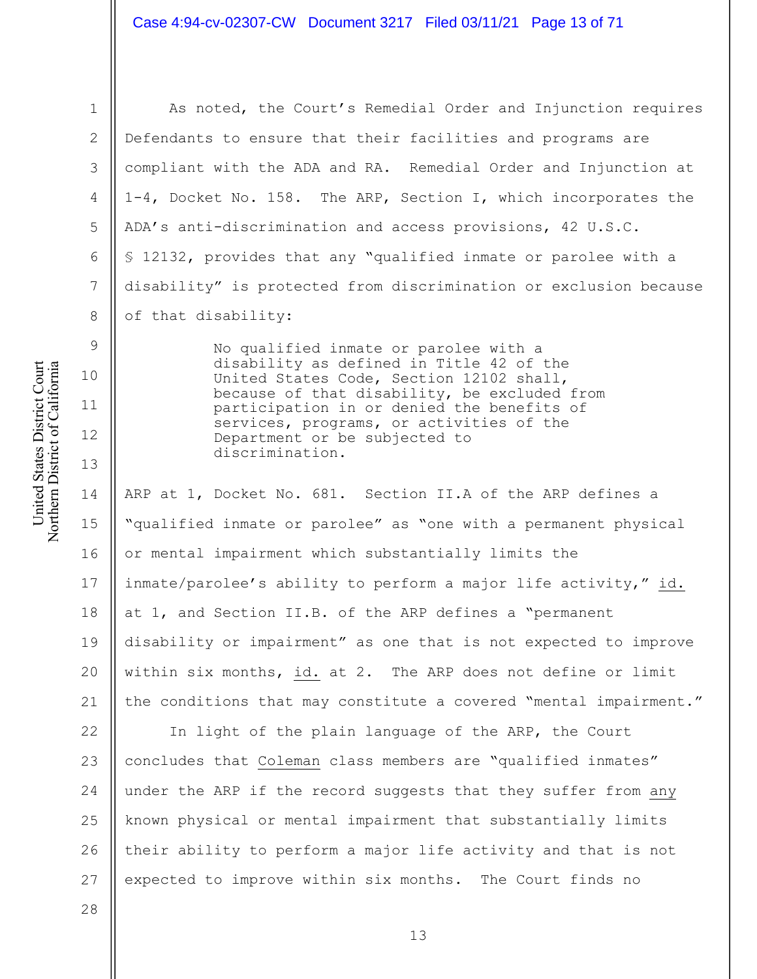United States District Court Northern District of California United States District Court Northern District of California

1

2

3

4

5

6

7

8

9

10

11

12

13

As noted, the Court's Remedial Order and Injunction requires Defendants to ensure that their facilities and programs are compliant with the ADA and RA. Remedial Order and Injunction at 1-4, Docket No. 158. The ARP, Section I, which incorporates the ADA's anti-discrimination and access provisions, 42 U.S.C. § 12132, provides that any "qualified inmate or parolee with a disability" is protected from discrimination or exclusion because of that disability:

> No qualified inmate or parolee with a disability as defined in Title 42 of the United States Code, Section 12102 shall, because of that disability, be excluded from participation in or denied the benefits of services, programs, or activities of the Department or be subjected to discrimination.

14 15 16 17 18 19 20 21 ARP at 1, Docket No. 681. Section II.A of the ARP defines a "qualified inmate or parolee" as "one with a permanent physical or mental impairment which substantially limits the inmate/parolee's ability to perform a major life activity," id. at 1, and Section II.B. of the ARP defines a "permanent disability or impairment" as one that is not expected to improve within six months, id. at 2. The ARP does not define or limit the conditions that may constitute a covered "mental impairment."

22 23 24 25 26 27 In light of the plain language of the ARP, the Court concludes that Coleman class members are "qualified inmates" under the ARP if the record suggests that they suffer from any known physical or mental impairment that substantially limits their ability to perform a major life activity and that is not expected to improve within six months. The Court finds no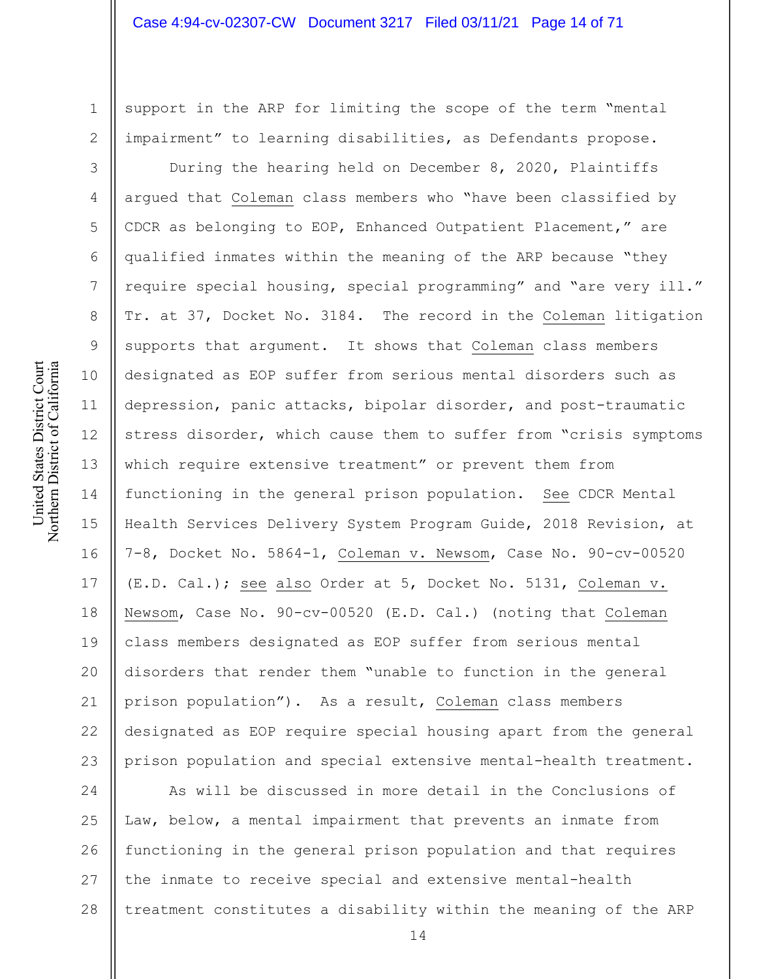support in the ARP for limiting the scope of the term "mental impairment" to learning disabilities, as Defendants propose.

During the hearing held on December 8, 2020, Plaintiffs argued that Coleman class members who "have been classified by CDCR as belonging to EOP, Enhanced Outpatient Placement," are qualified inmates within the meaning of the ARP because "they require special housing, special programming" and "are very ill." Tr. at 37, Docket No. 3184. The record in the Coleman litigation supports that argument. It shows that Coleman class members designated as EOP suffer from serious mental disorders such as depression, panic attacks, bipolar disorder, and post-traumatic stress disorder, which cause them to suffer from "crisis symptoms which require extensive treatment" or prevent them from functioning in the general prison population. See CDCR Mental Health Services Delivery System Program Guide, 2018 Revision, at 7-8, Docket No. 5864-1, Coleman v. Newsom, Case No. 90-cv-00520 (E.D. Cal.); see also Order at 5, Docket No. 5131, Coleman v. Newsom, Case No. 90-cv-00520 (E.D. Cal.) (noting that Coleman class members designated as EOP suffer from serious mental disorders that render them "unable to function in the general prison population"). As a result, Coleman class members designated as EOP require special housing apart from the general prison population and special extensive mental-health treatment.

24 25 26 27 28 As will be discussed in more detail in the Conclusions of Law, below, a mental impairment that prevents an inmate from functioning in the general prison population and that requires the inmate to receive special and extensive mental-health treatment constitutes a disability within the meaning of the ARP

1

2

3

4

5

6

7

8

9

10

11

12

13

14

15

16

17

18

19

20

21

22

23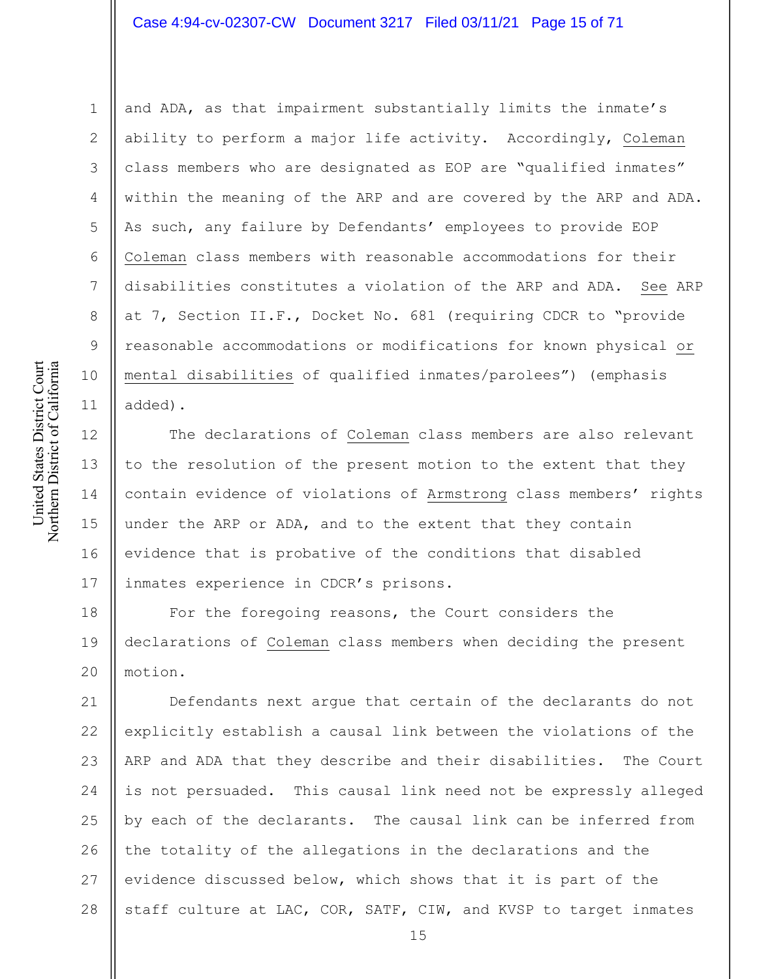# Case 4:94-cv-02307-CW Document 3217 Filed 03/11/21 Page 15 of 71

and ADA, as that impairment substantially limits the inmate's ability to perform a major life activity. Accordingly, Coleman class members who are designated as EOP are "qualified inmates" within the meaning of the ARP and are covered by the ARP and ADA. As such, any failure by Defendants' employees to provide EOP Coleman class members with reasonable accommodations for their disabilities constitutes a violation of the ARP and ADA. See ARP at 7, Section II.F., Docket No. 681 (requiring CDCR to "provide reasonable accommodations or modifications for known physical or mental disabilities of qualified inmates/parolees") (emphasis added).

13 17 The declarations of Coleman class members are also relevant to the resolution of the present motion to the extent that they contain evidence of violations of Armstrong class members' rights under the ARP or ADA, and to the extent that they contain evidence that is probative of the conditions that disabled inmates experience in CDCR's prisons.

18 19 20 For the foregoing reasons, the Court considers the declarations of Coleman class members when deciding the present motion.

21 22 23 24 25 26 27 28 Defendants next argue that certain of the declarants do not explicitly establish a causal link between the violations of the ARP and ADA that they describe and their disabilities. The Court is not persuaded. This causal link need not be expressly alleged by each of the declarants. The causal link can be inferred from the totality of the allegations in the declarations and the evidence discussed below, which shows that it is part of the staff culture at LAC, COR, SATF, CIW, and KVSP to target inmates

1

2

3

4

5

6

7

8

9

10

11

12

14

15

16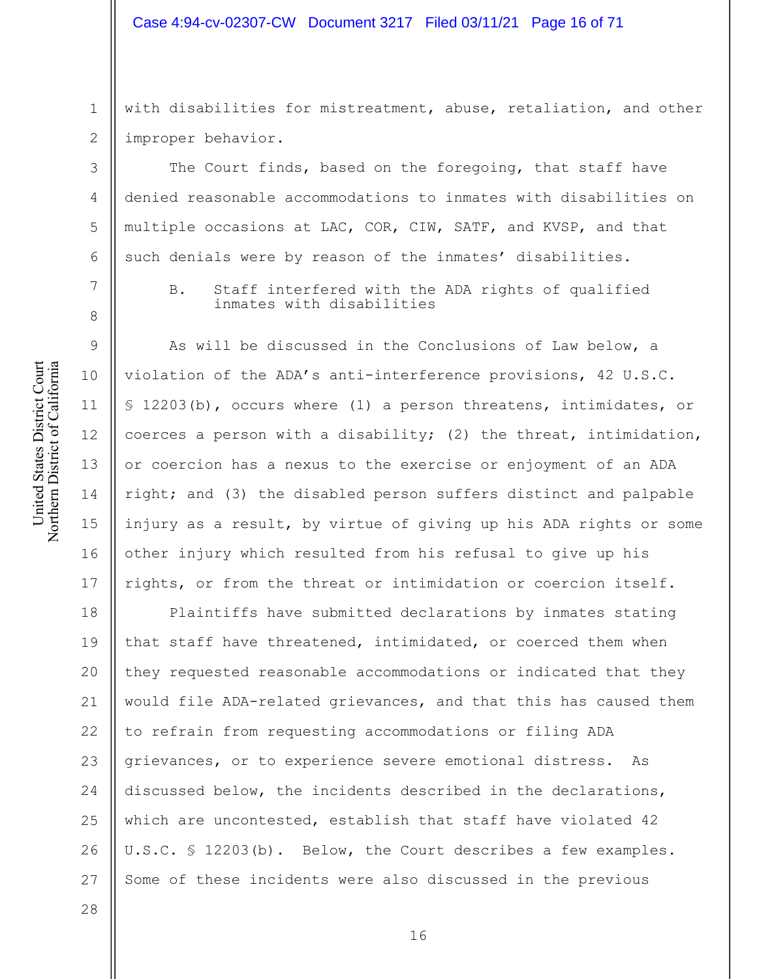# Case 4:94-cv-02307-CW Document 3217 Filed 03/11/21 Page 16 of 71

1 2 with disabilities for mistreatment, abuse, retaliation, and other improper behavior.

The Court finds, based on the foregoing, that staff have denied reasonable accommodations to inmates with disabilities on multiple occasions at LAC, COR, CIW, SATF, and KVSP, and that such denials were by reason of the inmates' disabilities.

B. Staff interfered with the ADA rights of qualified inmates with disabilities

As will be discussed in the Conclusions of Law below, a violation of the ADA's anti-interference provisions, 42 U.S.C. § 12203(b), occurs where (1) a person threatens, intimidates, or coerces a person with a disability; (2) the threat, intimidation, or coercion has a nexus to the exercise or enjoyment of an ADA right; and (3) the disabled person suffers distinct and palpable injury as a result, by virtue of giving up his ADA rights or some other injury which resulted from his refusal to give up his rights, or from the threat or intimidation or coercion itself.

18 19 20 21 22 23 24 25 26 27 Plaintiffs have submitted declarations by inmates stating that staff have threatened, intimidated, or coerced them when they requested reasonable accommodations or indicated that they would file ADA-related grievances, and that this has caused them to refrain from requesting accommodations or filing ADA grievances, or to experience severe emotional distress. As discussed below, the incidents described in the declarations, which are uncontested, establish that staff have violated 42 U.S.C. § 12203(b). Below, the Court describes a few examples. Some of these incidents were also discussed in the previous

United States District Court Northern District of California United States District Court Northern District of California

3

4

5

6

7

8

9

10

11

12

13

14

15

16

17

28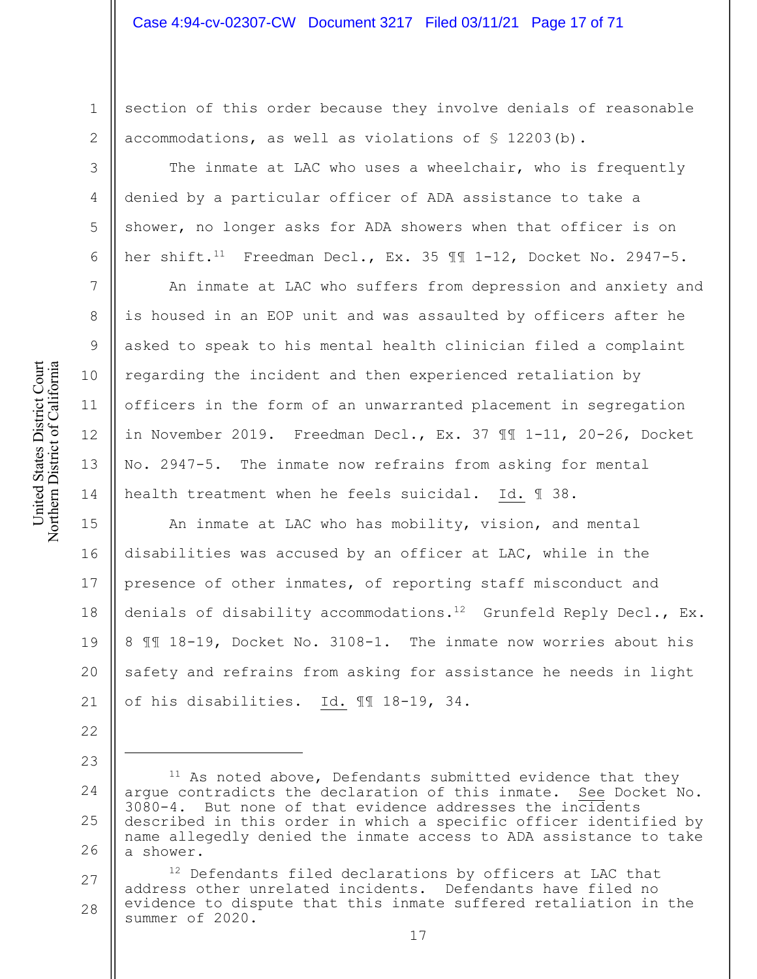section of this order because they involve denials of reasonable accommodations, as well as violations of § 12203(b).

The inmate at LAC who uses a wheelchair, who is frequently denied by a particular officer of ADA assistance to take a shower, no longer asks for ADA showers when that officer is on her shift.11 Freedman Decl., Ex. 35 ¶¶ 1-12, Docket No. 2947-5.

An inmate at LAC who suffers from depression and anxiety and is housed in an EOP unit and was assaulted by officers after he asked to speak to his mental health clinician filed a complaint regarding the incident and then experienced retaliation by officers in the form of an unwarranted placement in segregation in November 2019. Freedman Decl., Ex. 37 ¶¶ 1-11, 20-26, Docket No. 2947-5. The inmate now refrains from asking for mental health treatment when he feels suicidal. Id. ¶ 38.

15 16 17 18 19 20 21 An inmate at LAC who has mobility, vision, and mental disabilities was accused by an officer at LAC, while in the presence of other inmates, of reporting staff misconduct and denials of disability accommodations.<sup>12</sup> Grunfeld Reply Decl., Ex. 8 ¶¶ 18-19, Docket No. 3108-1. The inmate now worries about his safety and refrains from asking for assistance he needs in light of his disabilities. Id. ¶¶ 18-19, 34.

1

2

3

4

5

6

7

8

9

10

11

12

13

14

22

<sup>24</sup> 25 26  $11$  As noted above, Defendants submitted evidence that they argue contradicts the declaration of this inmate. See Docket No. 3080-4. But none of that evidence addresses the incidents described in this order in which a specific officer identified by name allegedly denied the inmate access to ADA assistance to take a shower.

<sup>27</sup> 28 <sup>12</sup> Defendants filed declarations by officers at LAC that address other unrelated incidents. Defendants have filed no evidence to dispute that this inmate suffered retaliation in the summer of 2020.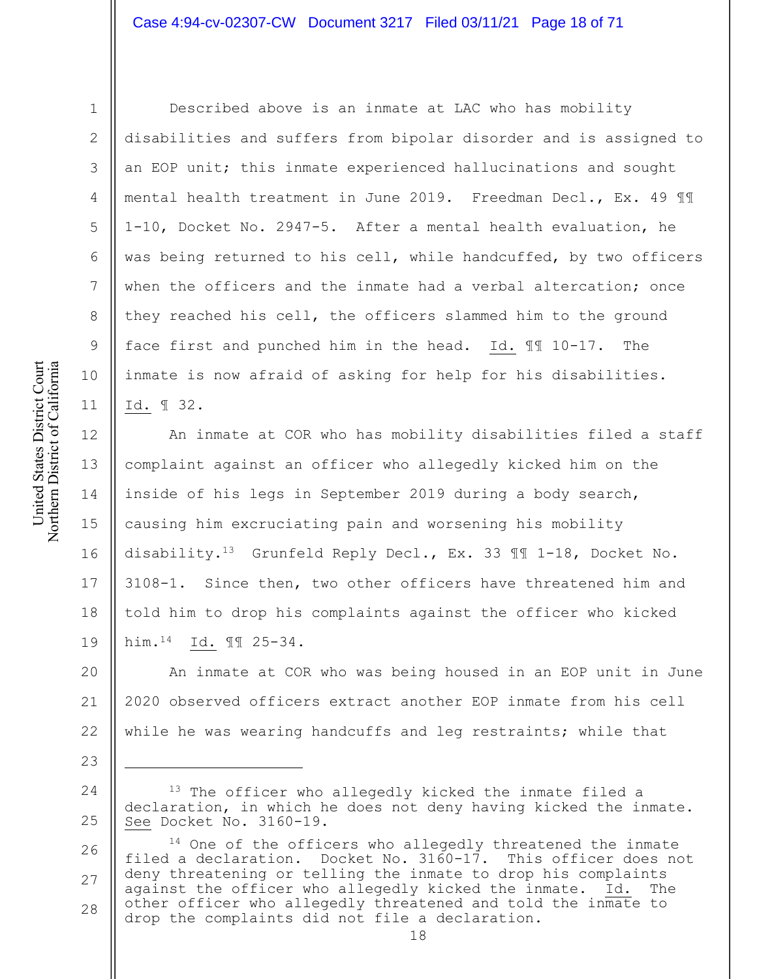United States District Court Northern District of California United States District Court Northern District of California

1

2

3

4

5

6

7

8

9

10

11

23

Described above is an inmate at LAC who has mobility disabilities and suffers from bipolar disorder and is assigned to an EOP unit; this inmate experienced hallucinations and sought mental health treatment in June 2019. Freedman Decl., Ex. 49 ¶¶ 1-10, Docket No. 2947-5. After a mental health evaluation, he was being returned to his cell, while handcuffed, by two officers when the officers and the inmate had a verbal altercation; once they reached his cell, the officers slammed him to the ground face first and punched him in the head. Id. ¶¶ 10-17. The inmate is now afraid of asking for help for his disabilities. Id. ¶ 32.

12 13 14 15 16 17 18 19 An inmate at COR who has mobility disabilities filed a staff complaint against an officer who allegedly kicked him on the inside of his legs in September 2019 during a body search, causing him excruciating pain and worsening his mobility disability.13 Grunfeld Reply Decl., Ex. 33 ¶¶ 1-18, Docket No. 3108-1. Since then, two other officers have threatened him and told him to drop his complaints against the officer who kicked him.14 Id. ¶¶ 25-34.

20 21 22 An inmate at COR who was being housed in an EOP unit in June 2020 observed officers extract another EOP inmate from his cell while he was wearing handcuffs and leg restraints; while that

<sup>24</sup> 25 <sup>13</sup> The officer who allegedly kicked the inmate filed a declaration, in which he does not deny having kicked the inmate. See Docket No. 3160-19.

<sup>26</sup> 27 28 <sup>14</sup> One of the officers who allegedly threatened the inmate filed a declaration. Docket No. 3160-17. This officer does not deny threatening or telling the inmate to drop his complaints against the officer who allegedly kicked the inmate. Id. The other officer who allegedly threatened and told the inmate to drop the complaints did not file a declaration.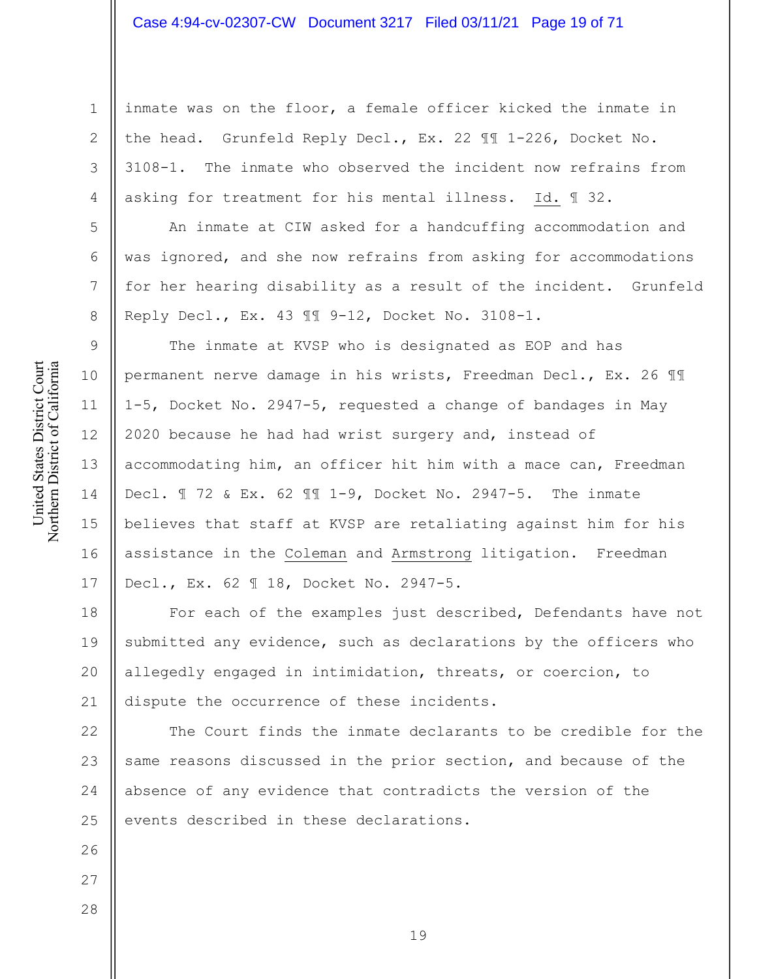inmate was on the floor, a female officer kicked the inmate in the head. Grunfeld Reply Decl., Ex. 22 ¶¶ 1-226, Docket No. 3108-1. The inmate who observed the incident now refrains from asking for treatment for his mental illness. Id. ¶ 32.

An inmate at CIW asked for a handcuffing accommodation and was ignored, and she now refrains from asking for accommodations for her hearing disability as a result of the incident. Grunfeld Reply Decl., Ex. 43 ¶¶ 9-12, Docket No. 3108-1.

The inmate at KVSP who is designated as EOP and has permanent nerve damage in his wrists, Freedman Decl., Ex. 26 ¶¶ 1-5, Docket No. 2947-5, requested a change of bandages in May 2020 because he had had wrist surgery and, instead of accommodating him, an officer hit him with a mace can, Freedman Decl. ¶ 72 & Ex. 62 ¶¶ 1-9, Docket No. 2947-5. The inmate believes that staff at KVSP are retaliating against him for his assistance in the Coleman and Armstrong litigation. Freedman Decl., Ex. 62 ¶ 18, Docket No. 2947-5.

18 19 20 21 For each of the examples just described, Defendants have not submitted any evidence, such as declarations by the officers who allegedly engaged in intimidation, threats, or coercion, to dispute the occurrence of these incidents.

22 23 24 25 The Court finds the inmate declarants to be credible for the same reasons discussed in the prior section, and because of the absence of any evidence that contradicts the version of the events described in these declarations.

United States District Court Northern District of California United States District Court Northern District of California

1

2

3

4

5

6

7

8

9

10

11

12

13

14

15

16

17

28

26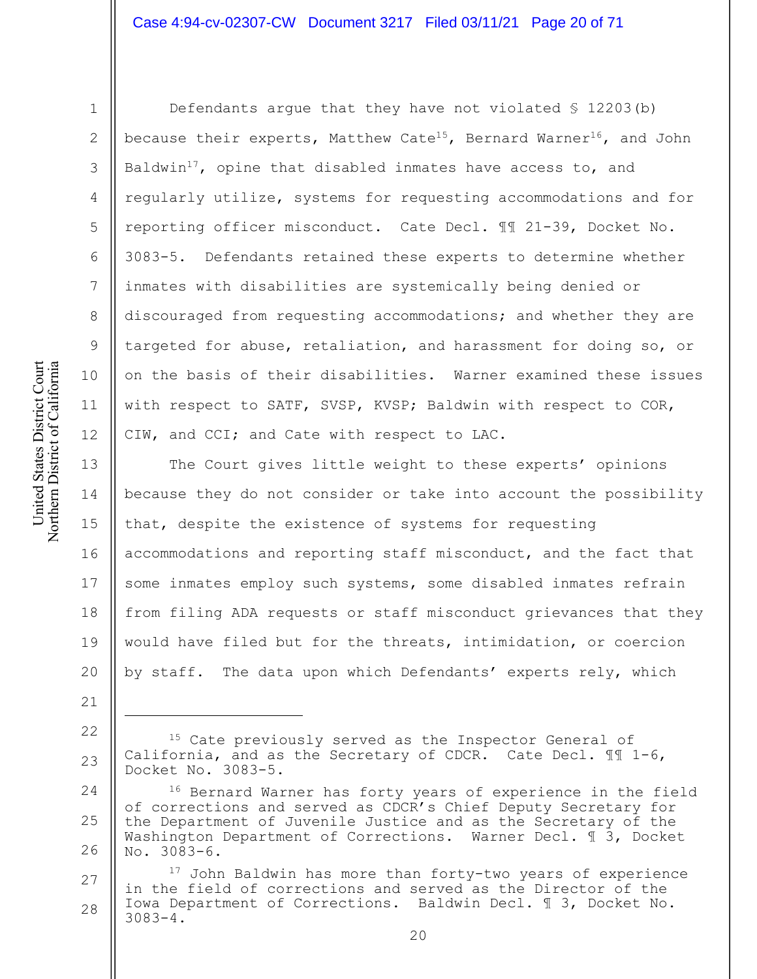United States District Court Northern District of California United States District Court Northern District of California

1

2

3

4

5

6

7

8

9

10

11

12

21

Defendants argue that they have not violated § 12203(b) because their experts, Matthew Cate<sup>15</sup>, Bernard Warner<sup>16</sup>, and John Baldwin<sup>17</sup>, opine that disabled inmates have access to, and regularly utilize, systems for requesting accommodations and for reporting officer misconduct. Cate Decl. ¶¶ 21-39, Docket No. 3083-5. Defendants retained these experts to determine whether inmates with disabilities are systemically being denied or discouraged from requesting accommodations; and whether they are targeted for abuse, retaliation, and harassment for doing so, or on the basis of their disabilities. Warner examined these issues with respect to SATF, SVSP, KVSP; Baldwin with respect to COR, CIW, and CCI; and Cate with respect to LAC.

13 14 15 16 17 18 19 20 The Court gives little weight to these experts' opinions because they do not consider or take into account the possibility that, despite the existence of systems for requesting accommodations and reporting staff misconduct, and the fact that some inmates employ such systems, some disabled inmates refrain from filing ADA requests or staff misconduct grievances that they would have filed but for the threats, intimidation, or coercion by staff. The data upon which Defendants' experts rely, which

- 22 23 <sup>15</sup> Cate previously served as the Inspector General of California, and as the Secretary of CDCR. Cate Decl. ¶¶ 1-6, Docket No. 3083-5.
- 24 25 26 <sup>16</sup> Bernard Warner has forty years of experience in the field of corrections and served as CDCR's Chief Deputy Secretary for the Department of Juvenile Justice and as the Secretary of the Washington Department of Corrections. Warner Decl. ¶ 3, Docket No. 3083-6.
- 27 28 17 John Baldwin has more than forty-two years of experience in the field of corrections and served as the Director of the Iowa Department of Corrections. Baldwin Decl. ¶ 3, Docket No. 3083-4.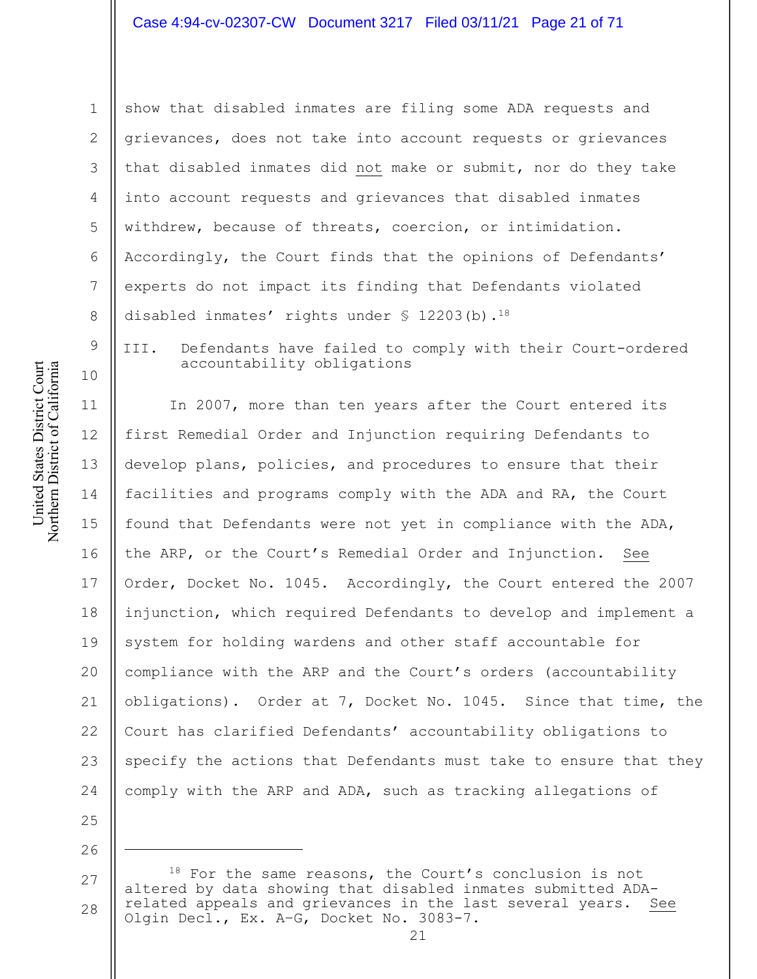show that disabled inmates are filing some ADA requests and grievances, does not take into account requests or grievances that disabled inmates did not make or submit, nor do they take into account requests and grievances that disabled inmates withdrew, because of threats, coercion, or intimidation. Accordingly, the Court finds that the opinions of Defendants' experts do not impact its finding that Defendants violated disabled inmates' rights under  $\frac{12203(b)}{18}$ .

III. Defendants have failed to comply with their Court-ordered accountability obligations

11 12 13 14 15 16 17 18 19 20 21 22 23 24 In 2007, more than ten years after the Court entered its first Remedial Order and Injunction requiring Defendants to develop plans, policies, and procedures to ensure that their facilities and programs comply with the ADA and RA, the Court found that Defendants were not yet in compliance with the ADA, the ARP, or the Court's Remedial Order and Injunction. See Order, Docket No. 1045. Accordingly, the Court entered the 2007 injunction, which required Defendants to develop and implement a system for holding wardens and other staff accountable for compliance with the ARP and the Court's orders (accountability obligations). Order at 7, Docket No. 1045. Since that time, the Court has clarified Defendants' accountability obligations to specify the actions that Defendants must take to ensure that they comply with the ARP and ADA, such as tracking allegations of

26

25

1

2

3

4

5

6

7

8

9

<sup>27</sup> 28 18 For the same reasons, the Court's conclusion is not altered by data showing that disabled inmates submitted ADArelated appeals and grievances in the last several years. See Olgin Decl., Ex. A–G, Docket No. 3083-7.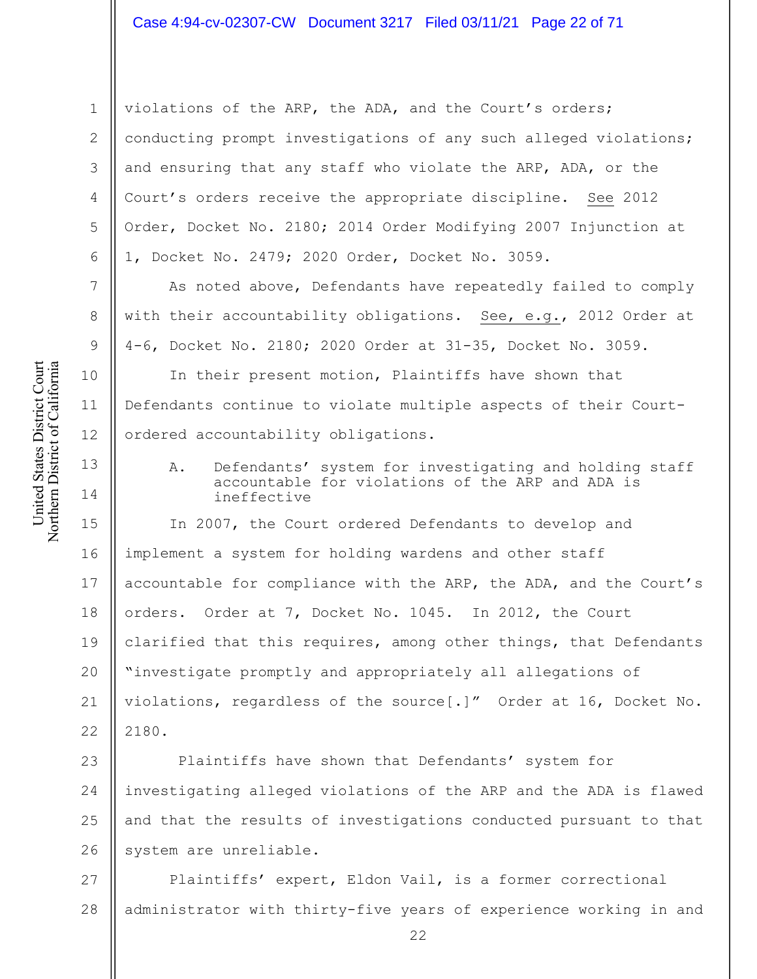violations of the ARP, the ADA, and the Court's orders; conducting prompt investigations of any such alleged violations; and ensuring that any staff who violate the ARP, ADA, or the Court's orders receive the appropriate discipline. See 2012 Order, Docket No. 2180; 2014 Order Modifying 2007 Injunction at 1, Docket No. 2479; 2020 Order, Docket No. 3059.

As noted above, Defendants have repeatedly failed to comply with their accountability obligations. See, e.g., 2012 Order at 4-6, Docket No. 2180; 2020 Order at 31-35, Docket No. 3059.

In their present motion, Plaintiffs have shown that Defendants continue to violate multiple aspects of their Courtordered accountability obligations.

A. Defendants' system for investigating and holding staff accountable for violations of the ARP and ADA is ineffective

15 16 17 18 19 20 21 22 In 2007, the Court ordered Defendants to develop and implement a system for holding wardens and other staff accountable for compliance with the ARP, the ADA, and the Court's orders. Order at 7, Docket No. 1045. In 2012, the Court clarified that this requires, among other things, that Defendants "investigate promptly and appropriately all allegations of violations, regardless of the source[.]" Order at 16, Docket No. 2180.

23 24 25 26 Plaintiffs have shown that Defendants' system for investigating alleged violations of the ARP and the ADA is flawed and that the results of investigations conducted pursuant to that system are unreliable.

27 28 Plaintiffs' expert, Eldon Vail, is a former correctional administrator with thirty-five years of experience working in and

1

2

3

4

5

6

7

8

9

10

11

12

13

14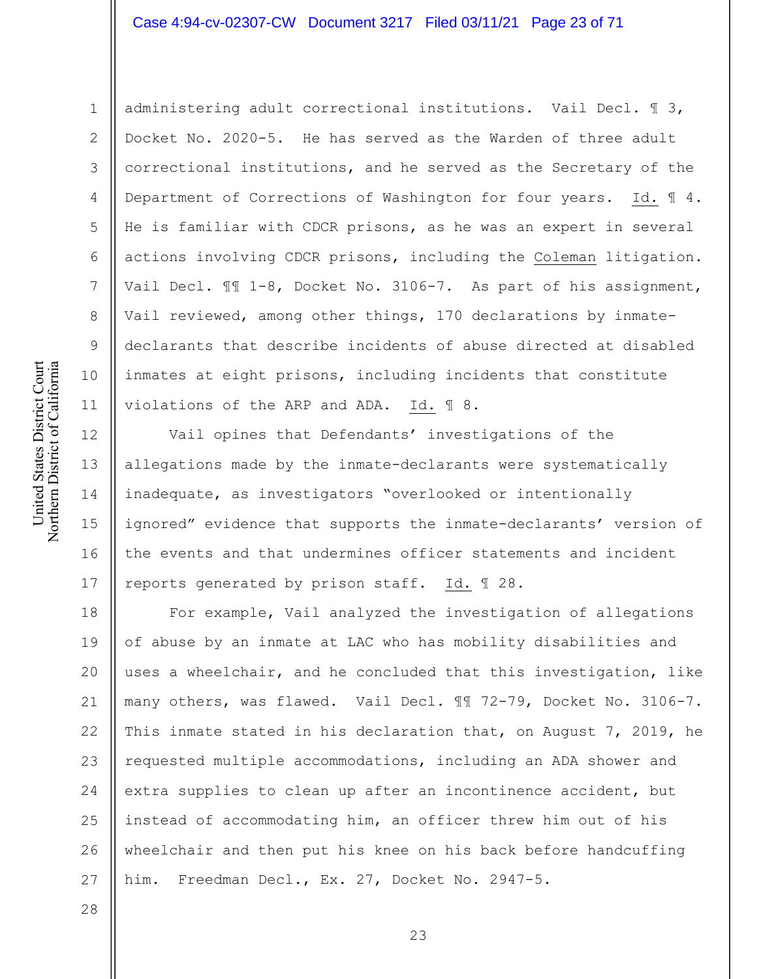# Case 4:94-cv-02307-CW Document 3217 Filed 03/11/21 Page 23 of 71

2 3

4

5

6

7

8

9

10

11

12

13

14

15

16

17

28

1

administering adult correctional institutions. Vail Decl. ¶ 3, Docket No. 2020-5. He has served as the Warden of three adult correctional institutions, and he served as the Secretary of the Department of Corrections of Washington for four years. Id. ¶ 4. He is familiar with CDCR prisons, as he was an expert in several actions involving CDCR prisons, including the Coleman litigation. Vail Decl. ¶¶ 1-8, Docket No. 3106-7. As part of his assignment, Vail reviewed, among other things, 170 declarations by inmatedeclarants that describe incidents of abuse directed at disabled inmates at eight prisons, including incidents that constitute violations of the ARP and ADA. Id. ¶ 8.

Vail opines that Defendants' investigations of the allegations made by the inmate-declarants were systematically inadequate, as investigators "overlooked or intentionally ignored" evidence that supports the inmate-declarants' version of the events and that undermines officer statements and incident reports generated by prison staff. Id. ¶ 28.

18 19 20 21 22 23 24 25 26 27 For example, Vail analyzed the investigation of allegations of abuse by an inmate at LAC who has mobility disabilities and uses a wheelchair, and he concluded that this investigation, like many others, was flawed. Vail Decl. ¶¶ 72-79, Docket No. 3106-7. This inmate stated in his declaration that, on August 7, 2019, he requested multiple accommodations, including an ADA shower and extra supplies to clean up after an incontinence accident, but instead of accommodating him, an officer threw him out of his wheelchair and then put his knee on his back before handcuffing him. Freedman Decl., Ex. 27, Docket No. 2947-5.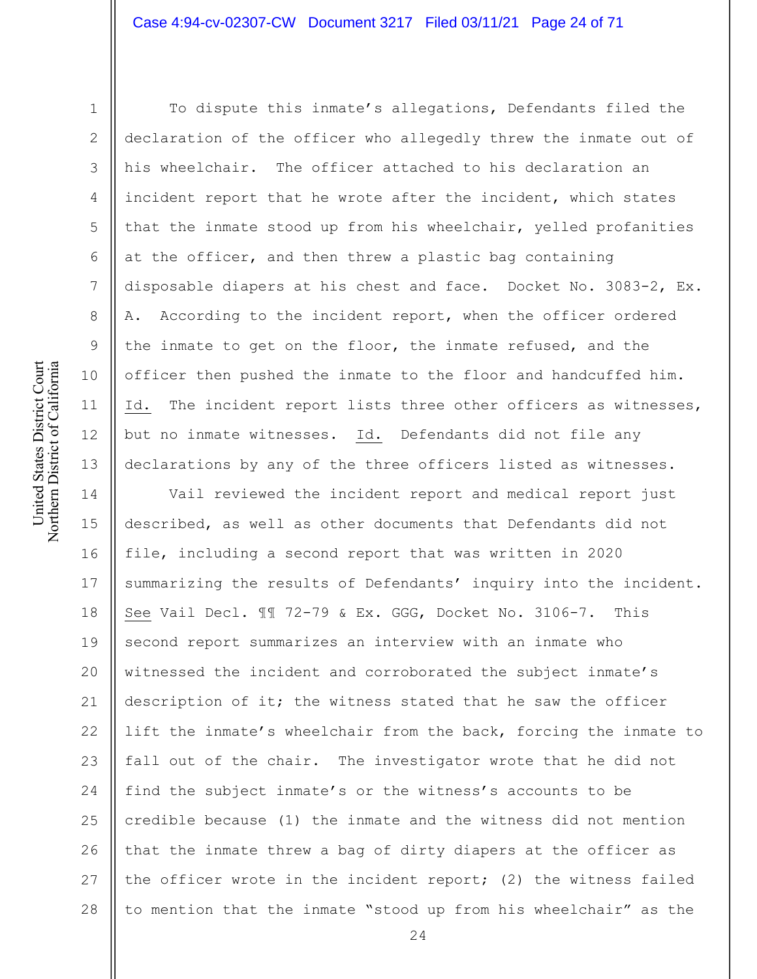United States District Court Northern District of California United States District Court Northern District of California

1

2

3

4

5

6

7

8

9

10

11

12

13

To dispute this inmate's allegations, Defendants filed the declaration of the officer who allegedly threw the inmate out of his wheelchair. The officer attached to his declaration an incident report that he wrote after the incident, which states that the inmate stood up from his wheelchair, yelled profanities at the officer, and then threw a plastic bag containing disposable diapers at his chest and face. Docket No. 3083-2, Ex. A. According to the incident report, when the officer ordered the inmate to get on the floor, the inmate refused, and the officer then pushed the inmate to the floor and handcuffed him. Id. The incident report lists three other officers as witnesses, but no inmate witnesses. Id. Defendants did not file any declarations by any of the three officers listed as witnesses.

14 15 16 17 18 19 20 21 22 23 24 25 26 27 28 Vail reviewed the incident report and medical report just described, as well as other documents that Defendants did not file, including a second report that was written in 2020 summarizing the results of Defendants' inquiry into the incident. See Vail Decl. ¶¶ 72-79 & Ex. GGG, Docket No. 3106-7. This second report summarizes an interview with an inmate who witnessed the incident and corroborated the subject inmate's description of it; the witness stated that he saw the officer lift the inmate's wheelchair from the back, forcing the inmate to fall out of the chair. The investigator wrote that he did not find the subject inmate's or the witness's accounts to be credible because (1) the inmate and the witness did not mention that the inmate threw a bag of dirty diapers at the officer as the officer wrote in the incident report; (2) the witness failed to mention that the inmate "stood up from his wheelchair" as the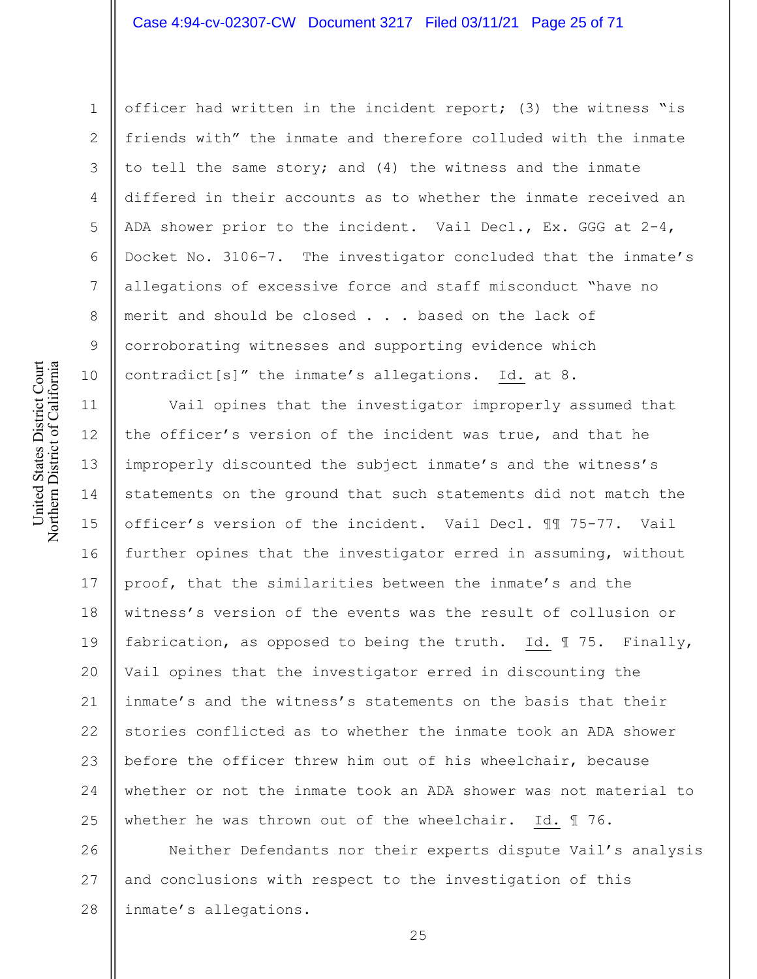2

3

4

5

6

7

8

9

10

1

officer had written in the incident report; (3) the witness "is friends with" the inmate and therefore colluded with the inmate to tell the same story; and (4) the witness and the inmate differed in their accounts as to whether the inmate received an ADA shower prior to the incident. Vail Decl., Ex. GGG at  $2-4$ , Docket No. 3106-7. The investigator concluded that the inmate's allegations of excessive force and staff misconduct "have no merit and should be closed . . . based on the lack of corroborating witnesses and supporting evidence which contradict[s]" the inmate's allegations. Id. at 8.

11 12 13 14 15 16 17 18 19 20 21 22 23 24 25 Vail opines that the investigator improperly assumed that the officer's version of the incident was true, and that he improperly discounted the subject inmate's and the witness's statements on the ground that such statements did not match the officer's version of the incident. Vail Decl. ¶¶ 75-77. Vail further opines that the investigator erred in assuming, without proof, that the similarities between the inmate's and the witness's version of the events was the result of collusion or fabrication, as opposed to being the truth. Id. ¶ 75. Finally, Vail opines that the investigator erred in discounting the inmate's and the witness's statements on the basis that their stories conflicted as to whether the inmate took an ADA shower before the officer threw him out of his wheelchair, because whether or not the inmate took an ADA shower was not material to whether he was thrown out of the wheelchair. Id. ¶ 76.

26 27 28 Neither Defendants nor their experts dispute Vail's analysis and conclusions with respect to the investigation of this inmate's allegations.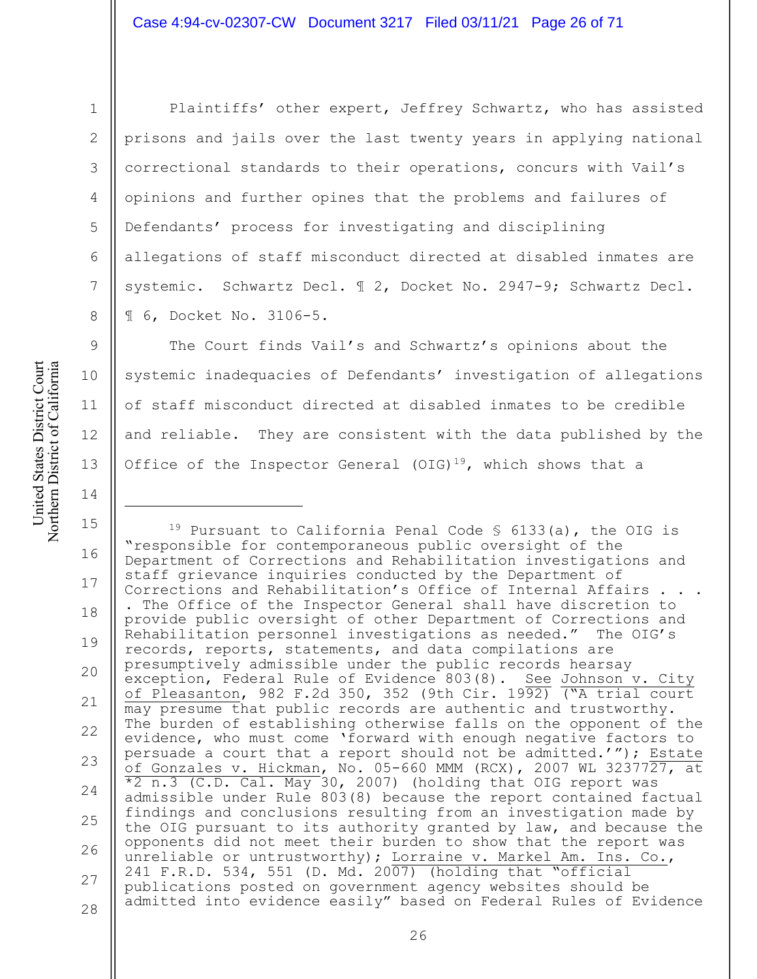United States District Court Northern District of California United States District Court Northern District of California

1

2

3

4

5

6

7

8

9

10

11

12

13

14

Plaintiffs' other expert, Jeffrey Schwartz, who has assisted prisons and jails over the last twenty years in applying national correctional standards to their operations, concurs with Vail's opinions and further opines that the problems and failures of Defendants' process for investigating and disciplining allegations of staff misconduct directed at disabled inmates are systemic. Schwartz Decl. ¶ 2, Docket No. 2947-9; Schwartz Decl. ¶ 6, Docket No. 3106-5.

The Court finds Vail's and Schwartz's opinions about the systemic inadequacies of Defendants' investigation of allegations of staff misconduct directed at disabled inmates to be credible and reliable. They are consistent with the data published by the Office of the Inspector General (OIG)<sup>19</sup>, which shows that a

15 16 17 18 19 20 21 22 23 24 25 26 27 28 <sup>19</sup> Pursuant to California Penal Code  $\frac{1}{5}$  6133(a), the OIG is "responsible for contemporaneous public oversight of the Department of Corrections and Rehabilitation investigations and staff grievance inquiries conducted by the Department of Corrections and Rehabilitation's Office of Internal Affairs. . The Office of the Inspector General shall have discretion to provide public oversight of other Department of Corrections and Rehabilitation personnel investigations as needed." The OIG's records, reports, statements, and data compilations are presumptively admissible under the public records hearsay exception, Federal Rule of Evidence 803(8). See Johnson v. City of Pleasanton, 982 F.2d 350, 352 (9th Cir. 19 $\overline{92)}$  ("A trial court may presume that public records are authentic and trustworthy. The burden of establishing otherwise falls on the opponent of the evidence, who must come 'forward with enough negative factors to persuade a court that a report should not be admitted.'"); Estate of Gonzales v. Hickman, No. 05-660 MMM (RCX), 2007 WL 3237727, at \*2 n.3 (C.D. Cal. May 30, 2007) (holding that OIG report was admissible under Rule 803(8) because the report contained factual findings and conclusions resulting from an investigation made by the OIG pursuant to its authority granted by law, and because the opponents did not meet their burden to show that the report was unreliable or untrustworthy); Lorraine v. Markel Am. Ins. Co., 241 F.R.D. 534, 551 (D. Md. 2007) (holding that "official publications posted on government agency websites should be admitted into evidence easily" based on Federal Rules of Evidence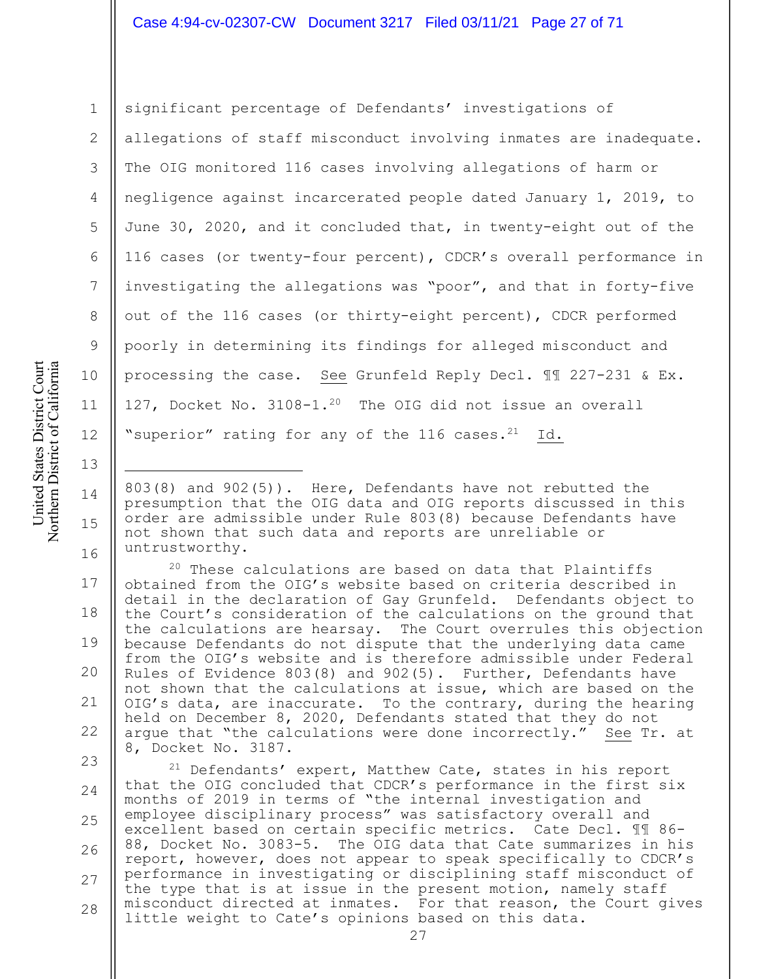2 3

4

5

6

7

8

9

10

11

12

13

14

15

16

1

significant percentage of Defendants' investigations of allegations of staff misconduct involving inmates are inadequate. The OIG monitored 116 cases involving allegations of harm or negligence against incarcerated people dated January 1, 2019, to June 30, 2020, and it concluded that, in twenty-eight out of the 116 cases (or twenty-four percent), CDCR's overall performance in investigating the allegations was "poor", and that in forty-five out of the 116 cases (or thirty-eight percent), CDCR performed poorly in determining its findings for alleged misconduct and processing the case. See Grunfeld Reply Decl. ¶¶ 227-231 & Ex. 127, Docket No. 3108-1.20 The OIG did not issue an overall "superior" rating for any of the  $116$  cases.<sup>21</sup> Id.

803(8) and 902(5)). Here, Defendants have not rebutted the presumption that the OIG data and OIG reports discussed in this order are admissible under Rule 803(8) because Defendants have not shown that such data and reports are unreliable or untrustworthy.

17 18 19 20 21 22 20 These calculations are based on data that Plaintiffs obtained from the OIG's website based on criteria described in detail in the declaration of Gay Grunfeld. Defendants object to the Court's consideration of the calculations on the ground that the calculations are hearsay. The Court overrules this objection because Defendants do not dispute that the underlying data came from the OIG's website and is therefore admissible under Federal Rules of Evidence 803(8) and 902(5). Further, Defendants have not shown that the calculations at issue, which are based on the OIG's data, are inaccurate. To the contrary, during the hearing held on December 8, 2020, Defendants stated that they do not argue that "the calculations were done incorrectly." See Tr. at 8, Docket No. 3187.

23 24 25 26 27 28 <sup>21</sup> Defendants' expert, Matthew Cate, states in his report that the OIG concluded that CDCR's performance in the first six months of 2019 in terms of "the internal investigation and employee disciplinary process" was satisfactory overall and excellent based on certain specific metrics. Cate Decl. ¶¶ 86- 88, Docket No. 3083-5. The OIG data that Cate summarizes in his report, however, does not appear to speak specifically to CDCR's performance in investigating or disciplining staff misconduct of the type that is at issue in the present motion, namely staff misconduct directed at inmates. For that reason, the Court gives little weight to Cate's opinions based on this data.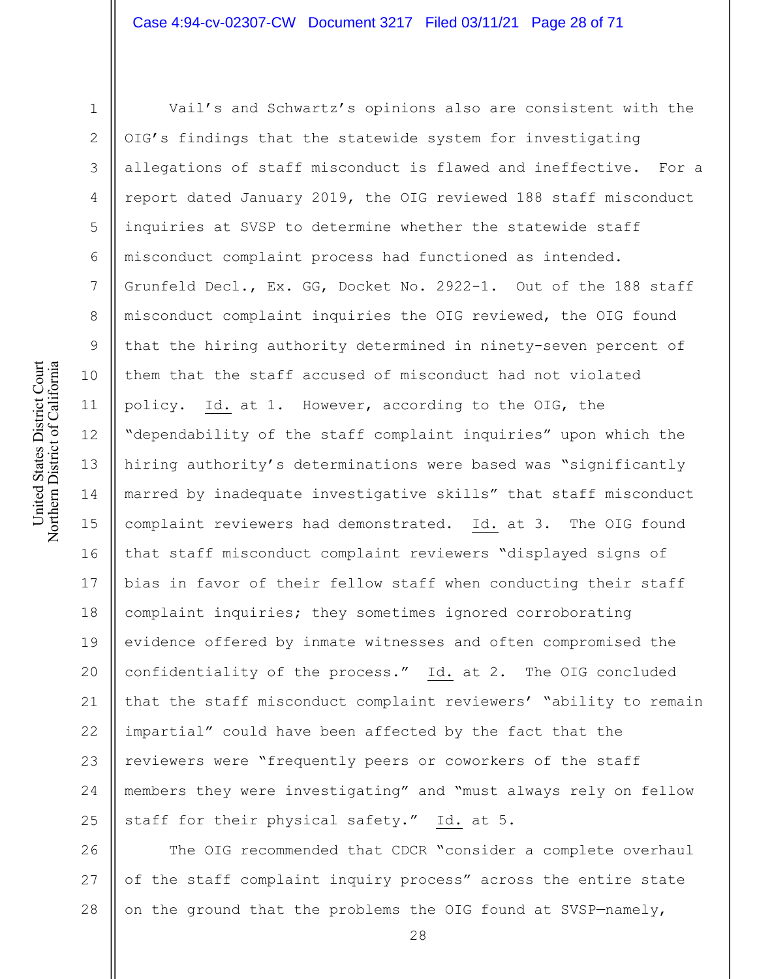United States District Court Northern District of California United States District Court Northern District of California

1 2 3 4 5 6 7 8 9 10 11 12 13 14 15 16 17 18 19 20 21 22 23 24 25 Vail's and Schwartz's opinions also are consistent with the OIG's findings that the statewide system for investigating allegations of staff misconduct is flawed and ineffective. For a report dated January 2019, the OIG reviewed 188 staff misconduct inquiries at SVSP to determine whether the statewide staff misconduct complaint process had functioned as intended. Grunfeld Decl., Ex. GG, Docket No. 2922-1. Out of the 188 staff misconduct complaint inquiries the OIG reviewed, the OIG found that the hiring authority determined in ninety-seven percent of them that the staff accused of misconduct had not violated policy. Id. at 1. However, according to the OIG, the "dependability of the staff complaint inquiries" upon which the hiring authority's determinations were based was "significantly marred by inadequate investigative skills" that staff misconduct complaint reviewers had demonstrated. Id. at 3. The OIG found that staff misconduct complaint reviewers "displayed signs of bias in favor of their fellow staff when conducting their staff complaint inquiries; they sometimes ignored corroborating evidence offered by inmate witnesses and often compromised the confidentiality of the process." Id. at 2. The OIG concluded that the staff misconduct complaint reviewers' "ability to remain impartial" could have been affected by the fact that the reviewers were "frequently peers or coworkers of the staff members they were investigating" and "must always rely on fellow staff for their physical safety." Id. at 5.

26 27 28 The OIG recommended that CDCR "consider a complete overhaul of the staff complaint inquiry process" across the entire state on the ground that the problems the OIG found at SVSP—namely,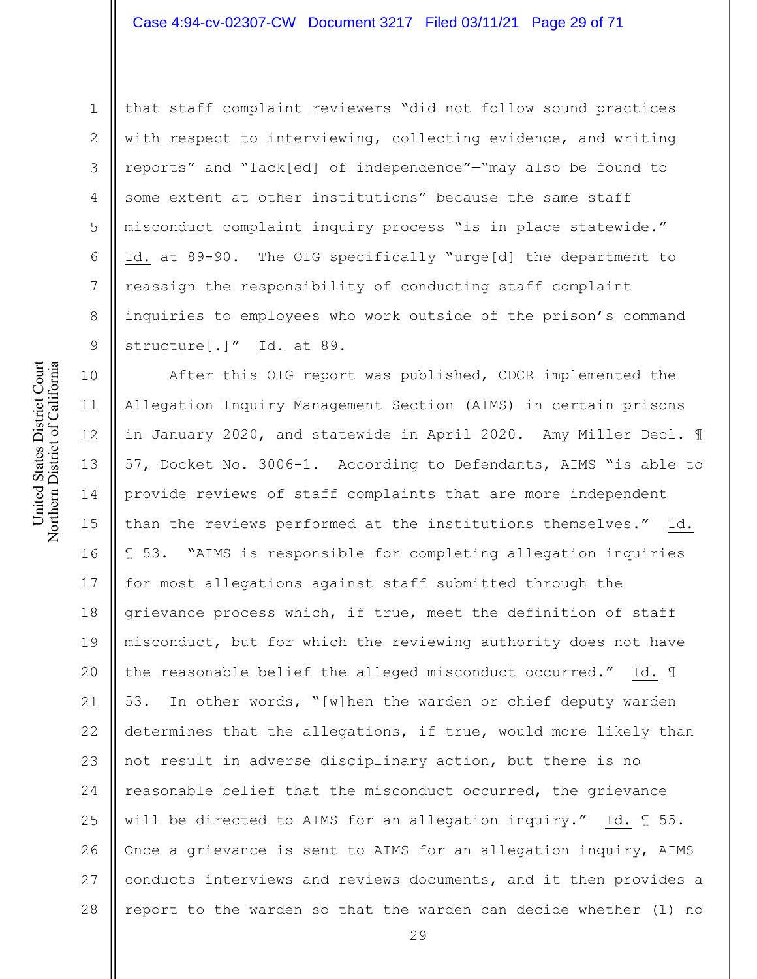that staff complaint reviewers "did not follow sound practices with respect to interviewing, collecting evidence, and writing reports" and "lack[ed] of independence"—"may also be found to some extent at other institutions" because the same staff misconduct complaint inquiry process "is in place statewide." Id. at 89-90. The OIG specifically "urge[d] the department to reassign the responsibility of conducting staff complaint inquiries to employees who work outside of the prison's command structure[.]" Id. at 89.

10 11 12 13 14 15 16 17 18 19 20 21 22 23 24 25 26 27 28 After this OIG report was published, CDCR implemented the Allegation Inquiry Management Section (AIMS) in certain prisons in January 2020, and statewide in April 2020. Amy Miller Decl. ¶ 57, Docket No. 3006-1. According to Defendants, AIMS "is able to provide reviews of staff complaints that are more independent than the reviews performed at the institutions themselves." Id. ¶ 53. "AIMS is responsible for completing allegation inquiries for most allegations against staff submitted through the grievance process which, if true, meet the definition of staff misconduct, but for which the reviewing authority does not have the reasonable belief the alleged misconduct occurred." Id. ¶ 53. In other words, "[w]hen the warden or chief deputy warden determines that the allegations, if true, would more likely than not result in adverse disciplinary action, but there is no reasonable belief that the misconduct occurred, the grievance will be directed to AIMS for an allegation inquiry." Id. ¶ 55. Once a grievance is sent to AIMS for an allegation inquiry, AIMS conducts interviews and reviews documents, and it then provides a report to the warden so that the warden can decide whether (1) no

1

2

3

4

5

6

7

8

9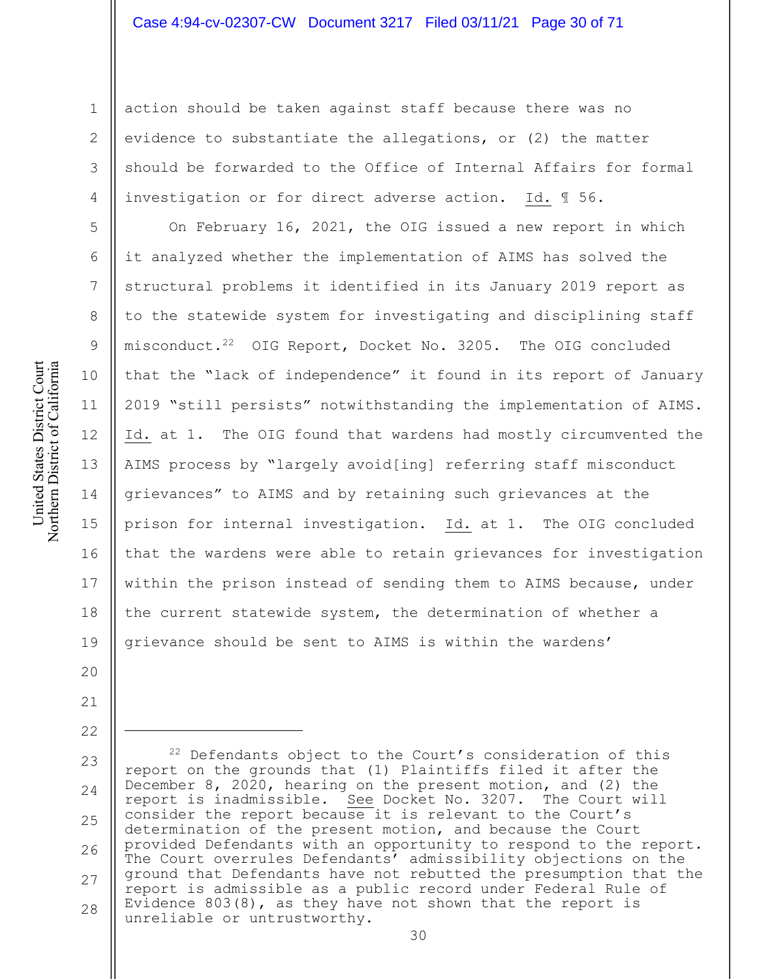1 2

3

4

5

6

7

8

9

10

11

12

13

14

15

16

17

18

19

20

21

22

action should be taken against staff because there was no evidence to substantiate the allegations, or (2) the matter should be forwarded to the Office of Internal Affairs for formal investigation or for direct adverse action. Id. ¶ 56.

On February 16, 2021, the OIG issued a new report in which it analyzed whether the implementation of AIMS has solved the structural problems it identified in its January 2019 report as to the statewide system for investigating and disciplining staff misconduct.<sup>22</sup> OIG Report, Docket No. 3205. The OIG concluded that the "lack of independence" it found in its report of January 2019 "still persists" notwithstanding the implementation of AIMS. Id. at 1. The OIG found that wardens had mostly circumvented the AIMS process by "largely avoid[ing] referring staff misconduct grievances" to AIMS and by retaining such grievances at the prison for internal investigation. Id. at 1. The OIG concluded that the wardens were able to retain grievances for investigation within the prison instead of sending them to AIMS because, under the current statewide system, the determination of whether a grievance should be sent to AIMS is within the wardens'

United States District Court Northern District of California United States District Court Northern District of California

> 23 24 25 26 27 28 <sup>22</sup> Defendants object to the Court's consideration of this report on the grounds that (1) Plaintiffs filed it after the December 8, 2020, hearing on the present motion, and (2) the report is inadmissible. See Docket No. 3207. The Court will consider the report because it is relevant to the Court's determination of the present motion, and because the Court provided Defendants with an opportunity to respond to the report. The Court overrules Defendants' admissibility objections on the ground that Defendants have not rebutted the presumption that the report is admissible as a public record under Federal Rule of Evidence 803(8), as they have not shown that the report is unreliable or untrustworthy.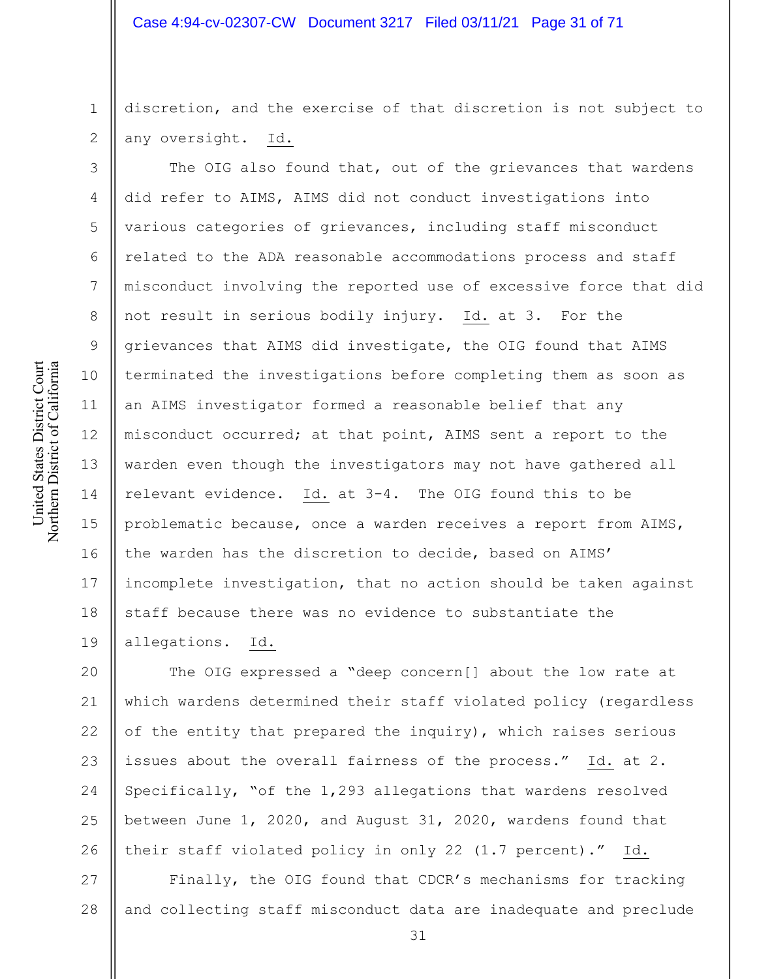discretion, and the exercise of that discretion is not subject to any oversight. Id.

The OIG also found that, out of the grievances that wardens did refer to AIMS, AIMS did not conduct investigations into various categories of grievances, including staff misconduct related to the ADA reasonable accommodations process and staff misconduct involving the reported use of excessive force that did not result in serious bodily injury. Id. at 3. For the grievances that AIMS did investigate, the OIG found that AIMS terminated the investigations before completing them as soon as an AIMS investigator formed a reasonable belief that any misconduct occurred; at that point, AIMS sent a report to the warden even though the investigators may not have gathered all relevant evidence. Id. at 3-4. The OIG found this to be problematic because, once a warden receives a report from AIMS, the warden has the discretion to decide, based on AIMS' incomplete investigation, that no action should be taken against staff because there was no evidence to substantiate the allegations. Id.

20 21 22 23 24 25 26 The OIG expressed a "deep concern[] about the low rate at which wardens determined their staff violated policy (regardless of the entity that prepared the inquiry), which raises serious issues about the overall fairness of the process." Id. at 2. Specifically, "of the 1,293 allegations that wardens resolved between June 1, 2020, and August 31, 2020, wardens found that their staff violated policy in only 22 (1.7 percent)." Id.

27 28 Finally, the OIG found that CDCR's mechanisms for tracking and collecting staff misconduct data are inadequate and preclude

1

2

3

4

5

6

7

8

9

10

11

12

13

14

15

16

17

18

19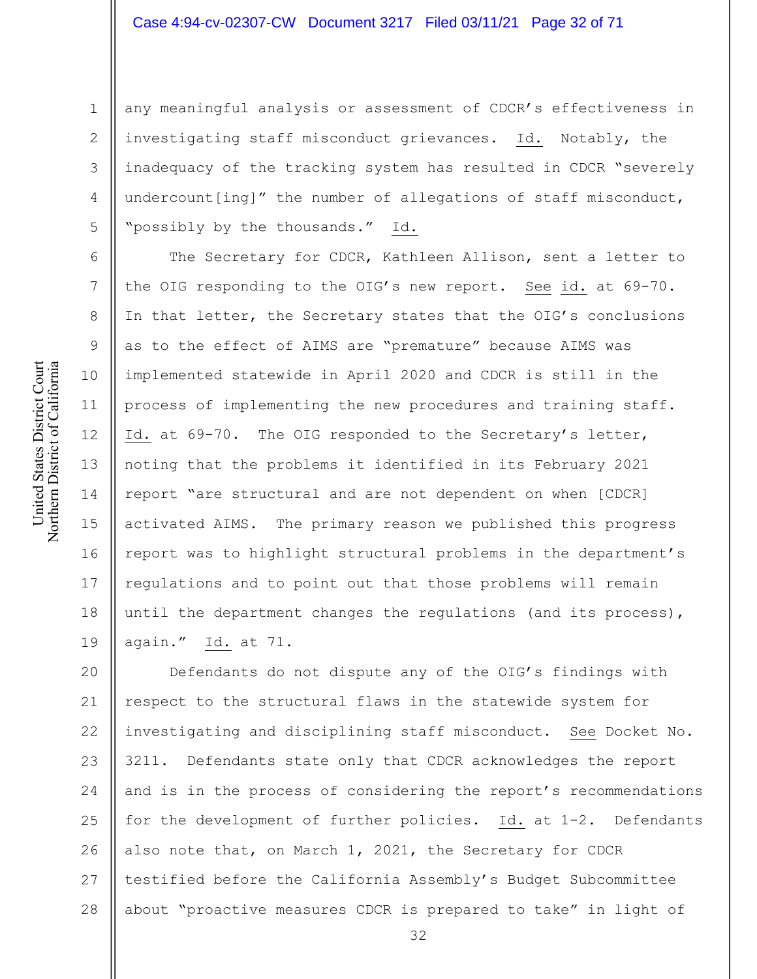1 2 3 4 5 any meaningful analysis or assessment of CDCR's effectiveness in investigating staff misconduct grievances. Id. Notably, the inadequacy of the tracking system has resulted in CDCR "severely undercount[ing]" the number of allegations of staff misconduct, "possibly by the thousands." Id.

The Secretary for CDCR, Kathleen Allison, sent a letter to the OIG responding to the OIG's new report. See id. at 69-70. In that letter, the Secretary states that the OIG's conclusions as to the effect of AIMS are "premature" because AIMS was implemented statewide in April 2020 and CDCR is still in the process of implementing the new procedures and training staff. Id. at 69-70. The OIG responded to the Secretary's letter, noting that the problems it identified in its February 2021 report "are structural and are not dependent on when [CDCR] activated AIMS. The primary reason we published this progress report was to highlight structural problems in the department's regulations and to point out that those problems will remain until the department changes the regulations (and its process), again." Id. at 71.

20 21 22 23 24 25 26 27 28 Defendants do not dispute any of the OIG's findings with respect to the structural flaws in the statewide system for investigating and disciplining staff misconduct. See Docket No. 3211. Defendants state only that CDCR acknowledges the report and is in the process of considering the report's recommendations for the development of further policies. Id. at 1-2. Defendants also note that, on March 1, 2021, the Secretary for CDCR testified before the California Assembly's Budget Subcommittee about "proactive measures CDCR is prepared to take" in light of

6

7

8

9

10

11

12

13

14

15

16

17

18

19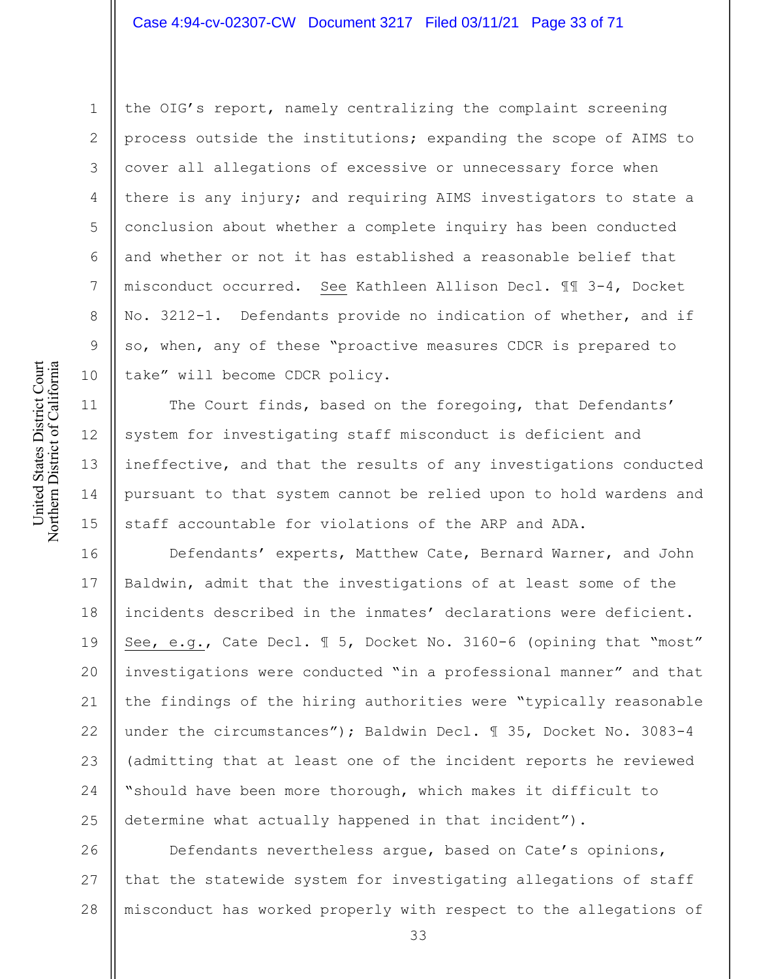# Case 4:94-cv-02307-CW Document 3217 Filed 03/11/21 Page 33 of 71

the OIG's report, namely centralizing the complaint screening process outside the institutions; expanding the scope of AIMS to cover all allegations of excessive or unnecessary force when there is any injury; and requiring AIMS investigators to state a conclusion about whether a complete inquiry has been conducted and whether or not it has established a reasonable belief that misconduct occurred. See Kathleen Allison Decl. ¶¶ 3-4, Docket No. 3212-1. Defendants provide no indication of whether, and if so, when, any of these "proactive measures CDCR is prepared to take" will become CDCR policy.

The Court finds, based on the foregoing, that Defendants' system for investigating staff misconduct is deficient and ineffective, and that the results of any investigations conducted pursuant to that system cannot be relied upon to hold wardens and staff accountable for violations of the ARP and ADA.

16 17 18 19 20 21 22 23 24 25 Defendants' experts, Matthew Cate, Bernard Warner, and John Baldwin, admit that the investigations of at least some of the incidents described in the inmates' declarations were deficient. See, e.g., Cate Decl. ¶ 5, Docket No. 3160-6 (opining that "most" investigations were conducted "in a professional manner" and that the findings of the hiring authorities were "typically reasonable under the circumstances"); Baldwin Decl. ¶ 35, Docket No. 3083-4 (admitting that at least one of the incident reports he reviewed "should have been more thorough, which makes it difficult to determine what actually happened in that incident").

26 27 28 Defendants nevertheless argue, based on Cate's opinions, that the statewide system for investigating allegations of staff misconduct has worked properly with respect to the allegations of

1

2

3

4

5

6

7

8

9

10

11

12

13

14

15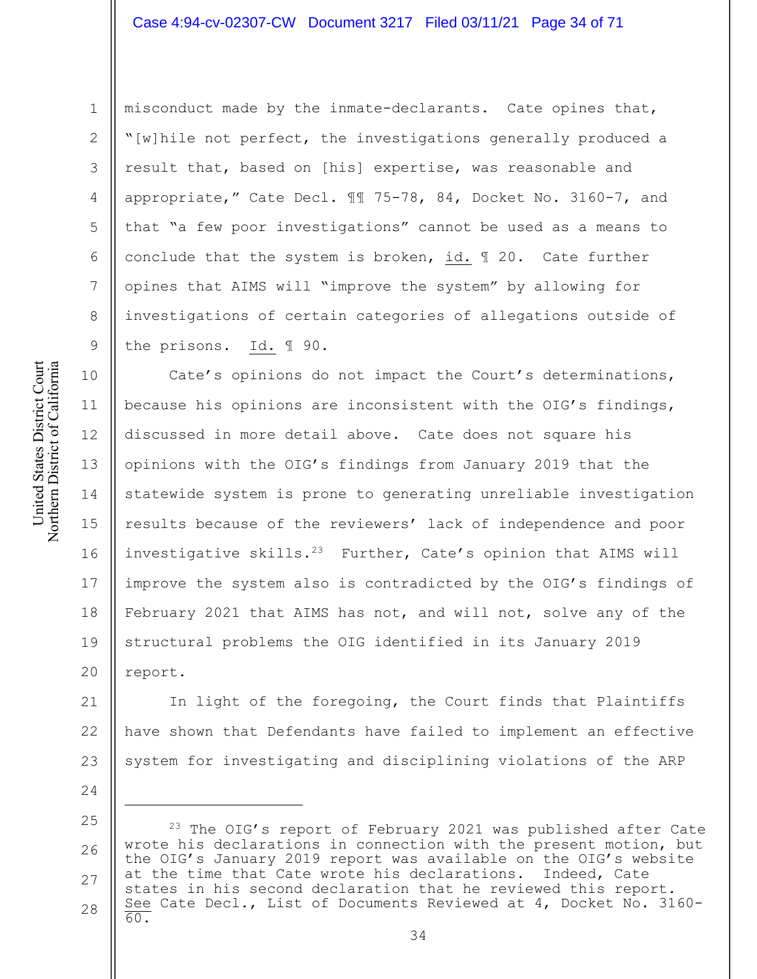### Case 4:94-cv-02307-CW Document 3217 Filed 03/11/21 Page 34 of 71

misconduct made by the inmate-declarants. Cate opines that, "[w]hile not perfect, the investigations generally produced a result that, based on [his] expertise, was reasonable and appropriate," Cate Decl. ¶¶ 75-78, 84, Docket No. 3160-7, and that "a few poor investigations" cannot be used as a means to conclude that the system is broken, id. ¶ 20. Cate further opines that AIMS will "improve the system" by allowing for investigations of certain categories of allegations outside of the prisons. Id. ¶ 90.

11 13 14 15 16 17 18 19 20 Cate's opinions do not impact the Court's determinations, because his opinions are inconsistent with the OIG's findings, discussed in more detail above. Cate does not square his opinions with the OIG's findings from January 2019 that the statewide system is prone to generating unreliable investigation results because of the reviewers' lack of independence and poor investigative skills.23 Further, Cate's opinion that AIMS will improve the system also is contradicted by the OIG's findings of February 2021 that AIMS has not, and will not, solve any of the structural problems the OIG identified in its January 2019 report.

21 22 23 In light of the foregoing, the Court finds that Plaintiffs have shown that Defendants have failed to implement an effective system for investigating and disciplining violations of the ARP

- 24
- 25

1

2

3

4

5

6

7

8

9

10

<sup>26</sup> 27 28 <sup>23</sup> The OIG's report of February 2021 was published after Cate wrote his declarations in connection with the present motion, but the OIG's January 2019 report was available on the OIG's website at the time that Cate wrote his declarations. Indeed, Cate states in his second declaration that he reviewed this report. See Cate Decl., List of Documents Reviewed at 4, Docket No. 3160- 60.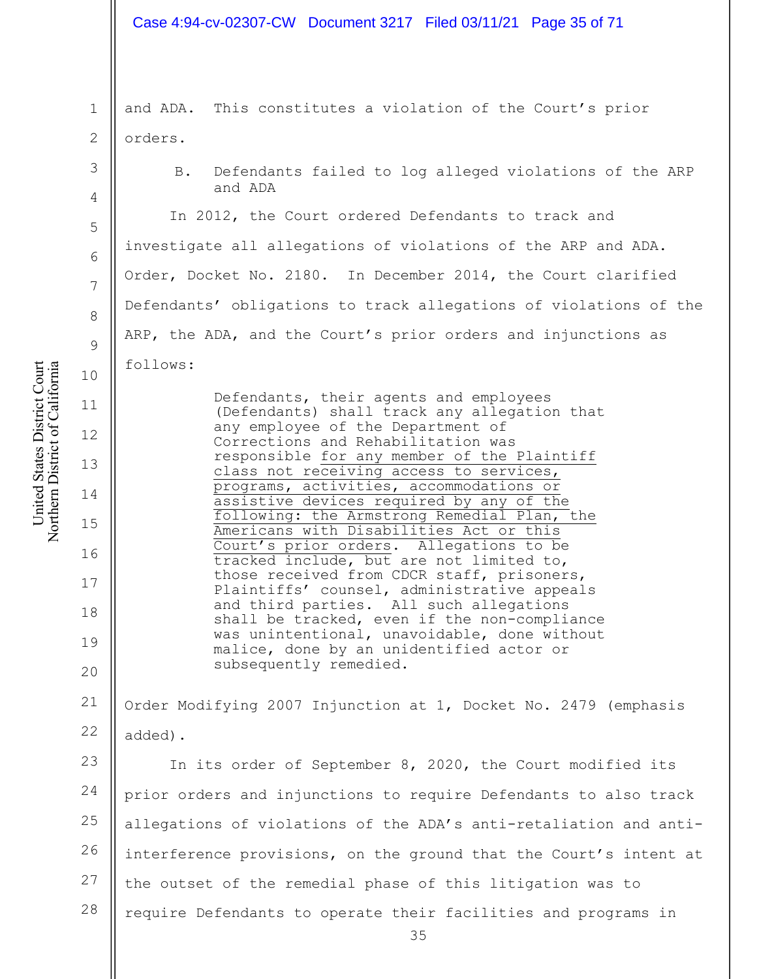#### Case 4:94-cv-02307-CW Document 3217 Filed 03/11/21 Page 35 of 71

1 2 and ADA. This constitutes a violation of the Court's prior orders.

> B. Defendants failed to log alleged violations of the ARP and ADA

In 2012, the Court ordered Defendants to track and investigate all allegations of violations of the ARP and ADA. Order, Docket No. 2180. In December 2014, the Court clarified Defendants' obligations to track allegations of violations of the ARP, the ADA, and the Court's prior orders and injunctions as follows:

Defendants, their agents and employees (Defendants) shall track any allegation that any employee of the Department of Corrections and Rehabilitation was responsible for any member of the Plaintiff class not receiving access to services, programs, activities, accommodations or assistive devices required by any of the following: the Armstrong Remedial Plan, the Americans with Disabilities Act or this Court's prior orders. Allegations to be tracked include, but are not limited to, those received from CDCR staff, prisoners, Plaintiffs' counsel, administrative appeals and third parties. All such allegations shall be tracked, even if the non-compliance was unintentional, unavoidable, done without malice, done by an unidentified actor or subsequently remedied.

21 22 Order Modifying 2007 Injunction at 1, Docket No. 2479 (emphasis added).

23 24 25 26 27 28 In its order of September 8, 2020, the Court modified its prior orders and injunctions to require Defendants to also track allegations of violations of the ADA's anti-retaliation and antiinterference provisions, on the ground that the Court's intent at the outset of the remedial phase of this litigation was to require Defendants to operate their facilities and programs in

United States District Court Northern District of California United States District Court Northern District of California

3

4

5

6

7

8

9

10

11

12

13

14

15

16

17

18

19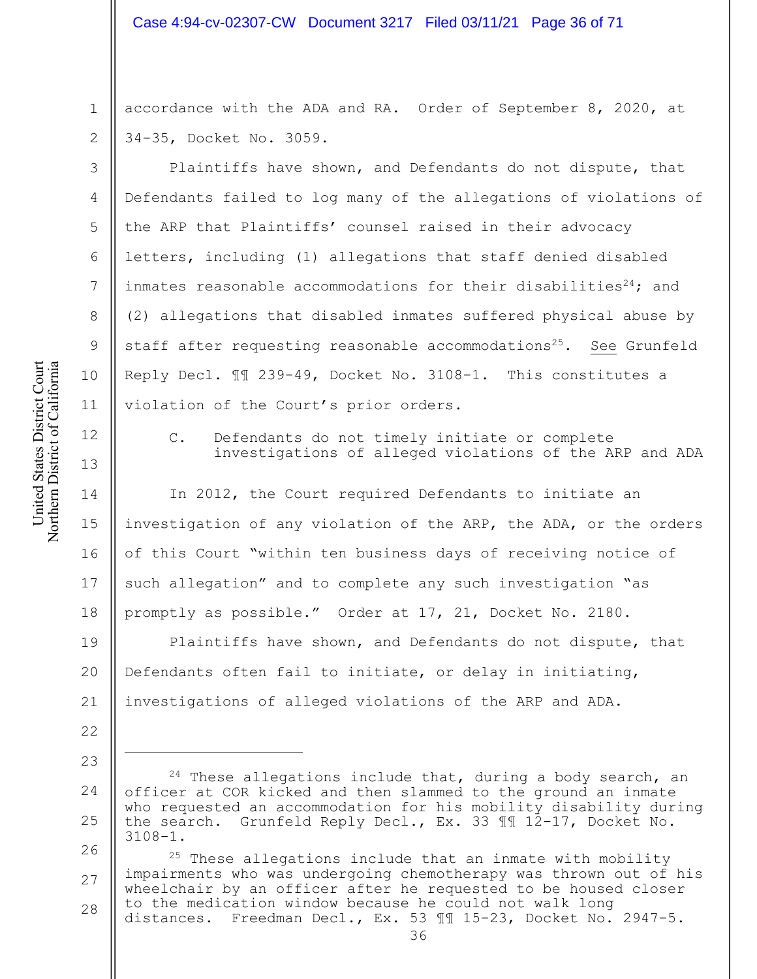1 2 accordance with the ADA and RA. Order of September 8, 2020, at 34-35, Docket No. 3059.

Plaintiffs have shown, and Defendants do not dispute, that Defendants failed to log many of the allegations of violations of the ARP that Plaintiffs' counsel raised in their advocacy letters, including (1) allegations that staff denied disabled inmates reasonable accommodations for their disabilities<sup>24</sup>; and (2) allegations that disabled inmates suffered physical abuse by staff after requesting reasonable accommodations<sup>25</sup>. See Grunfeld Reply Decl. ¶¶ 239-49, Docket No. 3108-1. This constitutes a violation of the Court's prior orders.

12

13

United States District Court Northern District of California

United States District Court Northern District of California

22

23

3

4

5

6

7

8

9

10

11

C. Defendants do not timely initiate or complete investigations of alleged violations of the ARP and ADA

14 15 16 17 18 In 2012, the Court required Defendants to initiate an investigation of any violation of the ARP, the ADA, or the orders of this Court "within ten business days of receiving notice of such allegation" and to complete any such investigation "as promptly as possible." Order at 17, 21, Docket No. 2180.

19 20 21 Plaintiffs have shown, and Defendants do not dispute, that Defendants often fail to initiate, or delay in initiating, investigations of alleged violations of the ARP and ADA.

26 27 28  $25$  These allegations include that an inmate with mobility impairments who was undergoing chemotherapy was thrown out of his wheelchair by an officer after he requested to be housed closer to the medication window because he could not walk long distances. Freedman Decl., Ex. 53 ¶¶ 15-23, Docket No. 2947-5.

<sup>24</sup> 25  $24$  These allegations include that, during a body search, an officer at COR kicked and then slammed to the ground an inmate who requested an accommodation for his mobility disability during the search. Grunfeld Reply Decl., Ex. 33 ¶¶ 12-17, Docket No. 3108-1.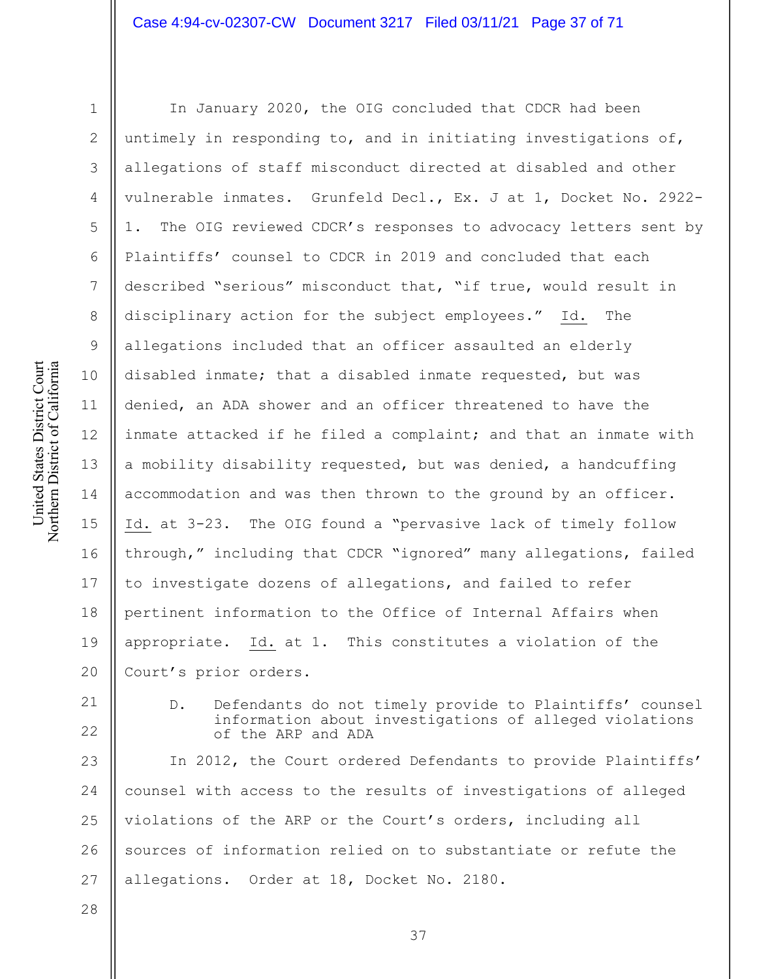United States District Court Northern District of California United States District Court Northern District of California

1 2 3 4 5 6 7 8 9 10 11 12 13 14 15 16 17 18 19 20 In January 2020, the OIG concluded that CDCR had been untimely in responding to, and in initiating investigations of, allegations of staff misconduct directed at disabled and other vulnerable inmates. Grunfeld Decl., Ex. J at 1, Docket No. 2922- 1. The OIG reviewed CDCR's responses to advocacy letters sent by Plaintiffs' counsel to CDCR in 2019 and concluded that each described "serious" misconduct that, "if true, would result in disciplinary action for the subject employees." Id. The allegations included that an officer assaulted an elderly disabled inmate; that a disabled inmate requested, but was denied, an ADA shower and an officer threatened to have the inmate attacked if he filed a complaint; and that an inmate with a mobility disability requested, but was denied, a handcuffing accommodation and was then thrown to the ground by an officer. Id. at 3-23. The OIG found a "pervasive lack of timely follow through," including that CDCR "ignored" many allegations, failed to investigate dozens of allegations, and failed to refer pertinent information to the Office of Internal Affairs when appropriate. Id. at 1. This constitutes a violation of the Court's prior orders.

21 22

D. Defendants do not timely provide to Plaintiffs' counsel information about investigations of alleged violations of the ARP and ADA

23 24 25 26 27 In 2012, the Court ordered Defendants to provide Plaintiffs' counsel with access to the results of investigations of alleged violations of the ARP or the Court's orders, including all sources of information relied on to substantiate or refute the allegations. Order at 18, Docket No. 2180.

28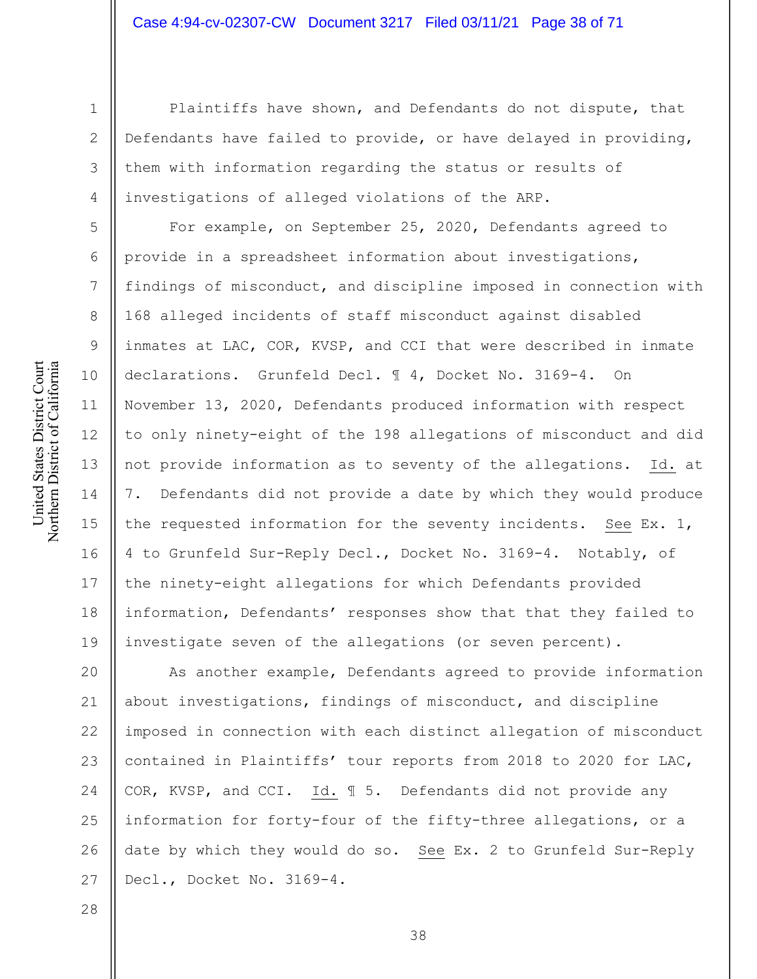1 2

3

4

5

6

7

8

9

10

11

12

13

14

15

16

17

18

19

28

Plaintiffs have shown, and Defendants do not dispute, that Defendants have failed to provide, or have delayed in providing, them with information regarding the status or results of investigations of alleged violations of the ARP.

For example, on September 25, 2020, Defendants agreed to provide in a spreadsheet information about investigations, findings of misconduct, and discipline imposed in connection with 168 alleged incidents of staff misconduct against disabled inmates at LAC, COR, KVSP, and CCI that were described in inmate declarations. Grunfeld Decl. ¶ 4, Docket No. 3169-4. On November 13, 2020, Defendants produced information with respect to only ninety-eight of the 198 allegations of misconduct and did not provide information as to seventy of the allegations. Id. at 7. Defendants did not provide a date by which they would produce the requested information for the seventy incidents. See Ex. 1, 4 to Grunfeld Sur-Reply Decl., Docket No. 3169-4. Notably, of the ninety-eight allegations for which Defendants provided information, Defendants' responses show that that they failed to investigate seven of the allegations (or seven percent).

20 21 22 23 24 25 26 27 As another example, Defendants agreed to provide information about investigations, findings of misconduct, and discipline imposed in connection with each distinct allegation of misconduct contained in Plaintiffs' tour reports from 2018 to 2020 for LAC, COR, KVSP, and CCI. Id. ¶ 5. Defendants did not provide any information for forty-four of the fifty-three allegations, or a date by which they would do so. See Ex. 2 to Grunfeld Sur-Reply Decl., Docket No. 3169-4.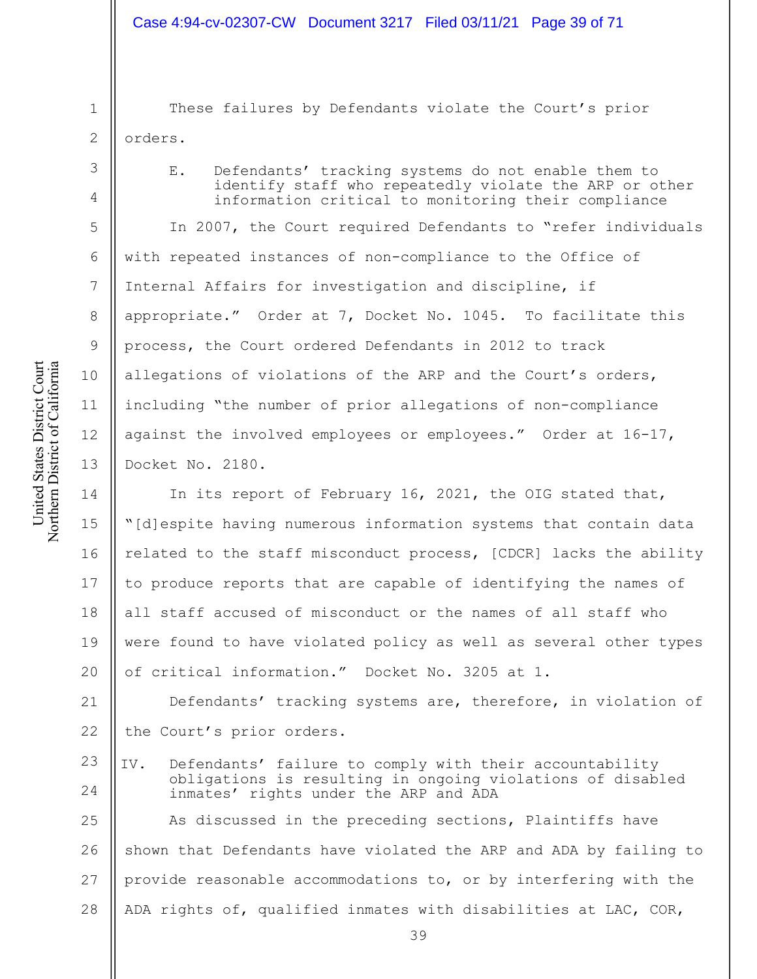1  $\mathcal{D}_{\mathcal{L}}$ 

3

4

5

6

7

8

9

10

11

12

13

These failures by Defendants violate the Court's prior orders.

E. Defendants' tracking systems do not enable them to identify staff who repeatedly violate the ARP or other information critical to monitoring their compliance

In 2007, the Court required Defendants to "refer individuals with repeated instances of non-compliance to the Office of Internal Affairs for investigation and discipline, if appropriate." Order at 7, Docket No. 1045. To facilitate this process, the Court ordered Defendants in 2012 to track allegations of violations of the ARP and the Court's orders, including "the number of prior allegations of non-compliance against the involved employees or employees." Order at 16-17, Docket No. 2180.

14 15 16 17 18 19 20 In its report of February 16, 2021, the OIG stated that, "[d]espite having numerous information systems that contain data related to the staff misconduct process, [CDCR] lacks the ability to produce reports that are capable of identifying the names of all staff accused of misconduct or the names of all staff who were found to have violated policy as well as several other types of critical information." Docket No. 3205 at 1.

21 22 Defendants' tracking systems are, therefore, in violation of the Court's prior orders.

23 24 IV. Defendants' failure to comply with their accountability obligations is resulting in ongoing violations of disabled inmates' rights under the ARP and ADA

25 26 27 28 As discussed in the preceding sections, Plaintiffs have shown that Defendants have violated the ARP and ADA by failing to provide reasonable accommodations to, or by interfering with the ADA rights of, qualified inmates with disabilities at LAC, COR,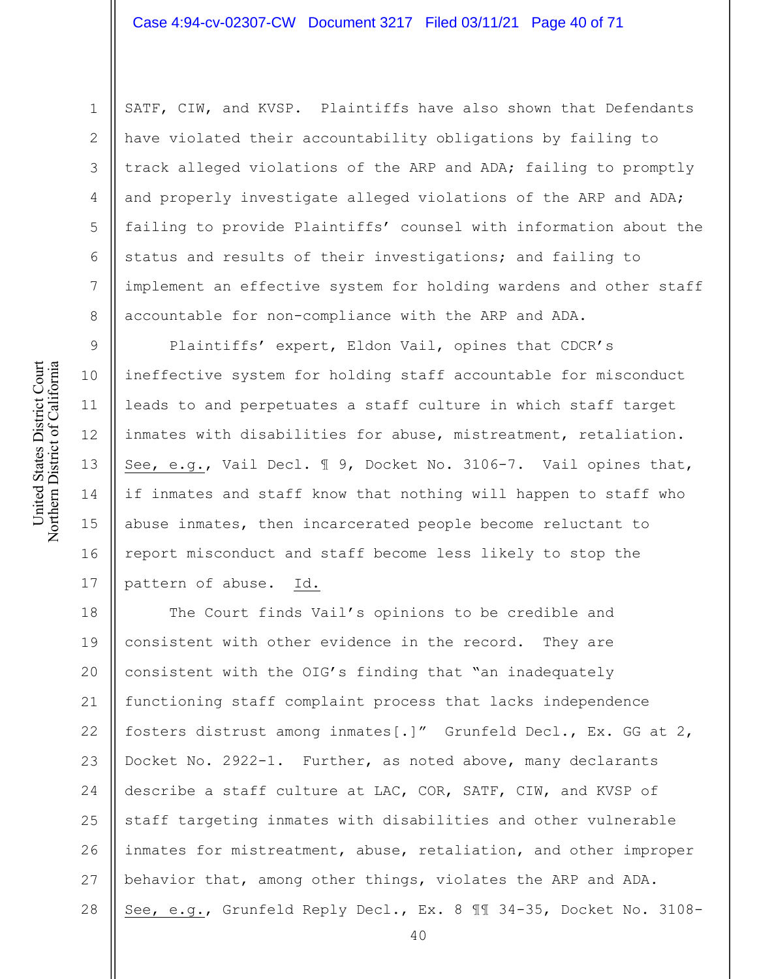United States District Court Northern District of California United States District Court Northern District of California

9

10

11

12

13

14

15

16

17

1 2 3 4 5 6 7 8 SATF, CIW, and KVSP. Plaintiffs have also shown that Defendants have violated their accountability obligations by failing to track alleged violations of the ARP and ADA; failing to promptly and properly investigate alleged violations of the ARP and ADA; failing to provide Plaintiffs' counsel with information about the status and results of their investigations; and failing to implement an effective system for holding wardens and other staff accountable for non-compliance with the ARP and ADA.

Plaintiffs' expert, Eldon Vail, opines that CDCR's ineffective system for holding staff accountable for misconduct leads to and perpetuates a staff culture in which staff target inmates with disabilities for abuse, mistreatment, retaliation. See, e.g., Vail Decl. ¶ 9, Docket No. 3106-7. Vail opines that, if inmates and staff know that nothing will happen to staff who abuse inmates, then incarcerated people become reluctant to report misconduct and staff become less likely to stop the pattern of abuse. Id.

18 19 20 21 22 23 24 25 26 27 28 The Court finds Vail's opinions to be credible and consistent with other evidence in the record. They are consistent with the OIG's finding that "an inadequately functioning staff complaint process that lacks independence fosters distrust among inmates[.]" Grunfeld Decl., Ex. GG at 2, Docket No. 2922-1. Further, as noted above, many declarants describe a staff culture at LAC, COR, SATF, CIW, and KVSP of staff targeting inmates with disabilities and other vulnerable inmates for mistreatment, abuse, retaliation, and other improper behavior that, among other things, violates the ARP and ADA. See, e.g., Grunfeld Reply Decl., Ex. 8 ¶¶ 34-35, Docket No. 3108-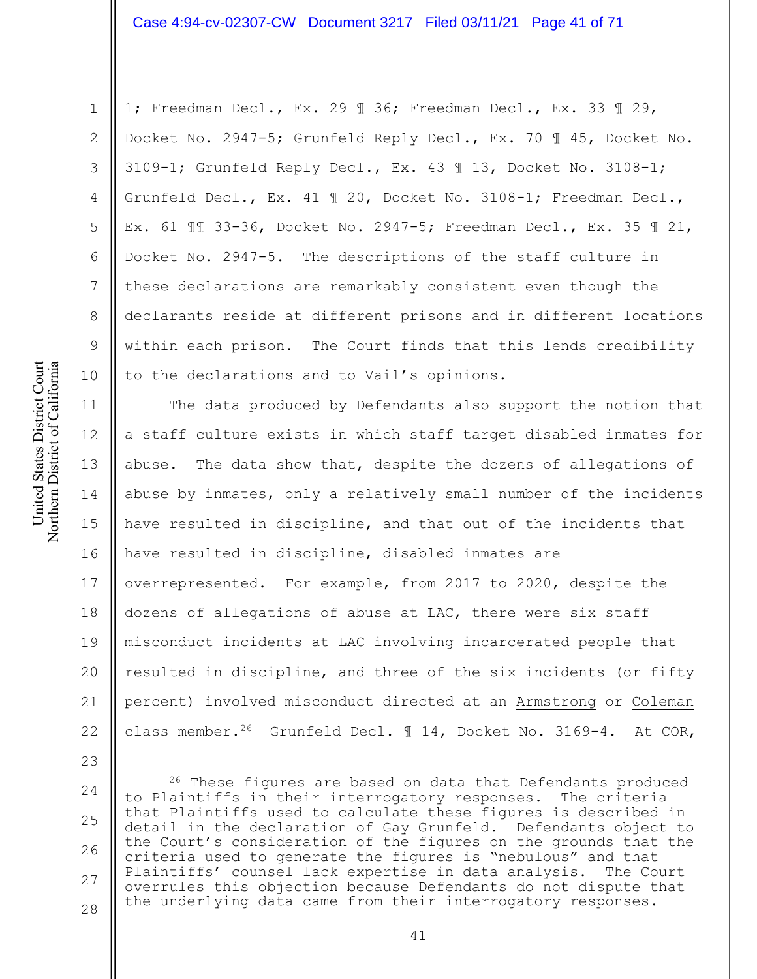United States District Court Northern District of California United States District Court Northern District of California

1

2

3

4

5

6

7

8

9

10

23

1; Freedman Decl., Ex. 29 ¶ 36; Freedman Decl., Ex. 33 ¶ 29, Docket No. 2947-5; Grunfeld Reply Decl., Ex. 70 ¶ 45, Docket No. 3109-1; Grunfeld Reply Decl., Ex. 43 ¶ 13, Docket No. 3108-1; Grunfeld Decl., Ex. 41 ¶ 20, Docket No. 3108-1; Freedman Decl., Ex. 61 ¶¶ 33-36, Docket No. 2947-5; Freedman Decl., Ex. 35 ¶ 21, Docket No. 2947-5. The descriptions of the staff culture in these declarations are remarkably consistent even though the declarants reside at different prisons and in different locations within each prison. The Court finds that this lends credibility to the declarations and to Vail's opinions.

11 12 13 14 15 16 17 18 19 20 21 22 The data produced by Defendants also support the notion that a staff culture exists in which staff target disabled inmates for abuse. The data show that, despite the dozens of allegations of abuse by inmates, only a relatively small number of the incidents have resulted in discipline, and that out of the incidents that have resulted in discipline, disabled inmates are overrepresented. For example, from 2017 to 2020, despite the dozens of allegations of abuse at LAC, there were six staff misconduct incidents at LAC involving incarcerated people that resulted in discipline, and three of the six incidents (or fifty percent) involved misconduct directed at an Armstrong or Coleman class member.<sup>26</sup> Grunfeld Decl.  $\mathbb{I}$  14, Docket No. 3169-4. At COR,

<sup>24</sup> 25 26 27 28 <sup>26</sup> These figures are based on data that Defendants produced to Plaintiffs in their interrogatory responses. The criteria that Plaintiffs used to calculate these figures is described in detail in the declaration of Gay Grunfeld. Defendants object to the Court's consideration of the figures on the grounds that the criteria used to generate the figures is "nebulous" and that Plaintiffs' counsel lack expertise in data analysis. The Court overrules this objection because Defendants do not dispute that the underlying data came from their interrogatory responses.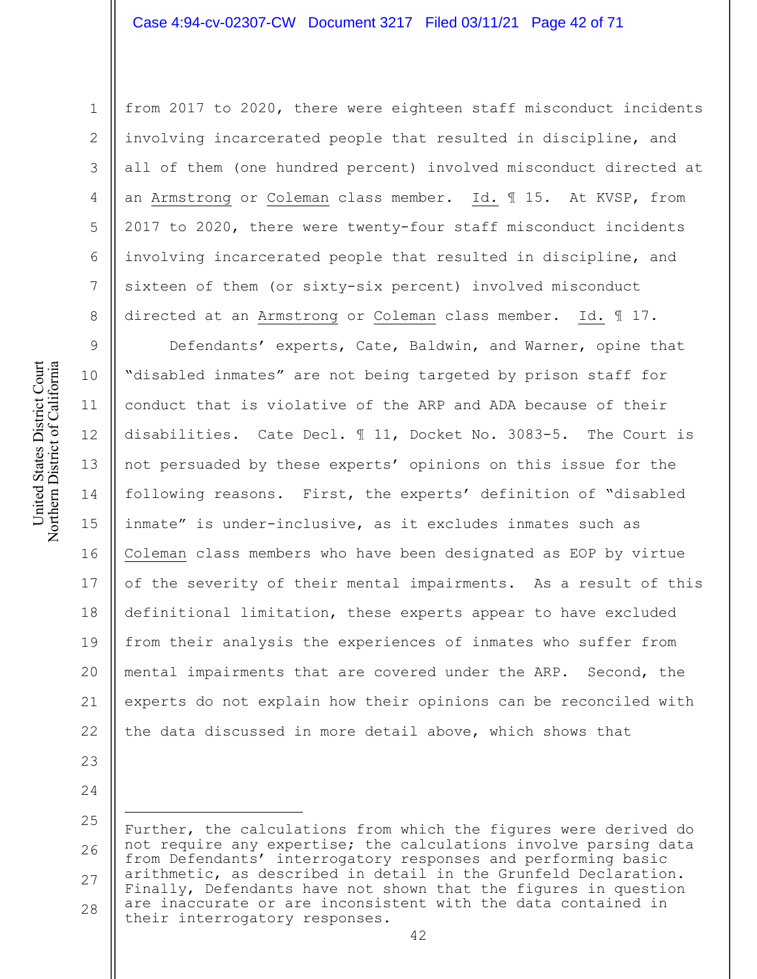from 2017 to 2020, there were eighteen staff misconduct incidents involving incarcerated people that resulted in discipline, and all of them (one hundred percent) involved misconduct directed at an Armstrong or Coleman class member. Id. ¶ 15. At KVSP, from 2017 to 2020, there were twenty-four staff misconduct incidents involving incarcerated people that resulted in discipline, and sixteen of them (or sixty-six percent) involved misconduct directed at an Armstrong or Coleman class member. Id. ¶ 17.

9 10 11 12 13 14 15 16 17 18 19 20 21 22 Defendants' experts, Cate, Baldwin, and Warner, opine that "disabled inmates" are not being targeted by prison staff for conduct that is violative of the ARP and ADA because of their disabilities. Cate Decl. ¶ 11, Docket No. 3083-5. The Court is not persuaded by these experts' opinions on this issue for the following reasons. First, the experts' definition of "disabled inmate" is under-inclusive, as it excludes inmates such as Coleman class members who have been designated as EOP by virtue of the severity of their mental impairments. As a result of this definitional limitation, these experts appear to have excluded from their analysis the experiences of inmates who suffer from mental impairments that are covered under the ARP. Second, the experts do not explain how their opinions can be reconciled with the data discussed in more detail above, which shows that

24

23

1

2

3

4

5

6

7

8

United States District Court Northern District of California

United States District Court Northern District of California

<sup>26</sup> 27 28 Further, the calculations from which the figures were derived do not require any expertise; the calculations involve parsing data from Defendants' interrogatory responses and performing basic arithmetic, as described in detail in the Grunfeld Declaration. Finally, Defendants have not shown that the figures in question are inaccurate or are inconsistent with the data contained in their interrogatory responses.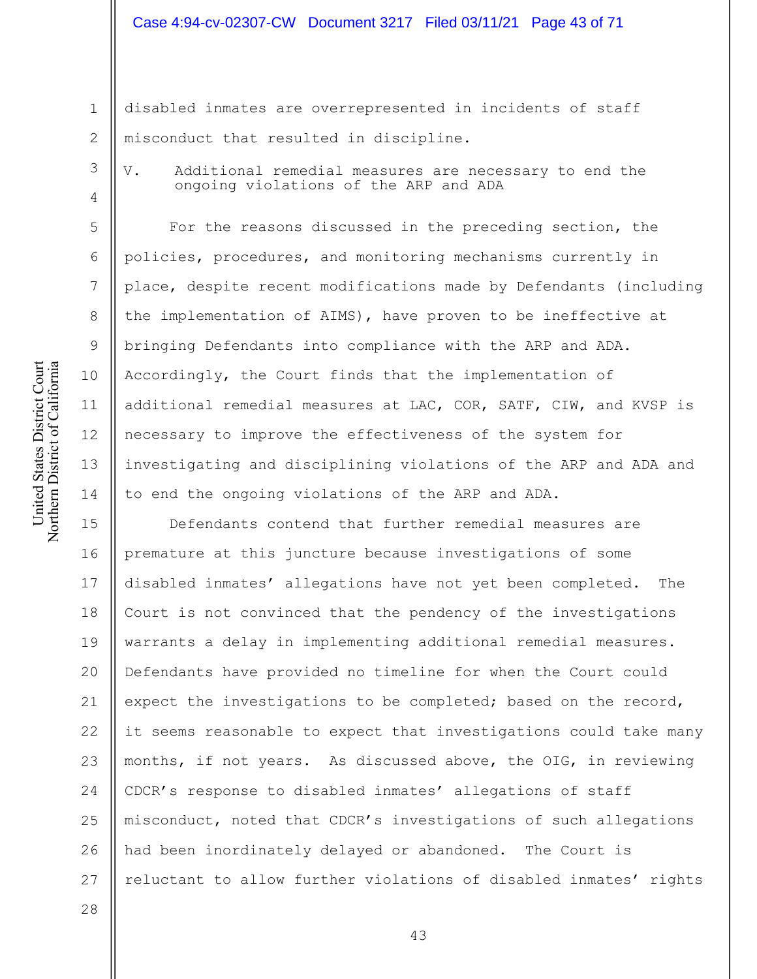# Case 4:94-cv-02307-CW Document 3217 Filed 03/11/21 Page 43 of 71

disabled inmates are overrepresented in incidents of staff misconduct that resulted in discipline.

3

4

5

6

7

8

9

10

11

12

13

14

28

1

2

V. Additional remedial measures are necessary to end the ongoing violations of the ARP and ADA

For the reasons discussed in the preceding section, the policies, procedures, and monitoring mechanisms currently in place, despite recent modifications made by Defendants (including the implementation of AIMS), have proven to be ineffective at bringing Defendants into compliance with the ARP and ADA. Accordingly, the Court finds that the implementation of additional remedial measures at LAC, COR, SATF, CIW, and KVSP is necessary to improve the effectiveness of the system for investigating and disciplining violations of the ARP and ADA and to end the ongoing violations of the ARP and ADA.

15 16 17 18 19 20 21 22 23 24 25 26 27 Defendants contend that further remedial measures are premature at this juncture because investigations of some disabled inmates' allegations have not yet been completed. The Court is not convinced that the pendency of the investigations warrants a delay in implementing additional remedial measures. Defendants have provided no timeline for when the Court could expect the investigations to be completed; based on the record, it seems reasonable to expect that investigations could take many months, if not years. As discussed above, the OIG, in reviewing CDCR's response to disabled inmates' allegations of staff misconduct, noted that CDCR's investigations of such allegations had been inordinately delayed or abandoned. The Court is reluctant to allow further violations of disabled inmates' rights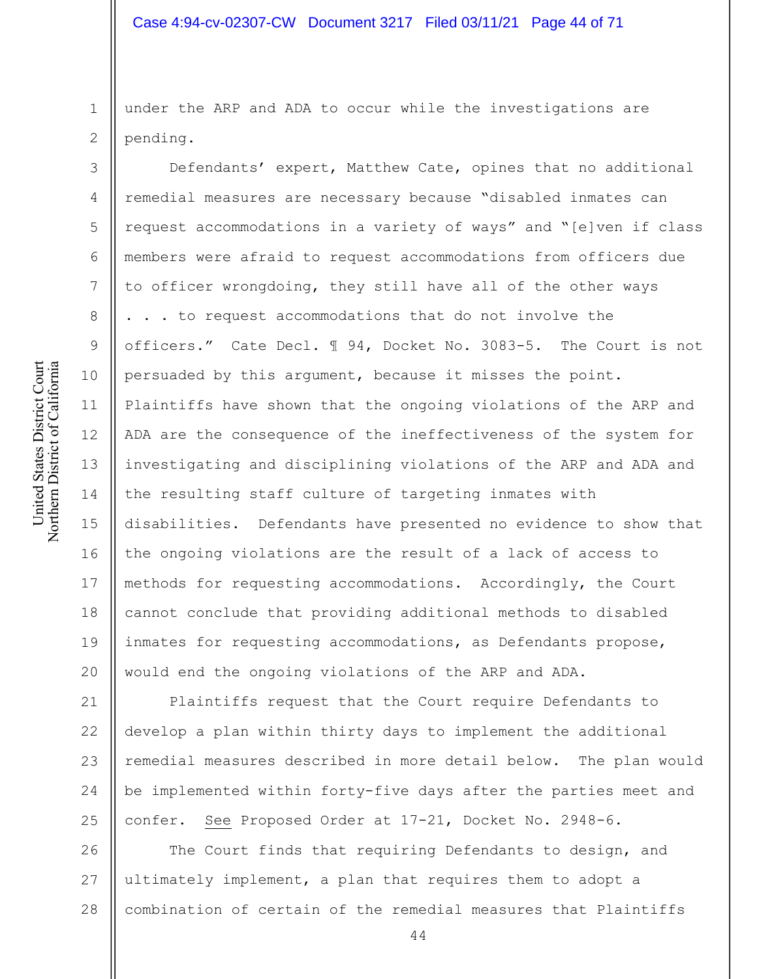1 2 under the ARP and ADA to occur while the investigations are pending.

Defendants' expert, Matthew Cate, opines that no additional remedial measures are necessary because "disabled inmates can request accommodations in a variety of ways" and "[e]ven if class members were afraid to request accommodations from officers due to officer wrongdoing, they still have all of the other ways . . . to request accommodations that do not involve the officers." Cate Decl. ¶ 94, Docket No. 3083-5. The Court is not persuaded by this argument, because it misses the point. Plaintiffs have shown that the ongoing violations of the ARP and ADA are the consequence of the ineffectiveness of the system for investigating and disciplining violations of the ARP and ADA and the resulting staff culture of targeting inmates with disabilities. Defendants have presented no evidence to show that the ongoing violations are the result of a lack of access to methods for requesting accommodations. Accordingly, the Court cannot conclude that providing additional methods to disabled inmates for requesting accommodations, as Defendants propose, would end the ongoing violations of the ARP and ADA.

21 22 23 24 25 Plaintiffs request that the Court require Defendants to develop a plan within thirty days to implement the additional remedial measures described in more detail below. The plan would be implemented within forty-five days after the parties meet and confer. See Proposed Order at 17-21, Docket No. 2948-6.

26 27 28 The Court finds that requiring Defendants to design, and ultimately implement, a plan that requires them to adopt a combination of certain of the remedial measures that Plaintiffs

3

4

5

6

7

8

9

10

11

12

13

14

15

16

17

18

19

20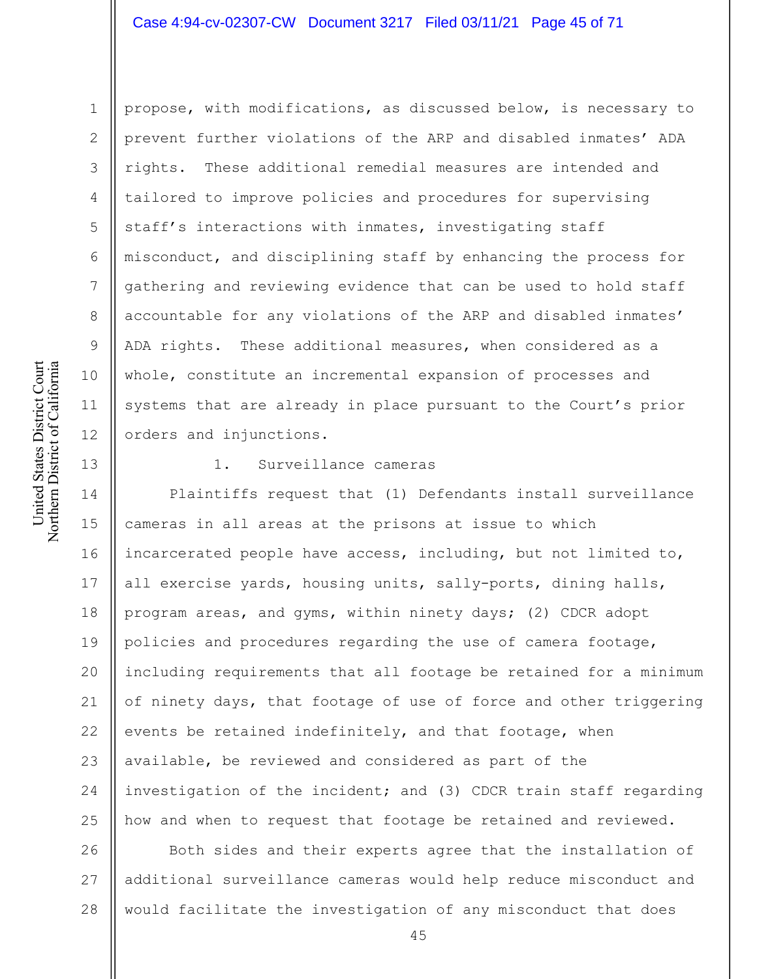#### Case 4:94-cv-02307-CW Document 3217 Filed 03/11/21 Page 45 of 71

1 2 3 4 5 6 7 8 9 10 11 12 propose, with modifications, as discussed below, is necessary to prevent further violations of the ARP and disabled inmates' ADA rights. These additional remedial measures are intended and tailored to improve policies and procedures for supervising staff's interactions with inmates, investigating staff misconduct, and disciplining staff by enhancing the process for gathering and reviewing evidence that can be used to hold staff accountable for any violations of the ARP and disabled inmates' ADA rights. These additional measures, when considered as a whole, constitute an incremental expansion of processes and systems that are already in place pursuant to the Court's prior orders and injunctions.

13

United States District Court Northern District of California

United States District Court Northern District of California

#### 1. Surveillance cameras

14 15 16 17 18 19 20 21 22 23 24 25 Plaintiffs request that (1) Defendants install surveillance cameras in all areas at the prisons at issue to which incarcerated people have access, including, but not limited to, all exercise yards, housing units, sally-ports, dining halls, program areas, and gyms, within ninety days; (2) CDCR adopt policies and procedures regarding the use of camera footage, including requirements that all footage be retained for a minimum of ninety days, that footage of use of force and other triggering events be retained indefinitely, and that footage, when available, be reviewed and considered as part of the investigation of the incident; and (3) CDCR train staff regarding how and when to request that footage be retained and reviewed.

26 27 28 Both sides and their experts agree that the installation of additional surveillance cameras would help reduce misconduct and would facilitate the investigation of any misconduct that does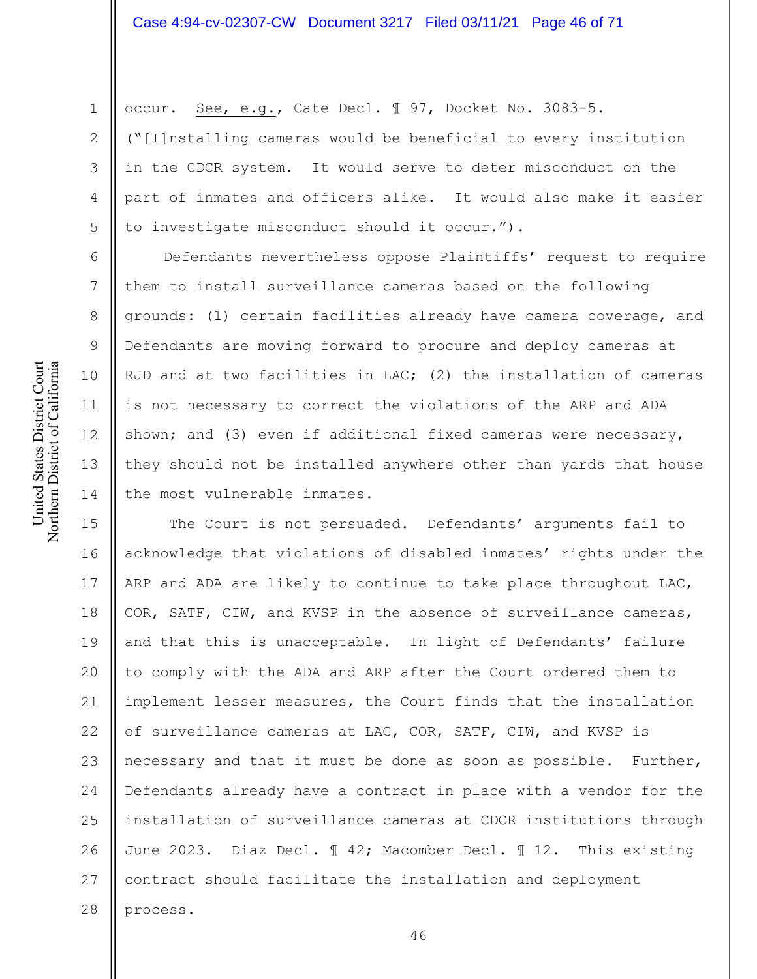occur. See, e.g., Cate Decl. ¶ 97, Docket No. 3083-5.

("[I]nstalling cameras would be beneficial to every institution in the CDCR system. It would serve to deter misconduct on the part of inmates and officers alike. It would also make it easier to investigate misconduct should it occur.").

Defendants nevertheless oppose Plaintiffs' request to require them to install surveillance cameras based on the following grounds: (1) certain facilities already have camera coverage, and Defendants are moving forward to procure and deploy cameras at RJD and at two facilities in LAC; (2) the installation of cameras is not necessary to correct the violations of the ARP and ADA shown; and (3) even if additional fixed cameras were necessary, they should not be installed anywhere other than yards that house the most vulnerable inmates.

15 16 17 18 19 20 21 22 23 24 25 26 27 28 The Court is not persuaded. Defendants' arguments fail to acknowledge that violations of disabled inmates' rights under the ARP and ADA are likely to continue to take place throughout LAC, COR, SATF, CIW, and KVSP in the absence of surveillance cameras, and that this is unacceptable. In light of Defendants' failure to comply with the ADA and ARP after the Court ordered them to implement lesser measures, the Court finds that the installation of surveillance cameras at LAC, COR, SATF, CIW, and KVSP is necessary and that it must be done as soon as possible. Further, Defendants already have a contract in place with a vendor for the installation of surveillance cameras at CDCR institutions through June 2023. Diaz Decl. ¶ 42; Macomber Decl. ¶ 12. This existing contract should facilitate the installation and deployment process.

1

2

3

4

5

6

7

8

9

10

11

12

13

14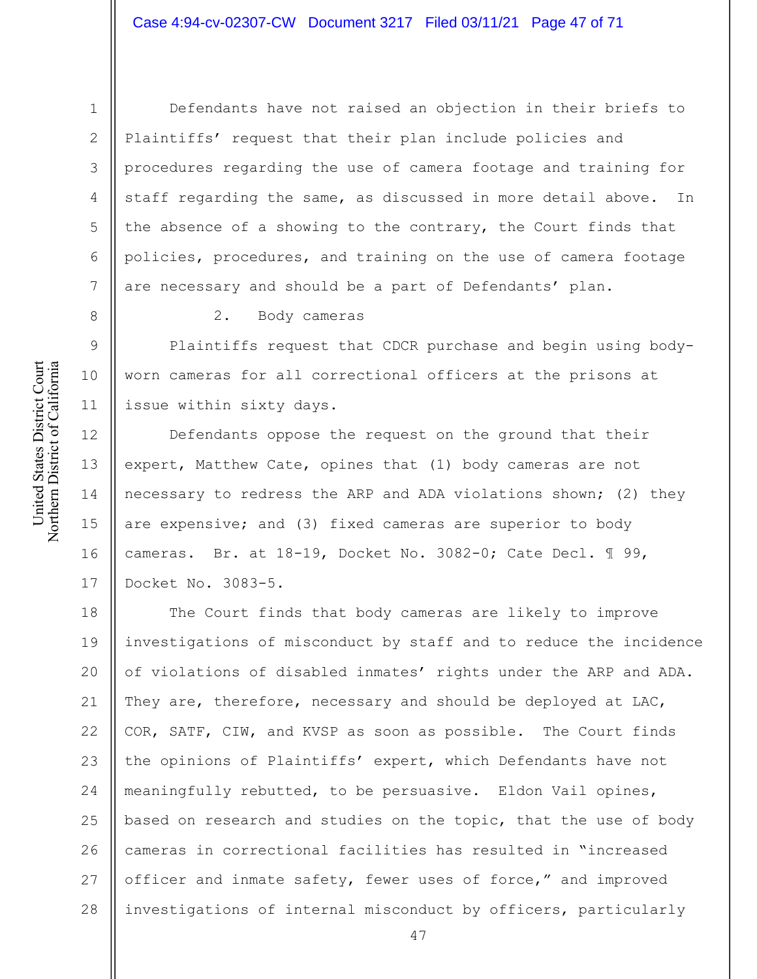United States District Court Northern District of California United States District Court Northern District of California

1

2

3

4

5

6

7

8

9

10

11

12

14

15

Defendants have not raised an objection in their briefs to Plaintiffs' request that their plan include policies and procedures regarding the use of camera footage and training for staff regarding the same, as discussed in more detail above. In the absence of a showing to the contrary, the Court finds that policies, procedures, and training on the use of camera footage are necessary and should be a part of Defendants' plan.

2. Body cameras

Plaintiffs request that CDCR purchase and begin using bodyworn cameras for all correctional officers at the prisons at issue within sixty days.

13 16 17 Defendants oppose the request on the ground that their expert, Matthew Cate, opines that (1) body cameras are not necessary to redress the ARP and ADA violations shown; (2) they are expensive; and (3) fixed cameras are superior to body cameras. Br. at 18-19, Docket No. 3082-0; Cate Decl. ¶ 99, Docket No. 3083-5.

18 19 20 21 22 23 24 25 26 27 28 The Court finds that body cameras are likely to improve investigations of misconduct by staff and to reduce the incidence of violations of disabled inmates' rights under the ARP and ADA. They are, therefore, necessary and should be deployed at LAC, COR, SATF, CIW, and KVSP as soon as possible. The Court finds the opinions of Plaintiffs' expert, which Defendants have not meaningfully rebutted, to be persuasive. Eldon Vail opines, based on research and studies on the topic, that the use of body cameras in correctional facilities has resulted in "increased officer and inmate safety, fewer uses of force," and improved investigations of internal misconduct by officers, particularly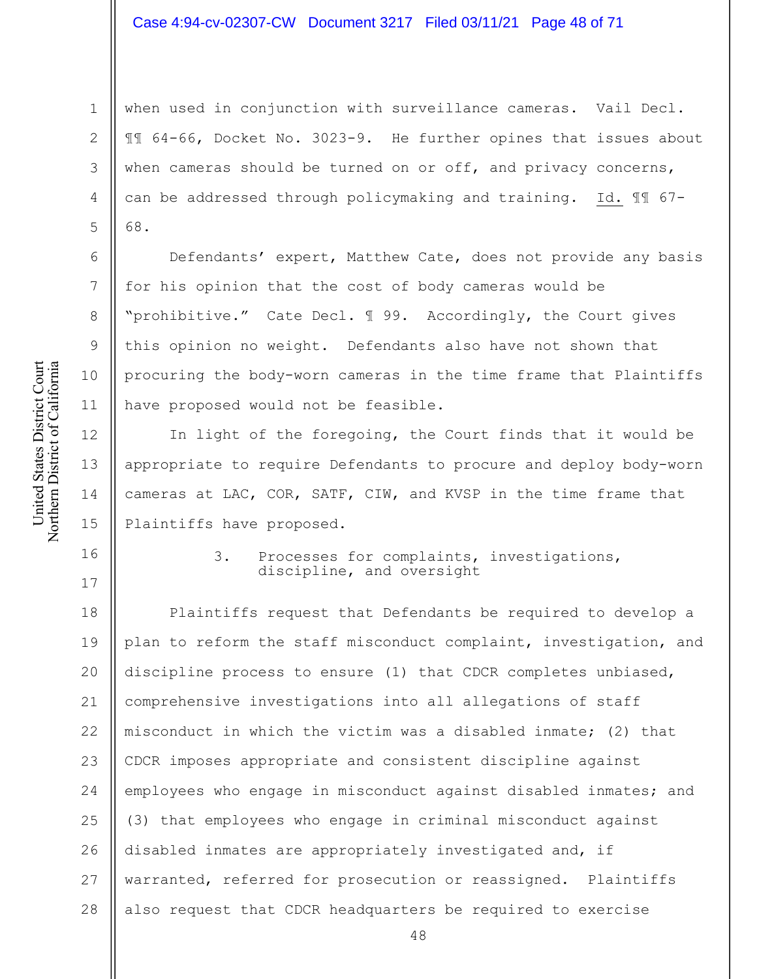when used in conjunction with surveillance cameras. Vail Decl. ¶¶ 64-66, Docket No. 3023-9. He further opines that issues about when cameras should be turned on or off, and privacy concerns, can be addressed through policymaking and training. Id. ¶¶ 67- 68.

Defendants' expert, Matthew Cate, does not provide any basis for his opinion that the cost of body cameras would be "prohibitive." Cate Decl. ¶ 99. Accordingly, the Court gives this opinion no weight. Defendants also have not shown that procuring the body-worn cameras in the time frame that Plaintiffs have proposed would not be feasible.

In light of the foregoing, the Court finds that it would be appropriate to require Defendants to procure and deploy body-worn cameras at LAC, COR, SATF, CIW, and KVSP in the time frame that Plaintiffs have proposed.

16

1

2

3

4

5

6

7

8

9

10

11

12

3. Processes for complaints, investigations, discipline, and oversight

18 19 20 21 22 23 24 25 26 27 28 Plaintiffs request that Defendants be required to develop a plan to reform the staff misconduct complaint, investigation, and discipline process to ensure (1) that CDCR completes unbiased, comprehensive investigations into all allegations of staff misconduct in which the victim was a disabled inmate; (2) that CDCR imposes appropriate and consistent discipline against employees who engage in misconduct against disabled inmates; and (3) that employees who engage in criminal misconduct against disabled inmates are appropriately investigated and, if warranted, referred for prosecution or reassigned. Plaintiffs also request that CDCR headquarters be required to exercise

Northern District of California Northern District of California 13 14 15 17

United States District Court

United States District Court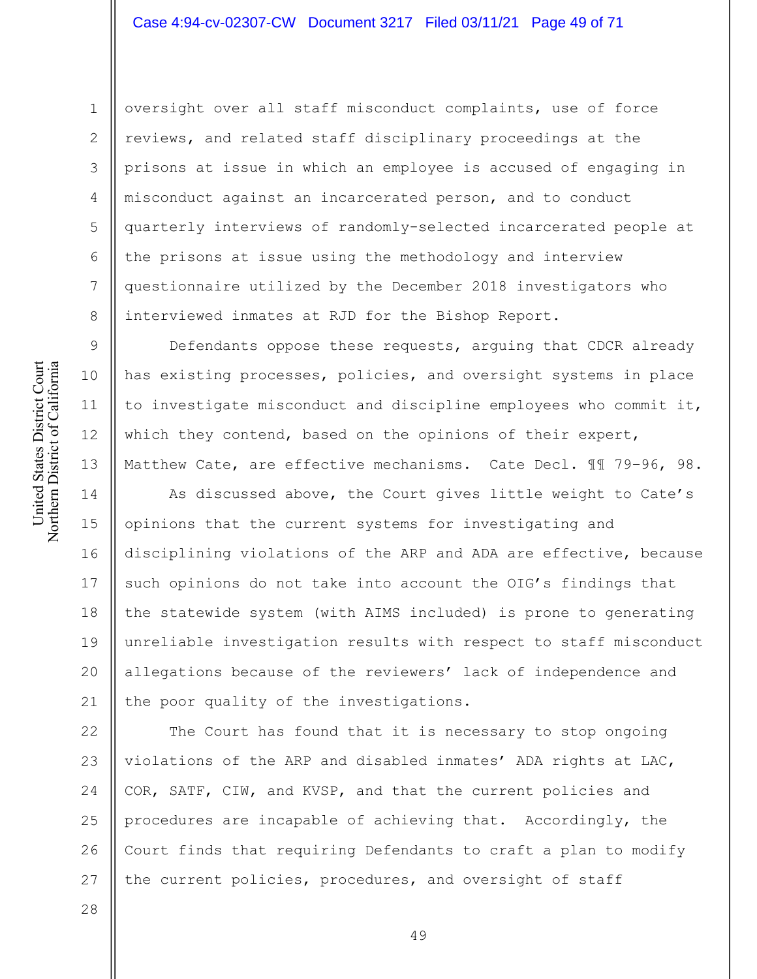# Case 4:94-cv-02307-CW Document 3217 Filed 03/11/21 Page 49 of 71

oversight over all staff misconduct complaints, use of force reviews, and related staff disciplinary proceedings at the prisons at issue in which an employee is accused of engaging in misconduct against an incarcerated person, and to conduct quarterly interviews of randomly-selected incarcerated people at the prisons at issue using the methodology and interview questionnaire utilized by the December 2018 investigators who interviewed inmates at RJD for the Bishop Report.

Defendants oppose these requests, arguing that CDCR already has existing processes, policies, and oversight systems in place to investigate misconduct and discipline employees who commit it, which they contend, based on the opinions of their expert, Matthew Cate, are effective mechanisms. Cate Decl. ¶¶ 79–96, 98.

14 15 16 17 18 19 20 21 As discussed above, the Court gives little weight to Cate's opinions that the current systems for investigating and disciplining violations of the ARP and ADA are effective, because such opinions do not take into account the OIG's findings that the statewide system (with AIMS included) is prone to generating unreliable investigation results with respect to staff misconduct allegations because of the reviewers' lack of independence and the poor quality of the investigations.

22 23 24 25 26 27 The Court has found that it is necessary to stop ongoing violations of the ARP and disabled inmates' ADA rights at LAC, COR, SATF, CIW, and KVSP, and that the current policies and procedures are incapable of achieving that. Accordingly, the Court finds that requiring Defendants to craft a plan to modify the current policies, procedures, and oversight of staff

United States District Court Northern District of California United States District Court Northern District of California

1

2

3

4

5

6

7

8

9

10

11

12

13

28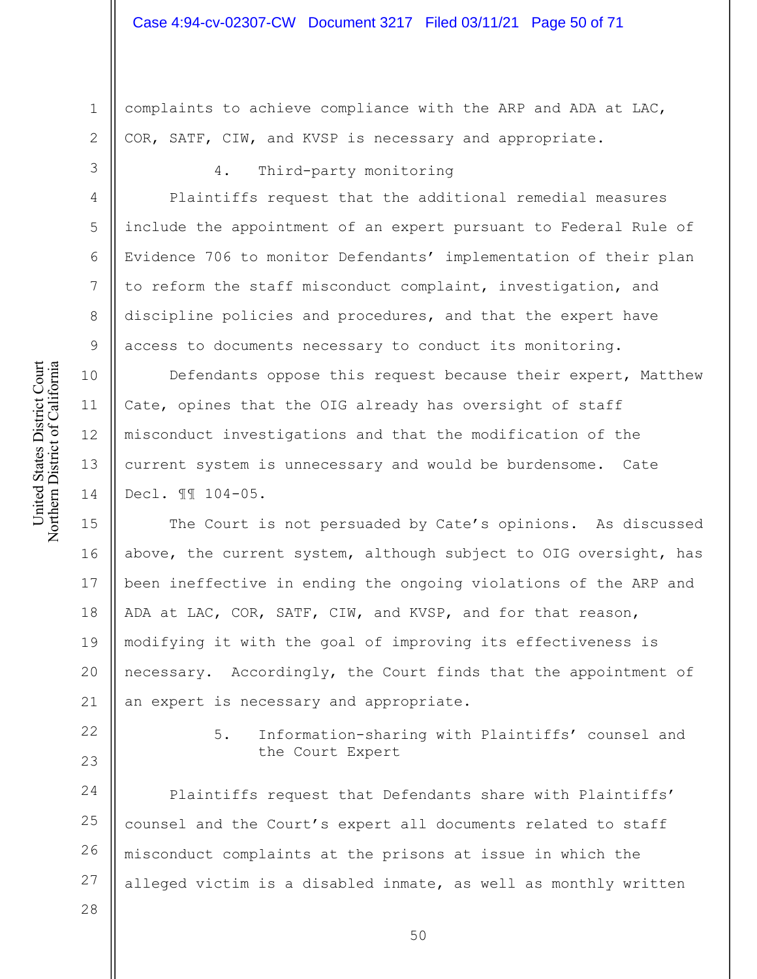complaints to achieve compliance with the ARP and ADA at LAC, COR, SATF, CIW, and KVSP is necessary and appropriate.

1

2

3

4

5

6

7

8

9

10

11

12

13

14

# 4. Third-party monitoring

Plaintiffs request that the additional remedial measures include the appointment of an expert pursuant to Federal Rule of Evidence 706 to monitor Defendants' implementation of their plan to reform the staff misconduct complaint, investigation, and discipline policies and procedures, and that the expert have access to documents necessary to conduct its monitoring.

Defendants oppose this request because their expert, Matthew Cate, opines that the OIG already has oversight of staff misconduct investigations and that the modification of the current system is unnecessary and would be burdensome. Cate Decl. ¶¶ 104-05.

15 16 17 18 19 20 21 The Court is not persuaded by Cate's opinions. As discussed above, the current system, although subject to OIG oversight, has been ineffective in ending the ongoing violations of the ARP and ADA at LAC, COR, SATF, CIW, and KVSP, and for that reason, modifying it with the goal of improving its effectiveness is necessary. Accordingly, the Court finds that the appointment of an expert is necessary and appropriate.

22

23

5. Information-sharing with Plaintiffs' counsel and the Court Expert

24 25 26 27 Plaintiffs request that Defendants share with Plaintiffs' counsel and the Court's expert all documents related to staff misconduct complaints at the prisons at issue in which the alleged victim is a disabled inmate, as well as monthly written

28

United States District Court Northern District of California United States District Court Northern District of California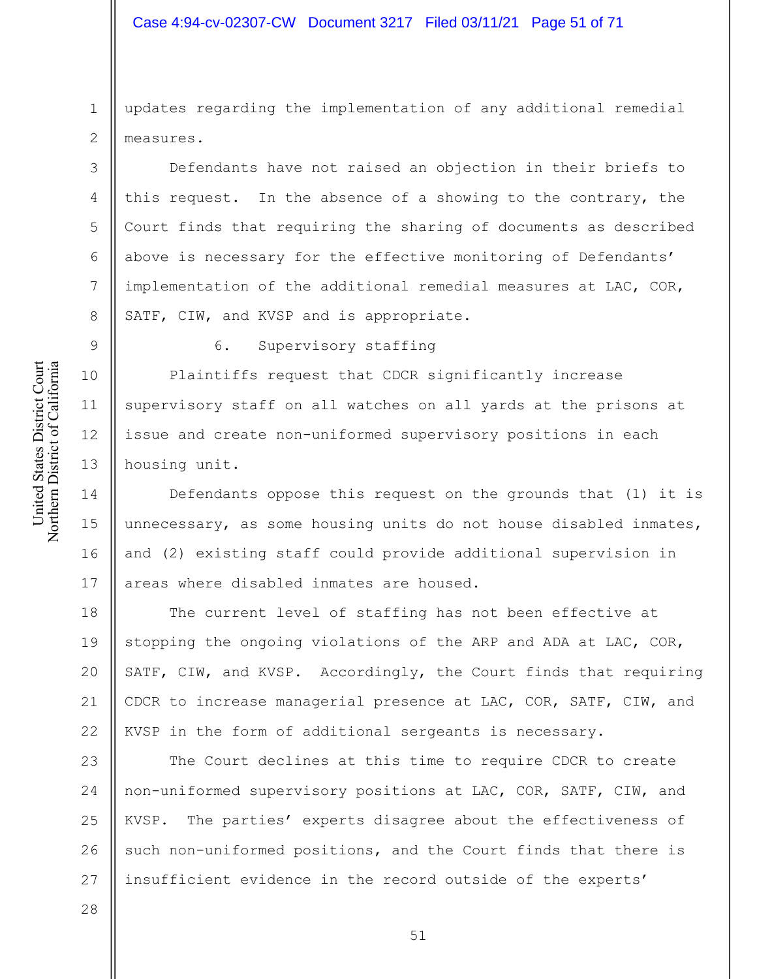# Case 4:94-cv-02307-CW Document 3217 Filed 03/11/21 Page 51 of 71

updates regarding the implementation of any additional remedial measures.

Defendants have not raised an objection in their briefs to this request. In the absence of a showing to the contrary, the Court finds that requiring the sharing of documents as described above is necessary for the effective monitoring of Defendants' implementation of the additional remedial measures at LAC, COR, SATF, CIW, and KVSP and is appropriate.

1

2

3

4

5

6

7

8

9

10

11

12

13

28

6. Supervisory staffing

Plaintiffs request that CDCR significantly increase supervisory staff on all watches on all yards at the prisons at issue and create non-uniformed supervisory positions in each housing unit.

14 15 16 17 Defendants oppose this request on the grounds that (1) it is unnecessary, as some housing units do not house disabled inmates, and (2) existing staff could provide additional supervision in areas where disabled inmates are housed.

18 19 20 21 22 The current level of staffing has not been effective at stopping the ongoing violations of the ARP and ADA at LAC, COR, SATF, CIW, and KVSP. Accordingly, the Court finds that requiring CDCR to increase managerial presence at LAC, COR, SATF, CIW, and KVSP in the form of additional sergeants is necessary.

23 24 25 26 27 The Court declines at this time to require CDCR to create non-uniformed supervisory positions at LAC, COR, SATF, CIW, and KVSP. The parties' experts disagree about the effectiveness of such non-uniformed positions, and the Court finds that there is insufficient evidence in the record outside of the experts'

United States District Court Northern District of California United States District Court Northern District of California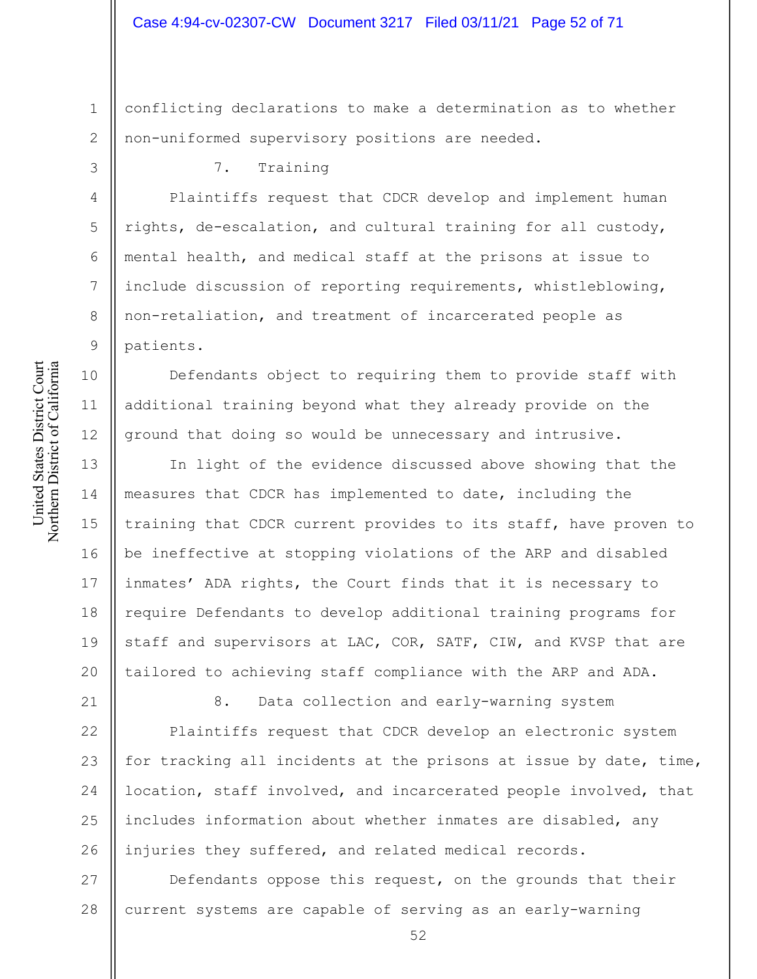1 2 conflicting declarations to make a determination as to whether non-uniformed supervisory positions are needed.

7. Training

Plaintiffs request that CDCR develop and implement human rights, de-escalation, and cultural training for all custody, mental health, and medical staff at the prisons at issue to include discussion of reporting requirements, whistleblowing, non-retaliation, and treatment of incarcerated people as patients.

Defendants object to requiring them to provide staff with additional training beyond what they already provide on the ground that doing so would be unnecessary and intrusive.

13 14 15 16 17 18 19 20 In light of the evidence discussed above showing that the measures that CDCR has implemented to date, including the training that CDCR current provides to its staff, have proven to be ineffective at stopping violations of the ARP and disabled inmates' ADA rights, the Court finds that it is necessary to require Defendants to develop additional training programs for staff and supervisors at LAC, COR, SATF, CIW, and KVSP that are tailored to achieving staff compliance with the ARP and ADA.

> 8. Data collection and early-warning system Plaintiffs request that CDCR develop an electronic system

25 26 for tracking all incidents at the prisons at issue by date, time, location, staff involved, and incarcerated people involved, that includes information about whether inmates are disabled, any injuries they suffered, and related medical records.

27 28 Defendants oppose this request, on the grounds that their current systems are capable of serving as an early-warning

3

4

5

6

7

8

9

10

11

12

21

22

23

24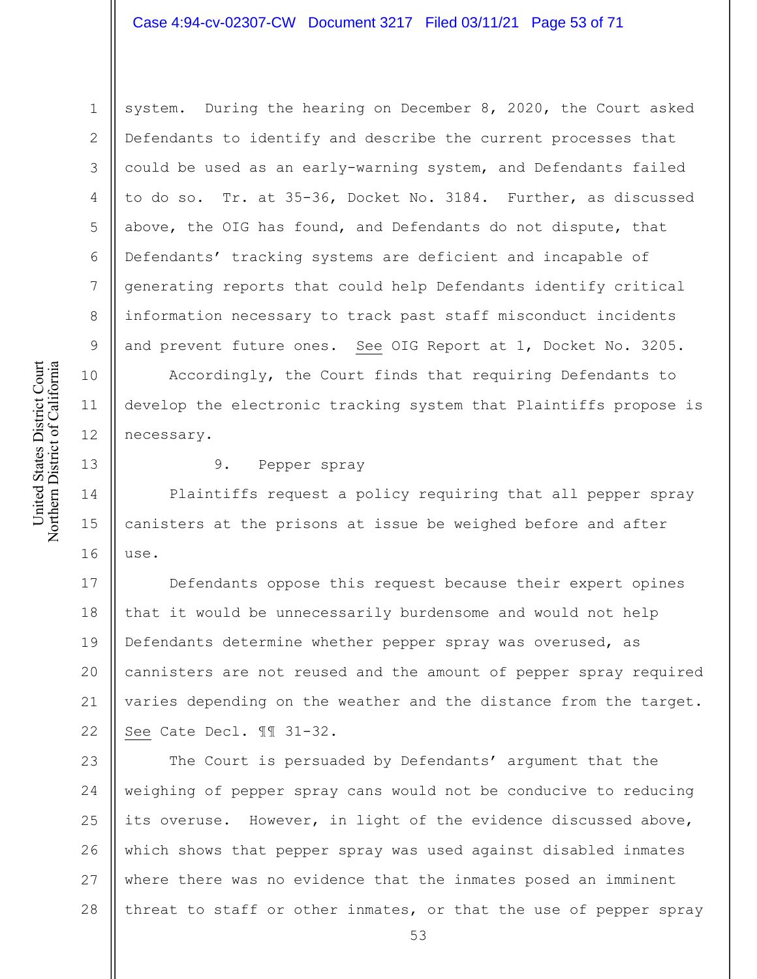# Case 4:94-cv-02307-CW Document 3217 Filed 03/11/21 Page 53 of 71

system. During the hearing on December 8, 2020, the Court asked Defendants to identify and describe the current processes that could be used as an early-warning system, and Defendants failed to do so. Tr. at 35-36, Docket No. 3184. Further, as discussed above, the OIG has found, and Defendants do not dispute, that Defendants' tracking systems are deficient and incapable of generating reports that could help Defendants identify critical information necessary to track past staff misconduct incidents and prevent future ones. See OIG Report at 1, Docket No. 3205.

Accordingly, the Court finds that requiring Defendants to develop the electronic tracking system that Plaintiffs propose is necessary.

13

14

15

16

1

2

3

4

5

6

7

8

9

10

11

12

#### 9. Pepper spray

Plaintiffs request a policy requiring that all pepper spray canisters at the prisons at issue be weighed before and after use.

17 18 19 20 21 22 Defendants oppose this request because their expert opines that it would be unnecessarily burdensome and would not help Defendants determine whether pepper spray was overused, as cannisters are not reused and the amount of pepper spray required varies depending on the weather and the distance from the target. See Cate Decl. ¶¶ 31-32.

23 24 25 26 27 28 The Court is persuaded by Defendants' argument that the weighing of pepper spray cans would not be conducive to reducing its overuse. However, in light of the evidence discussed above, which shows that pepper spray was used against disabled inmates where there was no evidence that the inmates posed an imminent threat to staff or other inmates, or that the use of pepper spray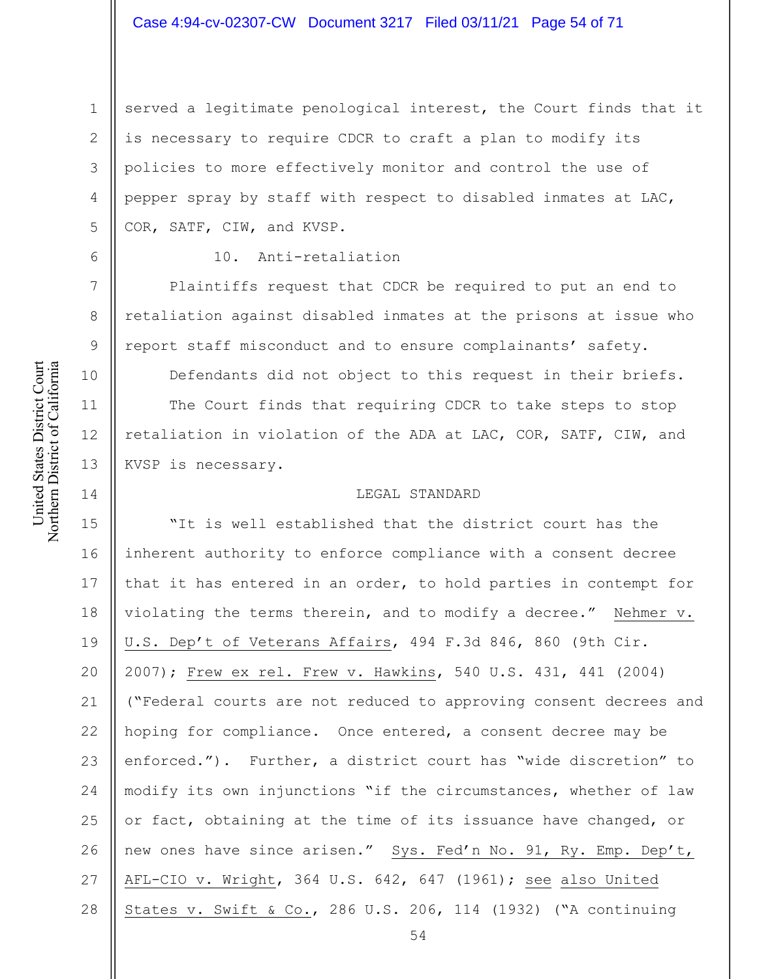# Case 4:94-cv-02307-CW Document 3217 Filed 03/11/21 Page 54 of 71

served a legitimate penological interest, the Court finds that it is necessary to require CDCR to craft a plan to modify its policies to more effectively monitor and control the use of pepper spray by staff with respect to disabled inmates at LAC, COR, SATF, CIW, and KVSP.

1

2

3

4

5

6

7

8

9

10

11

12

13

14

#### 10. Anti-retaliation

Plaintiffs request that CDCR be required to put an end to retaliation against disabled inmates at the prisons at issue who report staff misconduct and to ensure complainants' safety.

Defendants did not object to this request in their briefs. The Court finds that requiring CDCR to take steps to stop retaliation in violation of the ADA at LAC, COR, SATF, CIW, and KVSP is necessary.

#### LEGAL STANDARD

15 16 17 18 19 20 21 22 23 24 25 26 27 28 "It is well established that the district court has the inherent authority to enforce compliance with a consent decree that it has entered in an order, to hold parties in contempt for violating the terms therein, and to modify a decree." Nehmer v. U.S. Dep't of Veterans Affairs, 494 F.3d 846, 860 (9th Cir. 2007); Frew ex rel. Frew v. Hawkins, 540 U.S. 431, 441 (2004) ("Federal courts are not reduced to approving consent decrees and hoping for compliance. Once entered, a consent decree may be enforced."). Further, a district court has "wide discretion" to modify its own injunctions "if the circumstances, whether of law or fact, obtaining at the time of its issuance have changed, or new ones have since arisen." Sys. Fed'n No. 91, Ry. Emp. Dep't, AFL-CIO v. Wright, 364 U.S. 642, 647 (1961); see also United States v. Swift & Co., 286 U.S. 206, 114 (1932) ("A continuing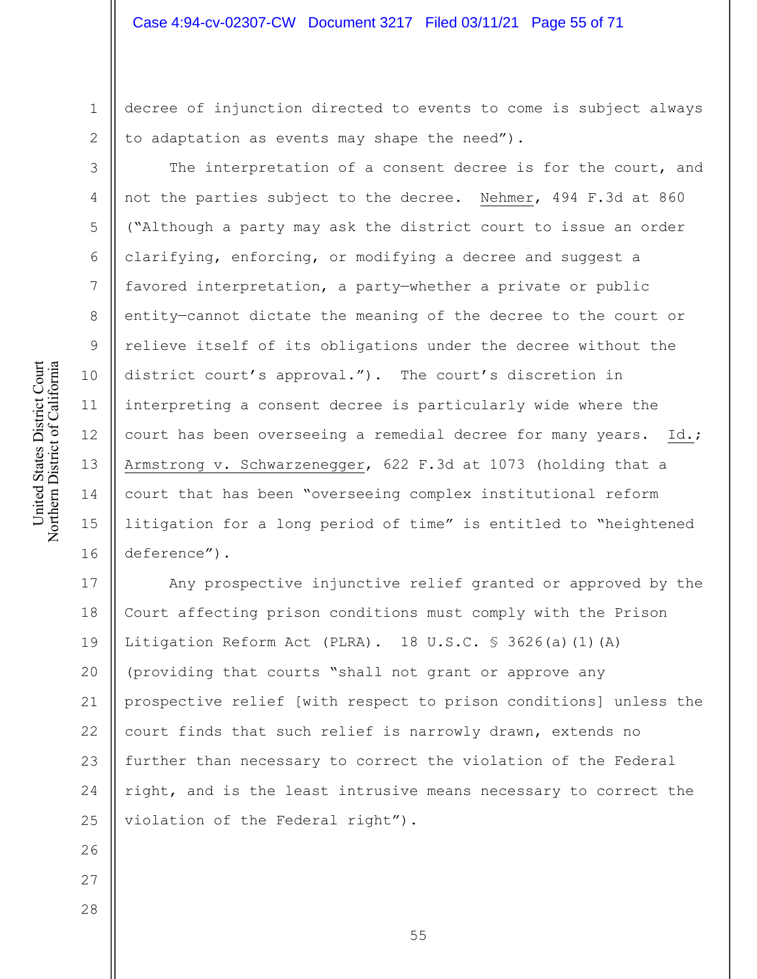decree of injunction directed to events to come is subject always to adaptation as events may shape the need").

The interpretation of a consent decree is for the court, and not the parties subject to the decree. Nehmer, 494 F.3d at 860 ("Although a party may ask the district court to issue an order clarifying, enforcing, or modifying a decree and suggest a favored interpretation, a party—whether a private or public entity—cannot dictate the meaning of the decree to the court or relieve itself of its obligations under the decree without the district court's approval."). The court's discretion in interpreting a consent decree is particularly wide where the court has been overseeing a remedial decree for many years. Id.; Armstrong v. Schwarzenegger, 622 F.3d at 1073 (holding that a court that has been "overseeing complex institutional reform litigation for a long period of time" is entitled to "heightened deference").

17 18 19 20 21 22 23 24 25 Any prospective injunctive relief granted or approved by the Court affecting prison conditions must comply with the Prison Litigation Reform Act (PLRA). 18 U.S.C. § 3626(a)(1)(A) (providing that courts "shall not grant or approve any prospective relief [with respect to prison conditions] unless the court finds that such relief is narrowly drawn, extends no further than necessary to correct the violation of the Federal right, and is the least intrusive means necessary to correct the violation of the Federal right").

United States District Court Northern District of California United States District Court Northern District of California

1

2

3

4

5

6

7

8

9

10

11

12

13

14

15

16

26

27

28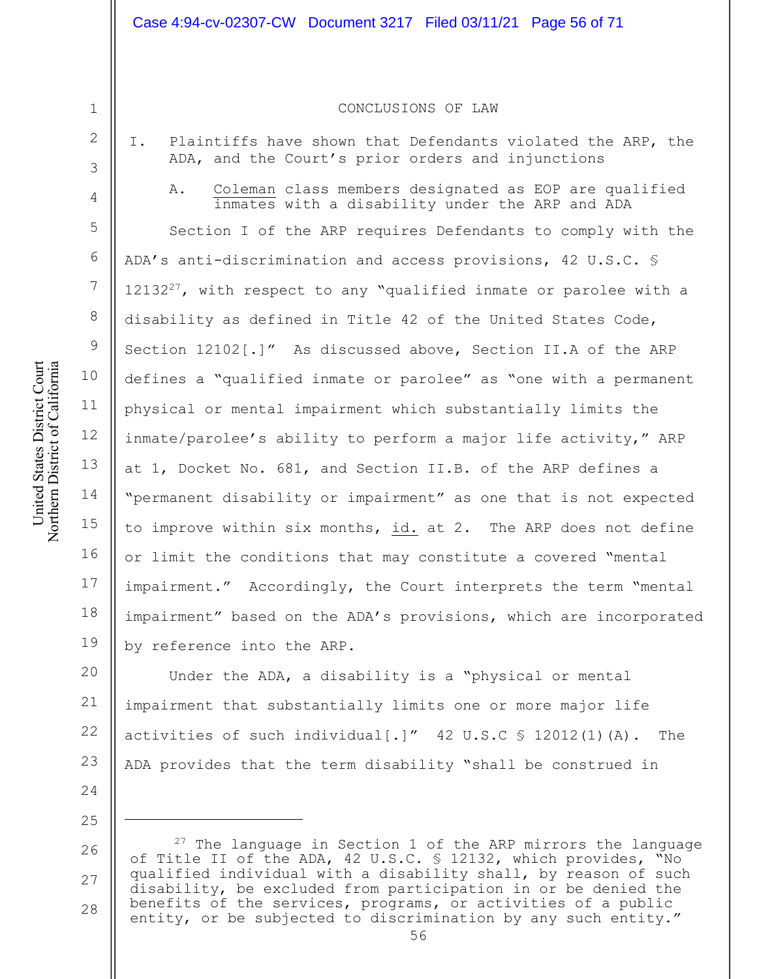#### Case 4:94-cv-02307-CW Document 3217 Filed 03/11/21 Page 56 of 71

#### CONCLUSIONS OF LAW

- I. Plaintiffs have shown that Defendants violated the ARP, the ADA, and the Court's prior orders and injunctions
	- A. Coleman class members designated as EOP are qualified inmates with a disability under the ARP and ADA

Section I of the ARP requires Defendants to comply with the ADA's anti-discrimination and access provisions, 42 U.S.C. §  $12132^{27}$ , with respect to any "qualified inmate or parolee with a disability as defined in Title 42 of the United States Code, Section 12102[.]" As discussed above, Section II.A of the ARP defines a "qualified inmate or parolee" as "one with a permanent physical or mental impairment which substantially limits the inmate/parolee's ability to perform a major life activity," ARP at 1, Docket No. 681, and Section II.B. of the ARP defines a "permanent disability or impairment" as one that is not expected to improve within six months, id. at 2. The ARP does not define or limit the conditions that may constitute a covered "mental impairment." Accordingly, the Court interprets the term "mental impairment" based on the ADA's provisions, which are incorporated by reference into the ARP.

20 21 22 23 Under the ADA, a disability is a "physical or mental impairment that substantially limits one or more major life activities of such individual  $[\cdot]''$  42 U.S.C  $\frac{1}{5}$  12012(1)(A). The ADA provides that the term disability "shall be construed in

26 27 28  $27$  The language in Section 1 of the ARP mirrors the language of Title II of the ADA, 42 U.S.C. § 12132, which provides, "No qualified individual with a disability shall, by reason of such disability, be excluded from participation in or be denied the benefits of the services, programs, or activities of a public entity, or be subjected to discrimination by any such entity."

1

2

3

4

5

6

7

8

9

10

11

12

13

14

15

16

17

18

19

24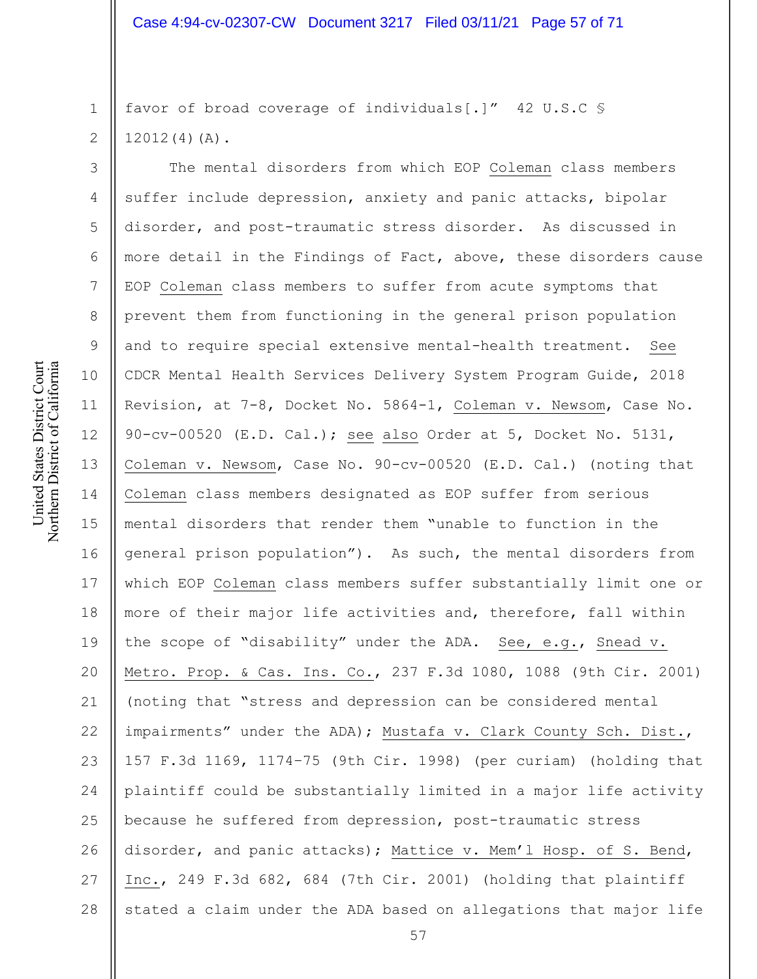2 favor of broad coverage of individuals[.]" 42 U.S.C § 12012(4)(A).

3 4 5 6 7 8 9 10 11 12 13 14 15 16 17 18 19 20 21 22 23 24 25 26 27 28 The mental disorders from which EOP Coleman class members suffer include depression, anxiety and panic attacks, bipolar disorder, and post-traumatic stress disorder. As discussed in more detail in the Findings of Fact, above, these disorders cause EOP Coleman class members to suffer from acute symptoms that prevent them from functioning in the general prison population and to require special extensive mental-health treatment. See CDCR Mental Health Services Delivery System Program Guide, 2018 Revision, at 7-8, Docket No. 5864-1, Coleman v. Newsom, Case No. 90-cv-00520 (E.D. Cal.); see also Order at 5, Docket No. 5131, Coleman v. Newsom, Case No. 90-cv-00520 (E.D. Cal.) (noting that Coleman class members designated as EOP suffer from serious mental disorders that render them "unable to function in the general prison population"). As such, the mental disorders from which EOP Coleman class members suffer substantially limit one or more of their major life activities and, therefore, fall within the scope of "disability" under the ADA. See, e.g., Snead v. Metro. Prop. & Cas. Ins. Co., 237 F.3d 1080, 1088 (9th Cir. 2001) (noting that "stress and depression can be considered mental impairments" under the ADA); Mustafa v. Clark County Sch. Dist., 157 F.3d 1169, 1174–75 (9th Cir. 1998) (per curiam) (holding that plaintiff could be substantially limited in a major life activity because he suffered from depression, post-traumatic stress disorder, and panic attacks); Mattice v. Mem'l Hosp. of S. Bend, Inc., 249 F.3d 682, 684 (7th Cir. 2001) (holding that plaintiff stated a claim under the ADA based on allegations that major life

1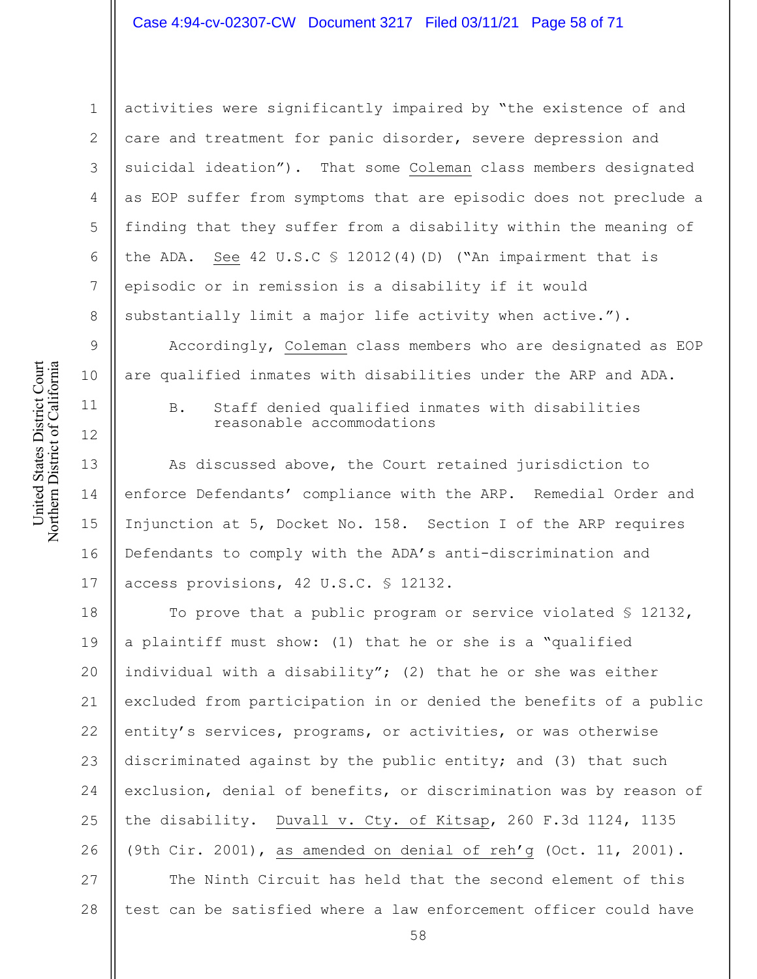#### Case 4:94-cv-02307-CW Document 3217 Filed 03/11/21 Page 58 of 71

1 2

3

4

5

6

7

8

9

10

12

United States District Court Northern District of California

United States District Court Northern District of California

14

15

activities were significantly impaired by "the existence of and care and treatment for panic disorder, severe depression and suicidal ideation"). That some Coleman class members designated as EOP suffer from symptoms that are episodic does not preclude a finding that they suffer from a disability within the meaning of the ADA. See 42 U.S.C § 12012(4)(D) ("An impairment that is episodic or in remission is a disability if it would substantially limit a major life activity when active.").

Accordingly, Coleman class members who are designated as EOP are qualified inmates with disabilities under the ARP and ADA.

11

B. Staff denied qualified inmates with disabilities reasonable accommodations

13 16 17 As discussed above, the Court retained jurisdiction to enforce Defendants' compliance with the ARP. Remedial Order and Injunction at 5, Docket No. 158. Section I of the ARP requires Defendants to comply with the ADA's anti-discrimination and access provisions, 42 U.S.C. § 12132.

18 19 20 21 22 23 24 25 26 To prove that a public program or service violated § 12132, a plaintiff must show: (1) that he or she is a "qualified individual with a disability"; (2) that he or she was either excluded from participation in or denied the benefits of a public entity's services, programs, or activities, or was otherwise discriminated against by the public entity; and (3) that such exclusion, denial of benefits, or discrimination was by reason of the disability. Duvall v. Cty. of Kitsap, 260 F.3d 1124, 1135 (9th Cir. 2001), as amended on denial of reh'g (Oct. 11, 2001).

27 28 The Ninth Circuit has held that the second element of this test can be satisfied where a law enforcement officer could have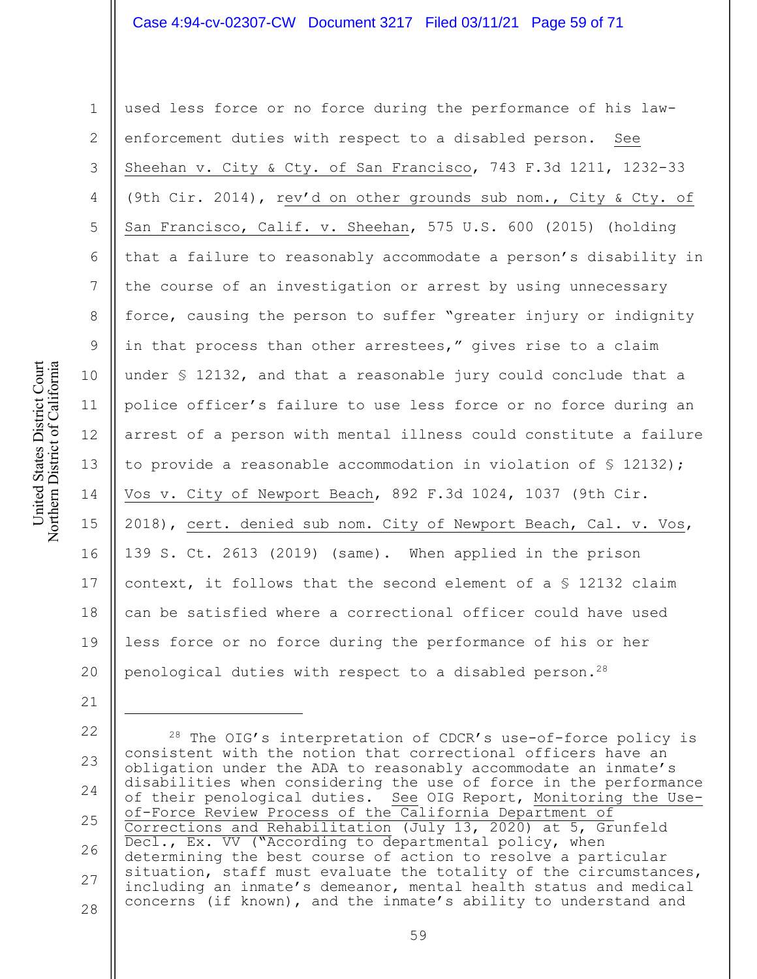#### Case 4:94-cv-02307-CW Document 3217 Filed 03/11/21 Page 59 of 71

1 2 3 4 5 6 7 8 9 10 11 12 13 14 15 16 17 18 19 20 used less force or no force during the performance of his lawenforcement duties with respect to a disabled person. See Sheehan v. City & Cty. of San Francisco, 743 F.3d 1211, 1232-33 (9th Cir. 2014), rev'd on other grounds sub nom., City & Cty. of San Francisco, Calif. v. Sheehan, 575 U.S. 600 (2015) (holding that a failure to reasonably accommodate a person's disability in the course of an investigation or arrest by using unnecessary force, causing the person to suffer "greater injury or indignity in that process than other arrestees," gives rise to a claim under § 12132, and that a reasonable jury could conclude that a police officer's failure to use less force or no force during an arrest of a person with mental illness could constitute a failure to provide a reasonable accommodation in violation of § 12132); Vos v. City of Newport Beach, 892 F.3d 1024, 1037 (9th Cir. 2018), cert. denied sub nom. City of Newport Beach, Cal. v. Vos, 139 S. Ct. 2613 (2019) (same). When applied in the prison context, it follows that the second element of a § 12132 claim can be satisfied where a correctional officer could have used less force or no force during the performance of his or her penological duties with respect to a disabled person.28

22 23 24 25 26 27 28  $28$  The OIG's interpretation of CDCR's use-of-force policy is consistent with the notion that correctional officers have an obligation under the ADA to reasonably accommodate an inmate's disabilities when considering the use of force in the performance of their penological duties. See OIG Report, Monitoring the Useof-Force Review Process of the California Department of Corrections and Rehabilitation (July 13, 2020) at 5, Grunfeld Decl., Ex. VV ("According to departmental policy, when determining the best course of action to resolve a particular situation, staff must evaluate the totality of the circumstances, including an inmate's demeanor, mental health status and medical concerns (if known), and the inmate's ability to understand and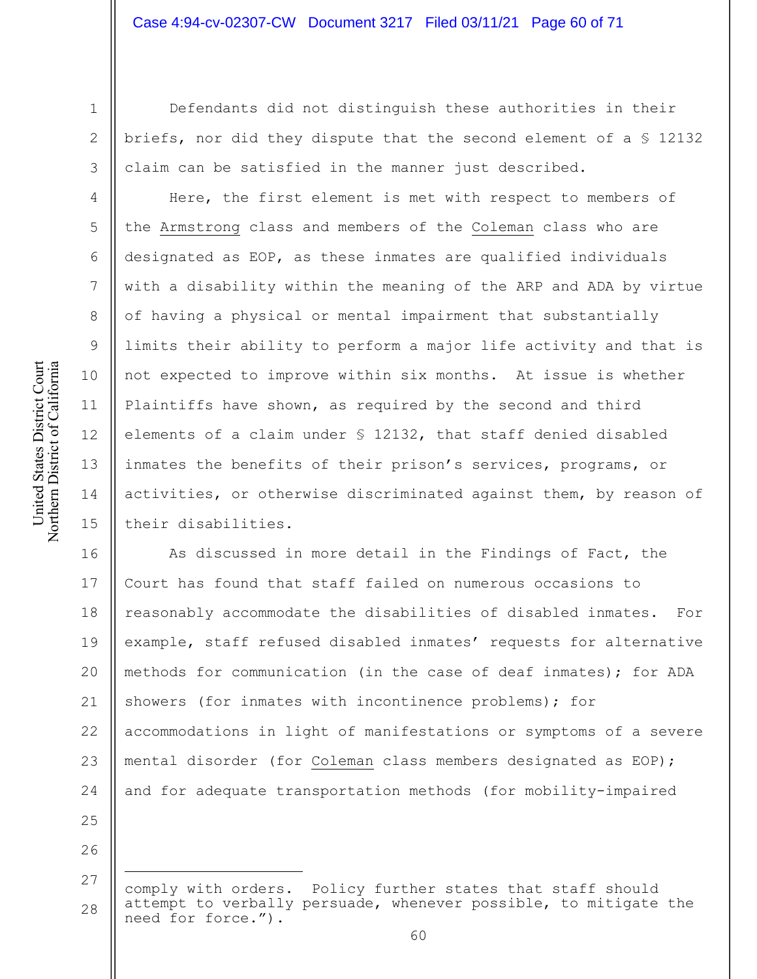1 2

3

4

5

6

7

8

9

10

11

12

13

14

15

Defendants did not distinguish these authorities in their briefs, nor did they dispute that the second element of a § 12132 claim can be satisfied in the manner just described.

Here, the first element is met with respect to members of the Armstrong class and members of the Coleman class who are designated as EOP, as these inmates are qualified individuals with a disability within the meaning of the ARP and ADA by virtue of having a physical or mental impairment that substantially limits their ability to perform a major life activity and that is not expected to improve within six months. At issue is whether Plaintiffs have shown, as required by the second and third elements of a claim under § 12132, that staff denied disabled inmates the benefits of their prison's services, programs, or activities, or otherwise discriminated against them, by reason of their disabilities.

16 17 18 19 20 21 22 23 24 As discussed in more detail in the Findings of Fact, the Court has found that staff failed on numerous occasions to reasonably accommodate the disabilities of disabled inmates. For example, staff refused disabled inmates' requests for alternative methods for communication (in the case of deaf inmates); for ADA showers (for inmates with incontinence problems); for accommodations in light of manifestations or symptoms of a severe mental disorder (for Coleman class members designated as EOP); and for adequate transportation methods (for mobility-impaired

<sup>26</sup>

<sup>27</sup> 28 comply with orders. Policy further states that staff should attempt to verbally persuade, whenever possible, to mitigate the need for force.").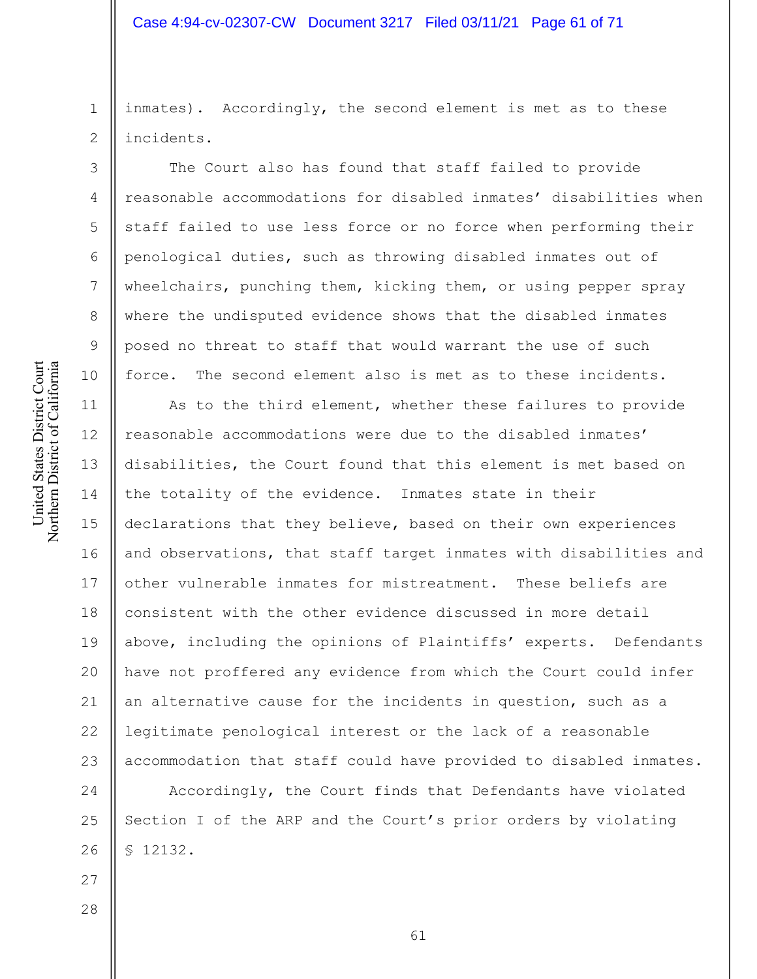# Case 4:94-cv-02307-CW Document 3217 Filed 03/11/21 Page 61 of 71

inmates). Accordingly, the second element is met as to these incidents.

The Court also has found that staff failed to provide reasonable accommodations for disabled inmates' disabilities when staff failed to use less force or no force when performing their penological duties, such as throwing disabled inmates out of wheelchairs, punching them, kicking them, or using pepper spray where the undisputed evidence shows that the disabled inmates posed no threat to staff that would warrant the use of such force. The second element also is met as to these incidents.

11 12 13 14 15 16 17 18 19 20 21 22 23 As to the third element, whether these failures to provide reasonable accommodations were due to the disabled inmates' disabilities, the Court found that this element is met based on the totality of the evidence. Inmates state in their declarations that they believe, based on their own experiences and observations, that staff target inmates with disabilities and other vulnerable inmates for mistreatment. These beliefs are consistent with the other evidence discussed in more detail above, including the opinions of Plaintiffs' experts. Defendants have not proffered any evidence from which the Court could infer an alternative cause for the incidents in question, such as a legitimate penological interest or the lack of a reasonable accommodation that staff could have provided to disabled inmates.

24 25 26 Accordingly, the Court finds that Defendants have violated Section I of the ARP and the Court's prior orders by violating § 12132.

United States District Court Northern District of California United States District Court Northern District of California

1

2

3

4

5

6

7

8

9

10

28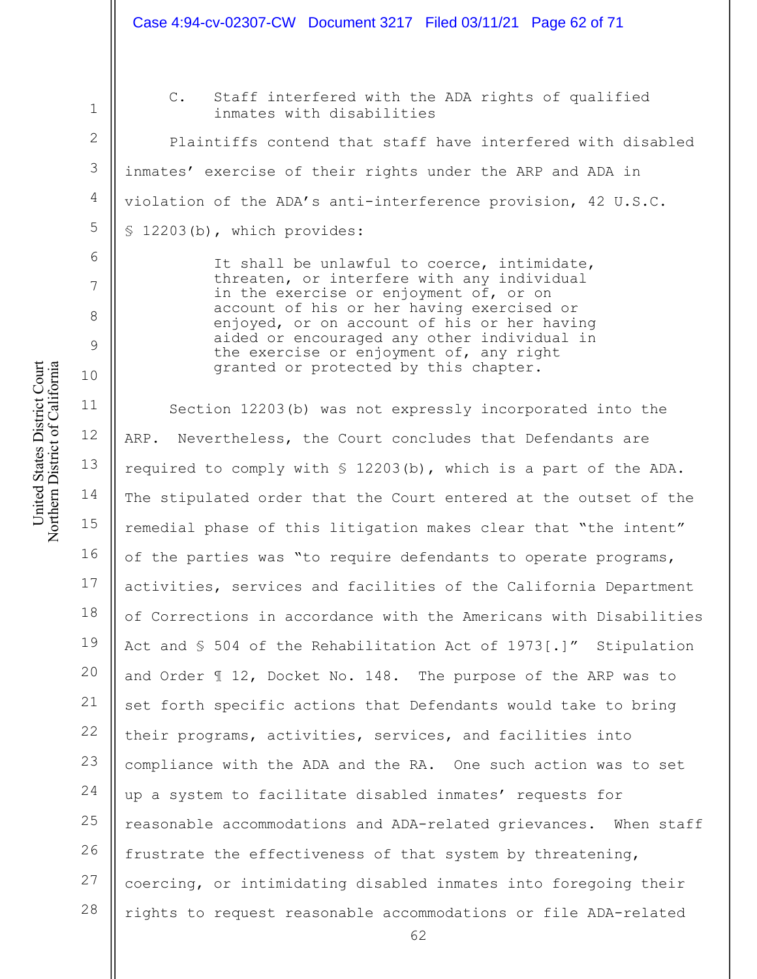# Case 4:94-cv-02307-CW Document 3217 Filed 03/11/21 Page 62 of 71

2 3

4

5

6

7

8

9

10

1

C. Staff interfered with the ADA rights of qualified inmates with disabilities

Plaintiffs contend that staff have interfered with disabled inmates' exercise of their rights under the ARP and ADA in violation of the ADA's anti-interference provision, 42 U.S.C. § 12203(b), which provides:

> It shall be unlawful to coerce, intimidate, threaten, or interfere with any individual in the exercise or enjoyment of, or on account of his or her having exercised or enjoyed, or on account of his or her having aided or encouraged any other individual in the exercise or enjoyment of, any right granted or protected by this chapter.

11 12 13 14 15 16 17 18 19 20 21 22 23 24 25 26 27 28 Section 12203(b) was not expressly incorporated into the ARP. Nevertheless, the Court concludes that Defendants are required to comply with § 12203(b), which is a part of the ADA. The stipulated order that the Court entered at the outset of the remedial phase of this litigation makes clear that "the intent" of the parties was "to require defendants to operate programs, activities, services and facilities of the California Department of Corrections in accordance with the Americans with Disabilities Act and § 504 of the Rehabilitation Act of 1973[.]" Stipulation and Order ¶ 12, Docket No. 148. The purpose of the ARP was to set forth specific actions that Defendants would take to bring their programs, activities, services, and facilities into compliance with the ADA and the RA. One such action was to set up a system to facilitate disabled inmates' requests for reasonable accommodations and ADA-related grievances. When staff frustrate the effectiveness of that system by threatening, coercing, or intimidating disabled inmates into foregoing their rights to request reasonable accommodations or file ADA-related

United States District Court Northern District of California United States District Court Northern District of California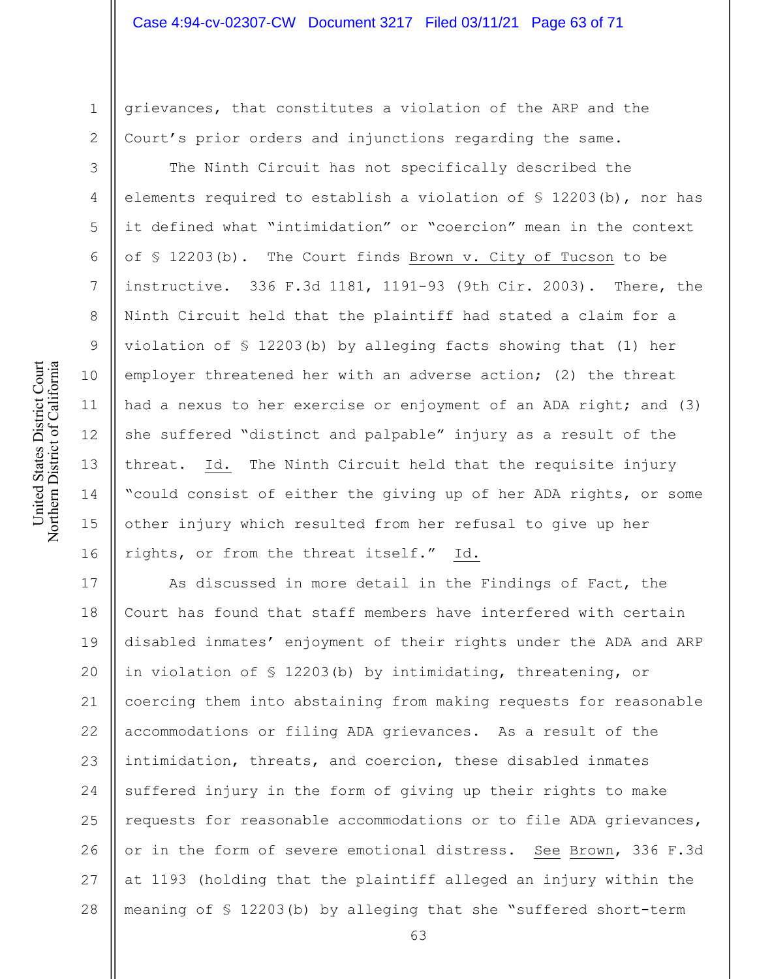grievances, that constitutes a violation of the ARP and the Court's prior orders and injunctions regarding the same.

The Ninth Circuit has not specifically described the elements required to establish a violation of § 12203(b), nor has it defined what "intimidation" or "coercion" mean in the context of § 12203(b). The Court finds Brown v. City of Tucson to be instructive. 336 F.3d 1181, 1191-93 (9th Cir. 2003). There, the Ninth Circuit held that the plaintiff had stated a claim for a violation of § 12203(b) by alleging facts showing that (1) her employer threatened her with an adverse action; (2) the threat had a nexus to her exercise or enjoyment of an ADA right; and (3) she suffered "distinct and palpable" injury as a result of the threat. Id. The Ninth Circuit held that the requisite injury "could consist of either the giving up of her ADA rights, or some other injury which resulted from her refusal to give up her rights, or from the threat itself." Id.

17 18 19 20 21 22 23 24 25 26 27 28 As discussed in more detail in the Findings of Fact, the Court has found that staff members have interfered with certain disabled inmates' enjoyment of their rights under the ADA and ARP in violation of § 12203(b) by intimidating, threatening, or coercing them into abstaining from making requests for reasonable accommodations or filing ADA grievances. As a result of the intimidation, threats, and coercion, these disabled inmates suffered injury in the form of giving up their rights to make requests for reasonable accommodations or to file ADA grievances, or in the form of severe emotional distress. See Brown, 336 F.3d at 1193 (holding that the plaintiff alleged an injury within the meaning of § 12203(b) by alleging that she "suffered short-term

1

2

3

4

5

6

7

8

9

10

11

12

13

14

15

16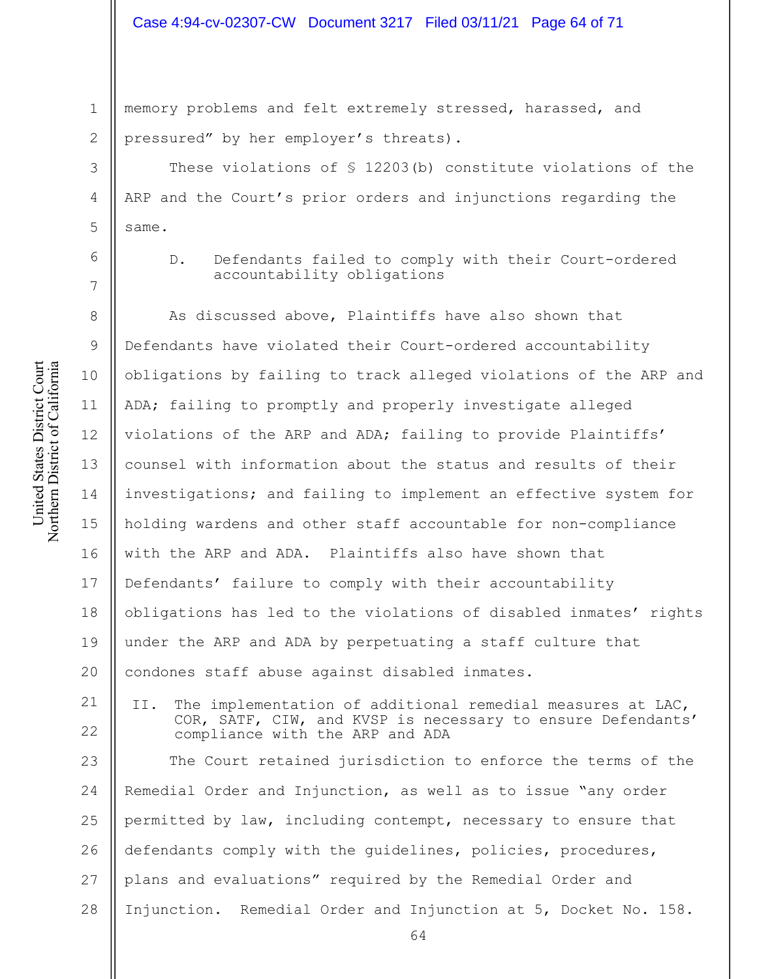### Case 4:94-cv-02307-CW Document 3217 Filed 03/11/21 Page 64 of 71

1 2 memory problems and felt extremely stressed, harassed, and pressured" by her employer's threats).

These violations of § 12203(b) constitute violations of the ARP and the Court's prior orders and injunctions regarding the same.

3

4

5

6

7

D. Defendants failed to comply with their Court-ordered accountability obligations

8 9 10 11 12 13 14 15 16 17 18 19 20 As discussed above, Plaintiffs have also shown that Defendants have violated their Court-ordered accountability obligations by failing to track alleged violations of the ARP and ADA; failing to promptly and properly investigate alleged violations of the ARP and ADA; failing to provide Plaintiffs' counsel with information about the status and results of their investigations; and failing to implement an effective system for holding wardens and other staff accountable for non-compliance with the ARP and ADA. Plaintiffs also have shown that Defendants' failure to comply with their accountability obligations has led to the violations of disabled inmates' rights under the ARP and ADA by perpetuating a staff culture that condones staff abuse against disabled inmates.

21 22 II. The implementation of additional remedial measures at LAC, COR, SATF, CIW, and KVSP is necessary to ensure Defendants' compliance with the ARP and ADA

23 24 25 26 27 28 The Court retained jurisdiction to enforce the terms of the Remedial Order and Injunction, as well as to issue "any order permitted by law, including contempt, necessary to ensure that defendants comply with the guidelines, policies, procedures, plans and evaluations" required by the Remedial Order and Injunction. Remedial Order and Injunction at 5, Docket No. 158.

United States District Court Northern District of California United States District Court Northern District of California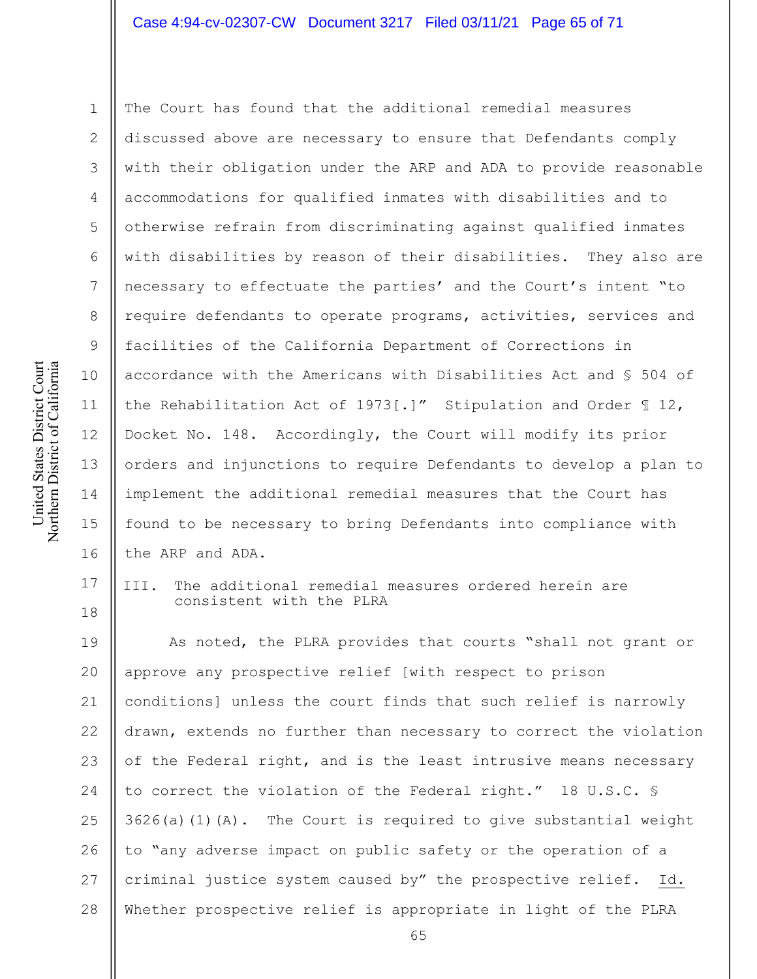#### Case 4:94-cv-02307-CW Document 3217 Filed 03/11/21 Page 65 of 71

2 3

1 4 5 6 7 8 9 10 11 12 13 14 15 16 The Court has found that the additional remedial measures discussed above are necessary to ensure that Defendants comply with their obligation under the ARP and ADA to provide reasonable accommodations for qualified inmates with disabilities and to otherwise refrain from discriminating against qualified inmates with disabilities by reason of their disabilities. They also are necessary to effectuate the parties' and the Court's intent "to require defendants to operate programs, activities, services and facilities of the California Department of Corrections in accordance with the Americans with Disabilities Act and § 504 of the Rehabilitation Act of 1973[.]" Stipulation and Order ¶ 12, Docket No. 148. Accordingly, the Court will modify its prior orders and injunctions to require Defendants to develop a plan to implement the additional remedial measures that the Court has found to be necessary to bring Defendants into compliance with the ARP and ADA.

17 18 III. The additional remedial measures ordered herein are consistent with the PLRA

19 20 21 22 23 24 25 26 27 28 As noted, the PLRA provides that courts "shall not grant or approve any prospective relief [with respect to prison conditions] unless the court finds that such relief is narrowly drawn, extends no further than necessary to correct the violation of the Federal right, and is the least intrusive means necessary to correct the violation of the Federal right." 18 U.S.C. §  $3626(a)(1)(A)$ . The Court is required to give substantial weight to "any adverse impact on public safety or the operation of a criminal justice system caused by" the prospective relief. Id. Whether prospective relief is appropriate in light of the PLRA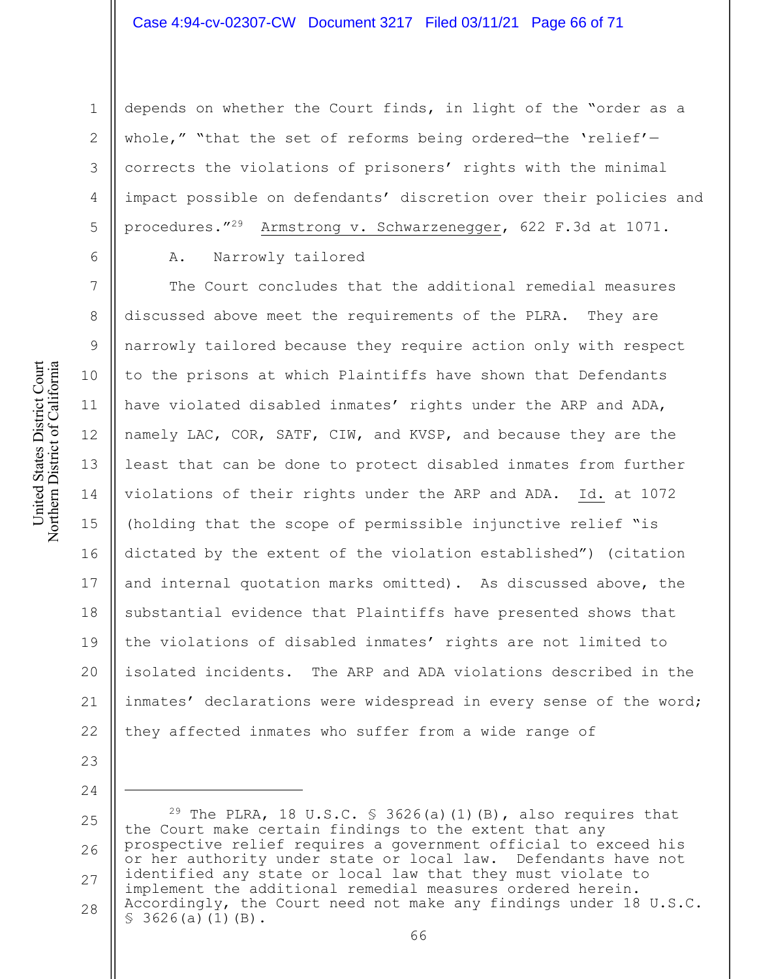depends on whether the Court finds, in light of the "order as a whole," "that the set of reforms being ordered—the 'relief' corrects the violations of prisoners' rights with the minimal impact possible on defendants' discretion over their policies and procedures."29 Armstrong v. Schwarzenegger, 622 F.3d at 1071.

A. Narrowly tailored

7 8 9 10 11 12 13 14 15 16 17 18 19 20 21 22 The Court concludes that the additional remedial measures discussed above meet the requirements of the PLRA. They are narrowly tailored because they require action only with respect to the prisons at which Plaintiffs have shown that Defendants have violated disabled inmates' rights under the ARP and ADA, namely LAC, COR, SATF, CIW, and KVSP, and because they are the least that can be done to protect disabled inmates from further violations of their rights under the ARP and ADA. Id. at 1072 (holding that the scope of permissible injunctive relief "is dictated by the extent of the violation established") (citation and internal quotation marks omitted). As discussed above, the substantial evidence that Plaintiffs have presented shows that the violations of disabled inmates' rights are not limited to isolated incidents. The ARP and ADA violations described in the inmates' declarations were widespread in every sense of the word; they affected inmates who suffer from a wide range of

United States District Court Northern District of California United States District Court Northern District of California

23

24

1

2

3

4

5

<sup>25</sup> 26 27 28 <sup>29</sup> The PLRA, 18 U.S.C.  $\frac{1}{2}$  3626(a)(1)(B), also requires that the Court make certain findings to the extent that any prospective relief requires a government official to exceed his or her authority under state or local law. Defendants have not identified any state or local law that they must violate to implement the additional remedial measures ordered herein. Accordingly, the Court need not make any findings under 18 U.S.C.  $$3626(a)(1)(B).$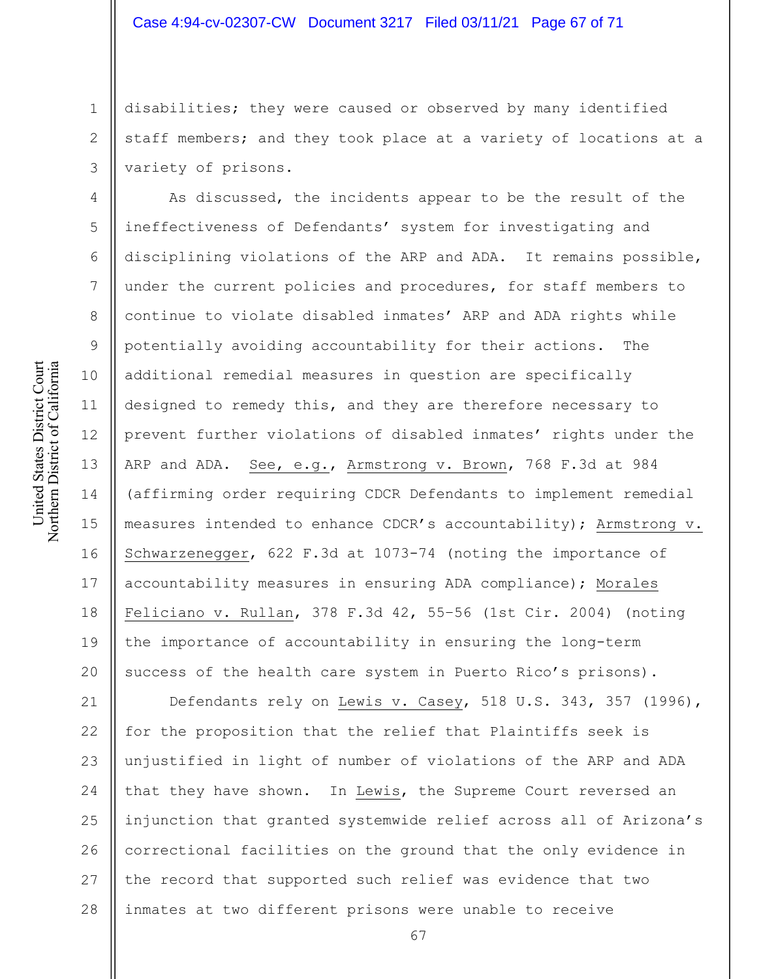disabilities; they were caused or observed by many identified staff members; and they took place at a variety of locations at a variety of prisons.

As discussed, the incidents appear to be the result of the ineffectiveness of Defendants' system for investigating and disciplining violations of the ARP and ADA. It remains possible, under the current policies and procedures, for staff members to continue to violate disabled inmates' ARP and ADA rights while potentially avoiding accountability for their actions. The additional remedial measures in question are specifically designed to remedy this, and they are therefore necessary to prevent further violations of disabled inmates' rights under the ARP and ADA. See, e.g., Armstrong v. Brown, 768 F.3d at 984 (affirming order requiring CDCR Defendants to implement remedial measures intended to enhance CDCR's accountability); Armstrong v. Schwarzenegger, 622 F.3d at 1073-74 (noting the importance of accountability measures in ensuring ADA compliance); Morales Feliciano v. Rullan, 378 F.3d 42, 55–56 (1st Cir. 2004) (noting the importance of accountability in ensuring the long-term success of the health care system in Puerto Rico's prisons).

21 22 23 24 25 26 27 28 Defendants rely on Lewis v. Casey, 518 U.S. 343, 357 (1996), for the proposition that the relief that Plaintiffs seek is unjustified in light of number of violations of the ARP and ADA that they have shown. In Lewis, the Supreme Court reversed an injunction that granted systemwide relief across all of Arizona's correctional facilities on the ground that the only evidence in the record that supported such relief was evidence that two inmates at two different prisons were unable to receive

1

2

3

4

5

6

7

8

9

10

11

12

13

14

15

16

17

18

19

20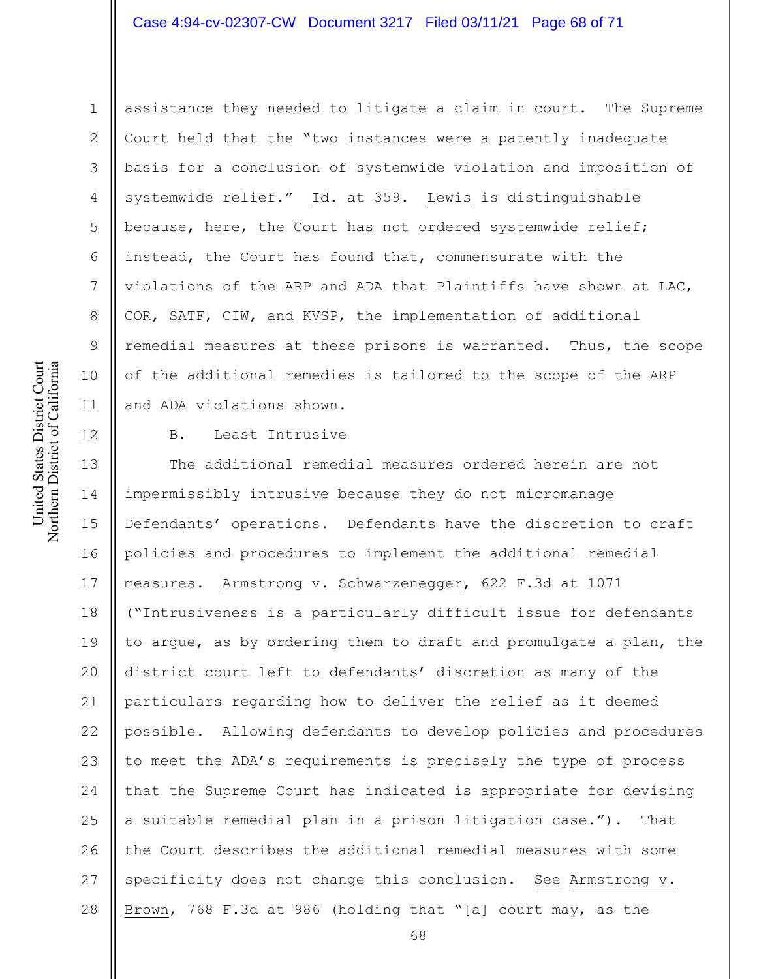# Case 4:94-cv-02307-CW Document 3217 Filed 03/11/21 Page 68 of 71

assistance they needed to litigate a claim in court. The Supreme Court held that the "two instances were a patently inadequate basis for a conclusion of systemwide violation and imposition of systemwide relief." Id. at 359. Lewis is distinguishable because, here, the Court has not ordered systemwide relief; instead, the Court has found that, commensurate with the violations of the ARP and ADA that Plaintiffs have shown at LAC, COR, SATF, CIW, and KVSP, the implementation of additional remedial measures at these prisons is warranted. Thus, the scope of the additional remedies is tailored to the scope of the ARP and ADA violations shown.

United States District Court Northern District of California United States District Court Northern District of California

1

2

3

4

5

6

7

8

9

10

11

12

B. Least Intrusive

13 14 15 16 17 18 19 20 21 22 23 24 25 26 27 28 The additional remedial measures ordered herein are not impermissibly intrusive because they do not micromanage Defendants' operations. Defendants have the discretion to craft policies and procedures to implement the additional remedial measures. Armstrong v. Schwarzenegger, 622 F.3d at 1071 ("Intrusiveness is a particularly difficult issue for defendants to argue, as by ordering them to draft and promulgate a plan, the district court left to defendants' discretion as many of the particulars regarding how to deliver the relief as it deemed possible. Allowing defendants to develop policies and procedures to meet the ADA's requirements is precisely the type of process that the Supreme Court has indicated is appropriate for devising a suitable remedial plan in a prison litigation case."). That the Court describes the additional remedial measures with some specificity does not change this conclusion. See Armstrong v. Brown, 768 F.3d at 986 (holding that "[a] court may, as the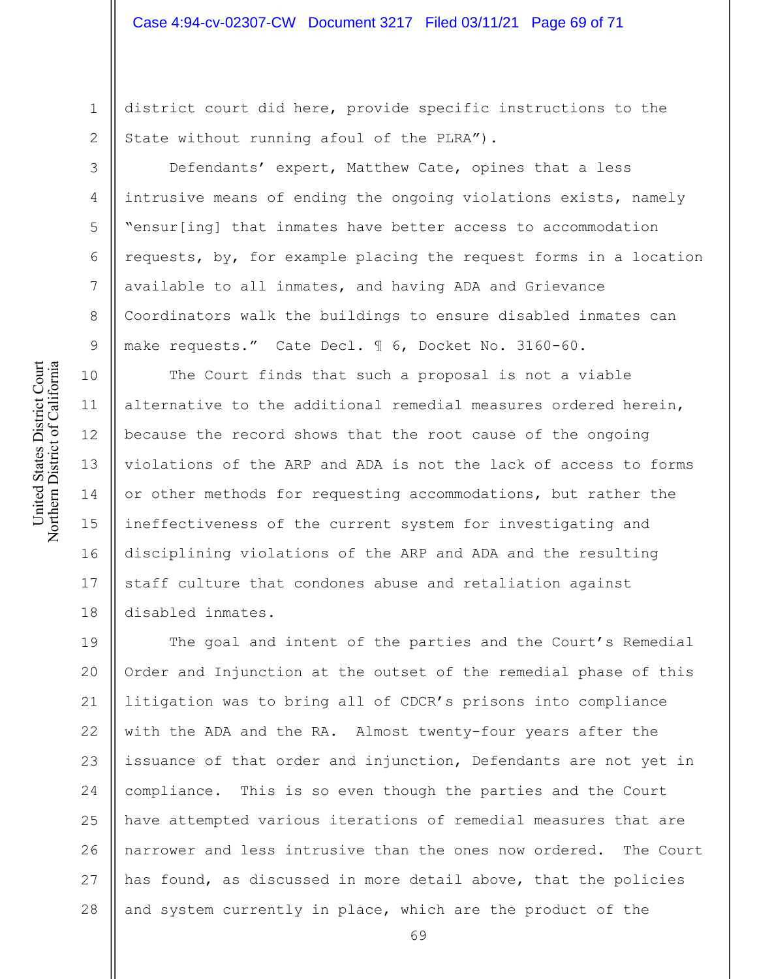district court did here, provide specific instructions to the State without running afoul of the PLRA").

Defendants' expert, Matthew Cate, opines that a less intrusive means of ending the ongoing violations exists, namely "ensur[ing] that inmates have better access to accommodation requests, by, for example placing the request forms in a location available to all inmates, and having ADA and Grievance Coordinators walk the buildings to ensure disabled inmates can make requests." Cate Decl. ¶ 6, Docket No. 3160-60.

The Court finds that such a proposal is not a viable alternative to the additional remedial measures ordered herein, because the record shows that the root cause of the ongoing violations of the ARP and ADA is not the lack of access to forms or other methods for requesting accommodations, but rather the ineffectiveness of the current system for investigating and disciplining violations of the ARP and ADA and the resulting staff culture that condones abuse and retaliation against disabled inmates.

19 20 21 22 23 24 25 26 27 28 The goal and intent of the parties and the Court's Remedial Order and Injunction at the outset of the remedial phase of this litigation was to bring all of CDCR's prisons into compliance with the ADA and the RA. Almost twenty-four years after the issuance of that order and injunction, Defendants are not yet in compliance. This is so even though the parties and the Court have attempted various iterations of remedial measures that are narrower and less intrusive than the ones now ordered. The Court has found, as discussed in more detail above, that the policies and system currently in place, which are the product of the

1

2

3

4

5

6

7

8

9

10

11

12

13

14

15

16

17

18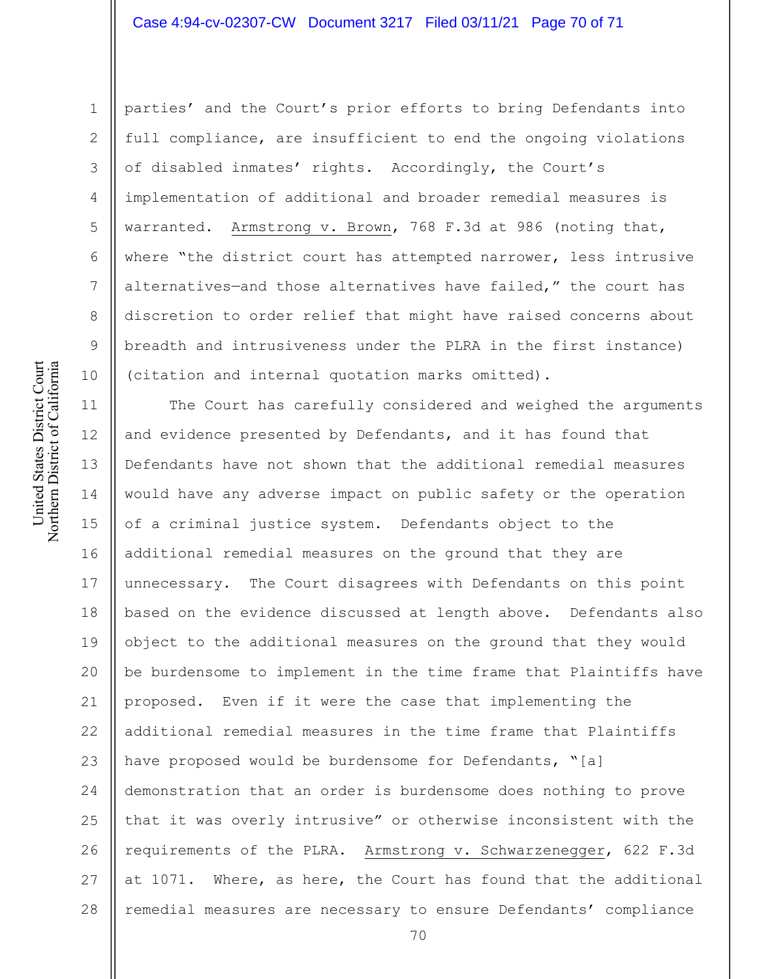# Case 4:94-cv-02307-CW Document 3217 Filed 03/11/21 Page 70 of 71

parties' and the Court's prior efforts to bring Defendants into full compliance, are insufficient to end the ongoing violations of disabled inmates' rights. Accordingly, the Court's implementation of additional and broader remedial measures is warranted. Armstrong v. Brown, 768 F.3d at 986 (noting that, where "the district court has attempted narrower, less intrusive alternatives—and those alternatives have failed," the court has discretion to order relief that might have raised concerns about breadth and intrusiveness under the PLRA in the first instance) (citation and internal quotation marks omitted).

11 12 13 14 15 16 17 18 19 20 21 22 23 24 25 26 27 28 The Court has carefully considered and weighed the arguments and evidence presented by Defendants, and it has found that Defendants have not shown that the additional remedial measures would have any adverse impact on public safety or the operation of a criminal justice system. Defendants object to the additional remedial measures on the ground that they are unnecessary. The Court disagrees with Defendants on this point based on the evidence discussed at length above. Defendants also object to the additional measures on the ground that they would be burdensome to implement in the time frame that Plaintiffs have proposed. Even if it were the case that implementing the additional remedial measures in the time frame that Plaintiffs have proposed would be burdensome for Defendants, "[a] demonstration that an order is burdensome does nothing to prove that it was overly intrusive" or otherwise inconsistent with the requirements of the PLRA. Armstrong v. Schwarzenegger, 622 F.3d at 1071. Where, as here, the Court has found that the additional remedial measures are necessary to ensure Defendants' compliance

1

2

3

4

5

6

7

8

9

10